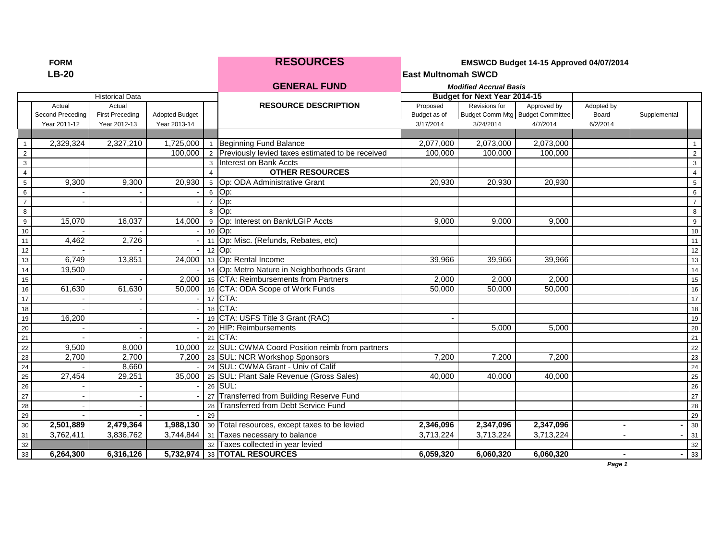|  | ORM |
|--|-----|
|  |     |

**FORMAL RESOURCES EMSWCD Budget 14-15 Approved 04/07/2014** 

**GENERAL FUND** *Modified Accrual Basis*

| LB-20 | <b>East Multnomah SWCD</b> |
|-------|----------------------------|
|-------|----------------------------|

|                 |                  | <b>Historical Data</b> |                       |                 |                                                             |              | <b>Budget for Next Year 2014-15</b> |                                  |            |              |                |
|-----------------|------------------|------------------------|-----------------------|-----------------|-------------------------------------------------------------|--------------|-------------------------------------|----------------------------------|------------|--------------|----------------|
|                 | Actual           | Actual                 |                       |                 | <b>RESOURCE DESCRIPTION</b>                                 | Proposed     | Revisions for                       | Approved by                      | Adopted by |              |                |
|                 | Second Preceding | <b>First Preceding</b> | <b>Adopted Budget</b> |                 |                                                             | Budget as of |                                     | Budget Comm Mtg Budget Committee | Board      | Supplemental |                |
|                 | Year 2011-12     | Year 2012-13           | Year 2013-14          |                 |                                                             | 3/17/2014    | 3/24/2014                           | 4/7/2014                         | 6/2/2014   |              |                |
|                 |                  |                        |                       |                 |                                                             |              |                                     |                                  |            |              |                |
|                 | 2,329,324        | 2,327,210              | 1,725,000 1           |                 | Beginning Fund Balance                                      | 2,077,000    | 2,073,000                           | 2,073,000                        |            |              | $\mathbf{1}$   |
| $\overline{2}$  |                  |                        | 100,000               |                 | 2 Previously levied taxes estimated to be received          | 100,000      | 100,000                             | 100,000                          |            |              | 2              |
| $\mathbf{3}$    |                  |                        |                       | 3               | Interest on Bank Accts                                      |              |                                     |                                  |            |              | 3              |
| $\overline{4}$  |                  |                        |                       |                 | <b>OTHER RESOURCES</b>                                      |              |                                     |                                  |            |              | $\overline{4}$ |
| $5\phantom{.0}$ | 9,300            | 9,300                  | 20,930                | $5\overline{5}$ | Op: ODA Administrative Grant                                | 20,930       | 20,930                              | 20,930                           |            |              | 5              |
| 6               |                  |                        |                       | 6               | Op:                                                         |              |                                     |                                  |            |              | 6              |
| $\overline{7}$  |                  |                        |                       |                 | Op:                                                         |              |                                     |                                  |            |              | $\overline{7}$ |
| 8               |                  |                        |                       | $\mathsf{R}$    | Op:                                                         |              |                                     |                                  |            |              | 8              |
| 9               | 15,070           | 16,037                 | 14,000                |                 | 9 Op: Interest on Bank/LGIP Accts                           | 9,000        | 9,000                               | 9,000                            |            |              | 9              |
| 10              |                  |                        |                       |                 | 10 Op:                                                      |              |                                     |                                  |            |              | 10             |
| 11              | 4,462            | 2,726                  |                       | 11              | Op: Misc. (Refunds, Rebates, etc)                           |              |                                     |                                  |            |              | 11             |
| 12              |                  |                        |                       |                 | 12 Op:                                                      |              |                                     |                                  |            |              | 12             |
| 13              | 6,749            | 13,851                 | 24,000                |                 | 13 Op: Rental Income                                        | 39,966       | 39,966                              | 39,966                           |            |              | 13             |
| 14              | 19,500           |                        |                       |                 | 14 Op: Metro Nature in Neighborhoods Grant                  |              |                                     |                                  |            |              | 14             |
| 15              |                  |                        |                       |                 | 2,000   15 CTA: Reimbursements from Partners                | 2,000        | 2,000                               | 2,000                            |            |              | 15             |
| 16              | 61,630           | 61,630                 |                       |                 | 50,000 16 CTA: ODA Scope of Work Funds                      | 50,000       | 50.000                              | 50,000                           |            |              | 16             |
| 17              |                  |                        |                       | 17              | CTA:                                                        |              |                                     |                                  |            |              | 17             |
| 18              |                  |                        |                       | 18              | CTA:                                                        |              |                                     |                                  |            |              | 18             |
| 19              | 16,200           |                        |                       |                 | 19 CTA: USFS Title 3 Grant (RAC)                            |              |                                     |                                  |            |              | 19             |
| 20              |                  |                        |                       |                 | 20 HIP: Reimbursements                                      |              | 5,000                               | 5,000                            |            |              | 20             |
| 21              |                  |                        |                       |                 | 21 CTA:                                                     |              |                                     |                                  |            |              | 21             |
| 22              | 9,500            | 8,000                  | 10,000                |                 | 22 SUL: CWMA Coord Position reimb from partners             |              |                                     |                                  |            |              | 22             |
| 23              | 2,700            | 2,700                  |                       |                 | 7,200 23 SUL: NCR Workshop Sponsors                         | 7,200        | 7,200                               | 7,200                            |            |              | 23             |
| $24\,$          |                  | 8,660                  |                       |                 | 24 SUL: CWMA Grant - Univ of Calif                          |              |                                     |                                  |            |              | 24             |
| 25              | 27,454           | 29,251                 | 35,000                |                 | 25 SUL: Plant Sale Revenue (Gross Sales)                    | 40,000       | 40,000                              | 40,000                           |            |              | 25             |
| 26              |                  |                        |                       |                 | 26 SUL:                                                     |              |                                     |                                  |            |              | 26             |
| $27\,$          |                  |                        |                       | 27              | Transferred from Building Reserve Fund                      |              |                                     |                                  |            |              | 27             |
| 28              |                  |                        |                       | 28              | <b>Transferred from Debt Service Fund</b>                   |              |                                     |                                  |            |              | 28             |
| 29              |                  |                        |                       | 29              |                                                             |              |                                     |                                  |            |              | 29             |
| 30              | 2,501,889        | 2,479,364              |                       |                 | 1,988,130   30   Total resources, except taxes to be levied | 2,346,096    | 2,347,096                           | 2,347,096                        |            |              | 30             |
| 31              | 3,762,411        | 3,836,762              | 3,744,844 31          |                 | Taxes necessary to balance                                  | 3,713,224    | 3,713,224                           | 3,713,224                        |            |              | 31             |
| 32              |                  |                        |                       |                 | 32 Taxes collected in year levied                           |              |                                     |                                  |            |              | 32             |
| 33              | 6,264,300        | 6,316,126              |                       |                 | 5,732,974 33 TOTAL RESOURCES                                | 6.059.320    | 6,060,320                           | 6,060,320                        |            |              | 33             |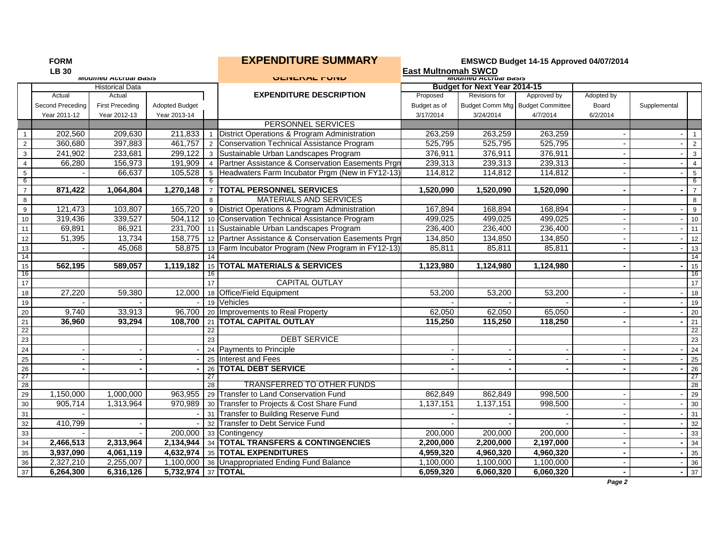| <b>LB 30</b><br><b>East Multnomah SWCD</b><br><b>IVIUUIIIEU ACCIUDI DASIS</b><br><b>IVIOUITIEU ACCIUAI DASIS</b><br><b>ULITLIANL I VITU</b><br><b>Budget for Next Year 2014-15</b><br><b>Historical Data</b><br><b>EXPENDITURE DESCRIPTION</b><br>Proposed<br>Revisions for<br>Approved by<br>Actual<br>Actual<br>Adopted by<br>Budget Comm Mtg Budget Committee<br>Second Preceding<br><b>First Preceding</b><br><b>Adopted Budget</b><br>Budget as of<br>Board<br>Supplemental<br>Year 2013-14<br>3/24/2014<br>Year 2011-12<br>Year 2012-13<br>3/17/2014<br>4/7/2014<br>6/2/2014<br>PERSONNEL SERVICES<br>District Operations & Program Administration<br>202,560<br>209,630<br>211,833<br>263,259<br>263,259<br>263,259<br>$\mathbf{1}$<br>$\overline{1}$<br>$\sim$<br>360,680<br>397,883<br>525,795<br>461,757<br>2 Conservation Technical Assistance Program<br>525,795<br>525,795<br>$\overline{2}$<br>$\overline{2}$<br>233,681<br>3 Sustainable Urban Landscapes Program<br>376,911<br>376,911<br>$\mathbf 3$<br>241,902<br>299,122<br>376,911<br>$\mathbf{3}$<br>156,973<br>4 Partner Assistance & Conservation Easements Prgn<br>239,313<br>239,313<br>239,313<br>$\overline{4}$<br>66,280<br>191,909<br>$\overline{4}$<br>$\overline{\phantom{a}}$<br>$\sqrt{5}$<br>66,637<br>105,528<br>5 Headwaters Farm Incubator Prgm (New in FY12-13)<br>114,812<br>114,812<br>114,812<br>$5\phantom{.0}$<br>6<br>-6<br>$\overline{7}$<br>1,270,148<br><b>TOTAL PERSONNEL SERVICES</b><br>871,422<br>1,064,804<br>1,520,090<br>1,520,090<br>1,520,090<br>$\overline{7}$<br><b>MATERIALS AND SERVICES</b><br>8<br>$\mathsf{R}$<br>9<br>121,473<br>103,807<br>9 District Operations & Program Administration<br>167,894<br>168,894<br>165.720<br>168,894<br>9<br>10<br>319,436<br>339,527<br>10 Conservation Technical Assistance Program<br>499,025<br>499,025<br>499,025<br>504.112<br>$\blacksquare$<br>69,891<br>86,921<br>11 Sustainable Urban Landscapes Program<br>236,400<br>236,400<br>236,400<br>11<br>231,700<br>11<br>51,395<br>13,734<br>12<br>158,775   12   Partner Assistance & Conservation Easements Prgn<br>134,850<br>134,850<br>134,850<br>12<br>13<br>45,068<br>58,875<br>13 Farm Incubator Program (New Program in FY12-13)<br>85,811<br>85,811<br>13<br>85,811<br>$\sim$<br>14<br>15<br><b>TOTAL MATERIALS &amp; SERVICES</b><br>1,119,182<br>1,123,980<br>1,124,980<br>562,195<br>589,057<br>1,124,980<br>15<br>$\sim$<br>-16<br>16<br>16<br>17<br><b>CAPITAL OUTLAY</b><br>17<br>18<br>27,220<br>59,380<br>12,000<br>18 Office/Field Equipment<br>53,200<br>53,200<br>53,200<br>18<br>19 Vehicles<br>19<br>19<br>20<br>9,740<br>33,913<br>96,700<br>20 Improvements to Real Property<br>62,050<br>65,050<br>62.050<br>20<br>$\sim$ 1<br>$\overline{\phantom{a}}$<br>21 TOTAL CAPITAL OUTLAY<br>$\overline{21}$<br>21<br>36,960<br>93,294<br>108.700<br>115,250<br>115,250<br>118,250<br>22<br>22<br>22<br>23<br>23<br>23<br><b>DEBT SERVICE</b><br>24<br>24 Payments to Principle<br>24<br>25<br>25 Interest and Fees<br>25<br>26<br>26 TOTAL DEBT SERVICE<br>26<br>$\blacksquare$<br>27<br>-27<br>27<br>28<br>TRANSFERRED TO OTHER FUNDS<br>$\overline{28}$<br>$\overline{28}$<br>29<br>1,150,000<br>1,000,000<br>963,955<br>29 Transfer to Land Conservation Fund<br>862,849<br>862,849<br>998,500<br>29<br>30<br>970,989 30 Transfer to Projects & Cost Share Fund<br>905,714<br>1,313,964<br>1,137,151<br>1,137,151<br>998,500<br>30<br>31<br>31 Transfer to Building Reserve Fund<br>31<br>32<br>410,799<br>32 Transfer to Debt Service Fund<br>32<br>33<br>200,000<br>200,000<br>200,000<br>200,000<br>33 Contingency<br>33<br>34<br>34 TOTAL TRANSFERS & CONTINGENCIES<br>2,200,000<br>34<br>2,466,513<br>2,313,964<br>2,134,944<br>2,200,000<br>2,197,000<br>$\blacksquare$<br>4,632,974 35 TOTAL EXPENDITURES<br>35<br>4,061,119<br>4,959,320<br>4,960,320<br>4,960,320<br>3,937,090<br>35<br>$\blacksquare$<br>$\blacksquare$<br>36<br>2,327,210<br>2,255,007<br>1,100,000 36 Unappropriated Ending Fund Balance<br>1,100,000<br>1,100,000<br>1,100,000<br>36<br>37<br>5,732,974 37 TOTAL<br>$-37$<br>6,264,300<br>6,316,126<br>6,059,320<br>6,060,320<br>6,060,320<br>Page 2 | <b>FORM</b> |  | <b>EXPENDITURE SUMMARY</b> | EMSWCD Budget 14-15 Approved 04/07/2014 |  |  |  |  |                |
|-----------------------------------------------------------------------------------------------------------------------------------------------------------------------------------------------------------------------------------------------------------------------------------------------------------------------------------------------------------------------------------------------------------------------------------------------------------------------------------------------------------------------------------------------------------------------------------------------------------------------------------------------------------------------------------------------------------------------------------------------------------------------------------------------------------------------------------------------------------------------------------------------------------------------------------------------------------------------------------------------------------------------------------------------------------------------------------------------------------------------------------------------------------------------------------------------------------------------------------------------------------------------------------------------------------------------------------------------------------------------------------------------------------------------------------------------------------------------------------------------------------------------------------------------------------------------------------------------------------------------------------------------------------------------------------------------------------------------------------------------------------------------------------------------------------------------------------------------------------------------------------------------------------------------------------------------------------------------------------------------------------------------------------------------------------------------------------------------------------------------------------------------------------------------------------------------------------------------------------------------------------------------------------------------------------------------------------------------------------------------------------------------------------------------------------------------------------------------------------------------------------------------------------------------------------------------------------------------------------------------------------------------------------------------------------------------------------------------------------------------------------------------------------------------------------------------------------------------------------------------------------------------------------------------------------------------------------------------------------------------------------------------------------------------------------------------------------------------------------------------------------------------------------------------------------------------------------------------------------------------------------------------------------------------------------------------------------------------------------------------------------------------------------------------------------------------------------------------------------------------------------------------------------------------------------------------------------------------------------------------------------------------------------------------------------------------------------------------------------------------------------------------------------------------------------------------------------------------------------------------------------------------------------------------------------------------------------------------------------------------------------------------------------------------------------------------------------------------------------------------------------------------------------------------------------------------------------------|-------------|--|----------------------------|-----------------------------------------|--|--|--|--|----------------|
|                                                                                                                                                                                                                                                                                                                                                                                                                                                                                                                                                                                                                                                                                                                                                                                                                                                                                                                                                                                                                                                                                                                                                                                                                                                                                                                                                                                                                                                                                                                                                                                                                                                                                                                                                                                                                                                                                                                                                                                                                                                                                                                                                                                                                                                                                                                                                                                                                                                                                                                                                                                                                                                                                                                                                                                                                                                                                                                                                                                                                                                                                                                                                                                                                                                                                                                                                                                                                                                                                                                                                                                                                                                                                                                                                                                                                                                                                                                                                                                                                                                                                                                                                                                                                 |             |  |                            |                                         |  |  |  |  |                |
|                                                                                                                                                                                                                                                                                                                                                                                                                                                                                                                                                                                                                                                                                                                                                                                                                                                                                                                                                                                                                                                                                                                                                                                                                                                                                                                                                                                                                                                                                                                                                                                                                                                                                                                                                                                                                                                                                                                                                                                                                                                                                                                                                                                                                                                                                                                                                                                                                                                                                                                                                                                                                                                                                                                                                                                                                                                                                                                                                                                                                                                                                                                                                                                                                                                                                                                                                                                                                                                                                                                                                                                                                                                                                                                                                                                                                                                                                                                                                                                                                                                                                                                                                                                                                 |             |  |                            |                                         |  |  |  |  |                |
|                                                                                                                                                                                                                                                                                                                                                                                                                                                                                                                                                                                                                                                                                                                                                                                                                                                                                                                                                                                                                                                                                                                                                                                                                                                                                                                                                                                                                                                                                                                                                                                                                                                                                                                                                                                                                                                                                                                                                                                                                                                                                                                                                                                                                                                                                                                                                                                                                                                                                                                                                                                                                                                                                                                                                                                                                                                                                                                                                                                                                                                                                                                                                                                                                                                                                                                                                                                                                                                                                                                                                                                                                                                                                                                                                                                                                                                                                                                                                                                                                                                                                                                                                                                                                 |             |  |                            |                                         |  |  |  |  |                |
|                                                                                                                                                                                                                                                                                                                                                                                                                                                                                                                                                                                                                                                                                                                                                                                                                                                                                                                                                                                                                                                                                                                                                                                                                                                                                                                                                                                                                                                                                                                                                                                                                                                                                                                                                                                                                                                                                                                                                                                                                                                                                                                                                                                                                                                                                                                                                                                                                                                                                                                                                                                                                                                                                                                                                                                                                                                                                                                                                                                                                                                                                                                                                                                                                                                                                                                                                                                                                                                                                                                                                                                                                                                                                                                                                                                                                                                                                                                                                                                                                                                                                                                                                                                                                 |             |  |                            |                                         |  |  |  |  |                |
|                                                                                                                                                                                                                                                                                                                                                                                                                                                                                                                                                                                                                                                                                                                                                                                                                                                                                                                                                                                                                                                                                                                                                                                                                                                                                                                                                                                                                                                                                                                                                                                                                                                                                                                                                                                                                                                                                                                                                                                                                                                                                                                                                                                                                                                                                                                                                                                                                                                                                                                                                                                                                                                                                                                                                                                                                                                                                                                                                                                                                                                                                                                                                                                                                                                                                                                                                                                                                                                                                                                                                                                                                                                                                                                                                                                                                                                                                                                                                                                                                                                                                                                                                                                                                 |             |  |                            |                                         |  |  |  |  |                |
|                                                                                                                                                                                                                                                                                                                                                                                                                                                                                                                                                                                                                                                                                                                                                                                                                                                                                                                                                                                                                                                                                                                                                                                                                                                                                                                                                                                                                                                                                                                                                                                                                                                                                                                                                                                                                                                                                                                                                                                                                                                                                                                                                                                                                                                                                                                                                                                                                                                                                                                                                                                                                                                                                                                                                                                                                                                                                                                                                                                                                                                                                                                                                                                                                                                                                                                                                                                                                                                                                                                                                                                                                                                                                                                                                                                                                                                                                                                                                                                                                                                                                                                                                                                                                 |             |  |                            |                                         |  |  |  |  |                |
|                                                                                                                                                                                                                                                                                                                                                                                                                                                                                                                                                                                                                                                                                                                                                                                                                                                                                                                                                                                                                                                                                                                                                                                                                                                                                                                                                                                                                                                                                                                                                                                                                                                                                                                                                                                                                                                                                                                                                                                                                                                                                                                                                                                                                                                                                                                                                                                                                                                                                                                                                                                                                                                                                                                                                                                                                                                                                                                                                                                                                                                                                                                                                                                                                                                                                                                                                                                                                                                                                                                                                                                                                                                                                                                                                                                                                                                                                                                                                                                                                                                                                                                                                                                                                 |             |  |                            |                                         |  |  |  |  |                |
|                                                                                                                                                                                                                                                                                                                                                                                                                                                                                                                                                                                                                                                                                                                                                                                                                                                                                                                                                                                                                                                                                                                                                                                                                                                                                                                                                                                                                                                                                                                                                                                                                                                                                                                                                                                                                                                                                                                                                                                                                                                                                                                                                                                                                                                                                                                                                                                                                                                                                                                                                                                                                                                                                                                                                                                                                                                                                                                                                                                                                                                                                                                                                                                                                                                                                                                                                                                                                                                                                                                                                                                                                                                                                                                                                                                                                                                                                                                                                                                                                                                                                                                                                                                                                 |             |  |                            |                                         |  |  |  |  |                |
|                                                                                                                                                                                                                                                                                                                                                                                                                                                                                                                                                                                                                                                                                                                                                                                                                                                                                                                                                                                                                                                                                                                                                                                                                                                                                                                                                                                                                                                                                                                                                                                                                                                                                                                                                                                                                                                                                                                                                                                                                                                                                                                                                                                                                                                                                                                                                                                                                                                                                                                                                                                                                                                                                                                                                                                                                                                                                                                                                                                                                                                                                                                                                                                                                                                                                                                                                                                                                                                                                                                                                                                                                                                                                                                                                                                                                                                                                                                                                                                                                                                                                                                                                                                                                 |             |  |                            |                                         |  |  |  |  |                |
|                                                                                                                                                                                                                                                                                                                                                                                                                                                                                                                                                                                                                                                                                                                                                                                                                                                                                                                                                                                                                                                                                                                                                                                                                                                                                                                                                                                                                                                                                                                                                                                                                                                                                                                                                                                                                                                                                                                                                                                                                                                                                                                                                                                                                                                                                                                                                                                                                                                                                                                                                                                                                                                                                                                                                                                                                                                                                                                                                                                                                                                                                                                                                                                                                                                                                                                                                                                                                                                                                                                                                                                                                                                                                                                                                                                                                                                                                                                                                                                                                                                                                                                                                                                                                 |             |  |                            |                                         |  |  |  |  |                |
|                                                                                                                                                                                                                                                                                                                                                                                                                                                                                                                                                                                                                                                                                                                                                                                                                                                                                                                                                                                                                                                                                                                                                                                                                                                                                                                                                                                                                                                                                                                                                                                                                                                                                                                                                                                                                                                                                                                                                                                                                                                                                                                                                                                                                                                                                                                                                                                                                                                                                                                                                                                                                                                                                                                                                                                                                                                                                                                                                                                                                                                                                                                                                                                                                                                                                                                                                                                                                                                                                                                                                                                                                                                                                                                                                                                                                                                                                                                                                                                                                                                                                                                                                                                                                 |             |  |                            |                                         |  |  |  |  |                |
|                                                                                                                                                                                                                                                                                                                                                                                                                                                                                                                                                                                                                                                                                                                                                                                                                                                                                                                                                                                                                                                                                                                                                                                                                                                                                                                                                                                                                                                                                                                                                                                                                                                                                                                                                                                                                                                                                                                                                                                                                                                                                                                                                                                                                                                                                                                                                                                                                                                                                                                                                                                                                                                                                                                                                                                                                                                                                                                                                                                                                                                                                                                                                                                                                                                                                                                                                                                                                                                                                                                                                                                                                                                                                                                                                                                                                                                                                                                                                                                                                                                                                                                                                                                                                 |             |  |                            |                                         |  |  |  |  |                |
|                                                                                                                                                                                                                                                                                                                                                                                                                                                                                                                                                                                                                                                                                                                                                                                                                                                                                                                                                                                                                                                                                                                                                                                                                                                                                                                                                                                                                                                                                                                                                                                                                                                                                                                                                                                                                                                                                                                                                                                                                                                                                                                                                                                                                                                                                                                                                                                                                                                                                                                                                                                                                                                                                                                                                                                                                                                                                                                                                                                                                                                                                                                                                                                                                                                                                                                                                                                                                                                                                                                                                                                                                                                                                                                                                                                                                                                                                                                                                                                                                                                                                                                                                                                                                 |             |  |                            |                                         |  |  |  |  | $\overline{7}$ |
|                                                                                                                                                                                                                                                                                                                                                                                                                                                                                                                                                                                                                                                                                                                                                                                                                                                                                                                                                                                                                                                                                                                                                                                                                                                                                                                                                                                                                                                                                                                                                                                                                                                                                                                                                                                                                                                                                                                                                                                                                                                                                                                                                                                                                                                                                                                                                                                                                                                                                                                                                                                                                                                                                                                                                                                                                                                                                                                                                                                                                                                                                                                                                                                                                                                                                                                                                                                                                                                                                                                                                                                                                                                                                                                                                                                                                                                                                                                                                                                                                                                                                                                                                                                                                 |             |  |                            |                                         |  |  |  |  | 8              |
|                                                                                                                                                                                                                                                                                                                                                                                                                                                                                                                                                                                                                                                                                                                                                                                                                                                                                                                                                                                                                                                                                                                                                                                                                                                                                                                                                                                                                                                                                                                                                                                                                                                                                                                                                                                                                                                                                                                                                                                                                                                                                                                                                                                                                                                                                                                                                                                                                                                                                                                                                                                                                                                                                                                                                                                                                                                                                                                                                                                                                                                                                                                                                                                                                                                                                                                                                                                                                                                                                                                                                                                                                                                                                                                                                                                                                                                                                                                                                                                                                                                                                                                                                                                                                 |             |  |                            |                                         |  |  |  |  |                |
|                                                                                                                                                                                                                                                                                                                                                                                                                                                                                                                                                                                                                                                                                                                                                                                                                                                                                                                                                                                                                                                                                                                                                                                                                                                                                                                                                                                                                                                                                                                                                                                                                                                                                                                                                                                                                                                                                                                                                                                                                                                                                                                                                                                                                                                                                                                                                                                                                                                                                                                                                                                                                                                                                                                                                                                                                                                                                                                                                                                                                                                                                                                                                                                                                                                                                                                                                                                                                                                                                                                                                                                                                                                                                                                                                                                                                                                                                                                                                                                                                                                                                                                                                                                                                 |             |  |                            |                                         |  |  |  |  | 10             |
|                                                                                                                                                                                                                                                                                                                                                                                                                                                                                                                                                                                                                                                                                                                                                                                                                                                                                                                                                                                                                                                                                                                                                                                                                                                                                                                                                                                                                                                                                                                                                                                                                                                                                                                                                                                                                                                                                                                                                                                                                                                                                                                                                                                                                                                                                                                                                                                                                                                                                                                                                                                                                                                                                                                                                                                                                                                                                                                                                                                                                                                                                                                                                                                                                                                                                                                                                                                                                                                                                                                                                                                                                                                                                                                                                                                                                                                                                                                                                                                                                                                                                                                                                                                                                 |             |  |                            |                                         |  |  |  |  |                |
|                                                                                                                                                                                                                                                                                                                                                                                                                                                                                                                                                                                                                                                                                                                                                                                                                                                                                                                                                                                                                                                                                                                                                                                                                                                                                                                                                                                                                                                                                                                                                                                                                                                                                                                                                                                                                                                                                                                                                                                                                                                                                                                                                                                                                                                                                                                                                                                                                                                                                                                                                                                                                                                                                                                                                                                                                                                                                                                                                                                                                                                                                                                                                                                                                                                                                                                                                                                                                                                                                                                                                                                                                                                                                                                                                                                                                                                                                                                                                                                                                                                                                                                                                                                                                 |             |  |                            |                                         |  |  |  |  |                |
|                                                                                                                                                                                                                                                                                                                                                                                                                                                                                                                                                                                                                                                                                                                                                                                                                                                                                                                                                                                                                                                                                                                                                                                                                                                                                                                                                                                                                                                                                                                                                                                                                                                                                                                                                                                                                                                                                                                                                                                                                                                                                                                                                                                                                                                                                                                                                                                                                                                                                                                                                                                                                                                                                                                                                                                                                                                                                                                                                                                                                                                                                                                                                                                                                                                                                                                                                                                                                                                                                                                                                                                                                                                                                                                                                                                                                                                                                                                                                                                                                                                                                                                                                                                                                 |             |  |                            |                                         |  |  |  |  |                |
|                                                                                                                                                                                                                                                                                                                                                                                                                                                                                                                                                                                                                                                                                                                                                                                                                                                                                                                                                                                                                                                                                                                                                                                                                                                                                                                                                                                                                                                                                                                                                                                                                                                                                                                                                                                                                                                                                                                                                                                                                                                                                                                                                                                                                                                                                                                                                                                                                                                                                                                                                                                                                                                                                                                                                                                                                                                                                                                                                                                                                                                                                                                                                                                                                                                                                                                                                                                                                                                                                                                                                                                                                                                                                                                                                                                                                                                                                                                                                                                                                                                                                                                                                                                                                 |             |  |                            |                                         |  |  |  |  | 14             |
|                                                                                                                                                                                                                                                                                                                                                                                                                                                                                                                                                                                                                                                                                                                                                                                                                                                                                                                                                                                                                                                                                                                                                                                                                                                                                                                                                                                                                                                                                                                                                                                                                                                                                                                                                                                                                                                                                                                                                                                                                                                                                                                                                                                                                                                                                                                                                                                                                                                                                                                                                                                                                                                                                                                                                                                                                                                                                                                                                                                                                                                                                                                                                                                                                                                                                                                                                                                                                                                                                                                                                                                                                                                                                                                                                                                                                                                                                                                                                                                                                                                                                                                                                                                                                 |             |  |                            |                                         |  |  |  |  | 15             |
|                                                                                                                                                                                                                                                                                                                                                                                                                                                                                                                                                                                                                                                                                                                                                                                                                                                                                                                                                                                                                                                                                                                                                                                                                                                                                                                                                                                                                                                                                                                                                                                                                                                                                                                                                                                                                                                                                                                                                                                                                                                                                                                                                                                                                                                                                                                                                                                                                                                                                                                                                                                                                                                                                                                                                                                                                                                                                                                                                                                                                                                                                                                                                                                                                                                                                                                                                                                                                                                                                                                                                                                                                                                                                                                                                                                                                                                                                                                                                                                                                                                                                                                                                                                                                 |             |  |                            |                                         |  |  |  |  |                |
|                                                                                                                                                                                                                                                                                                                                                                                                                                                                                                                                                                                                                                                                                                                                                                                                                                                                                                                                                                                                                                                                                                                                                                                                                                                                                                                                                                                                                                                                                                                                                                                                                                                                                                                                                                                                                                                                                                                                                                                                                                                                                                                                                                                                                                                                                                                                                                                                                                                                                                                                                                                                                                                                                                                                                                                                                                                                                                                                                                                                                                                                                                                                                                                                                                                                                                                                                                                                                                                                                                                                                                                                                                                                                                                                                                                                                                                                                                                                                                                                                                                                                                                                                                                                                 |             |  |                            |                                         |  |  |  |  |                |
|                                                                                                                                                                                                                                                                                                                                                                                                                                                                                                                                                                                                                                                                                                                                                                                                                                                                                                                                                                                                                                                                                                                                                                                                                                                                                                                                                                                                                                                                                                                                                                                                                                                                                                                                                                                                                                                                                                                                                                                                                                                                                                                                                                                                                                                                                                                                                                                                                                                                                                                                                                                                                                                                                                                                                                                                                                                                                                                                                                                                                                                                                                                                                                                                                                                                                                                                                                                                                                                                                                                                                                                                                                                                                                                                                                                                                                                                                                                                                                                                                                                                                                                                                                                                                 |             |  |                            |                                         |  |  |  |  |                |
|                                                                                                                                                                                                                                                                                                                                                                                                                                                                                                                                                                                                                                                                                                                                                                                                                                                                                                                                                                                                                                                                                                                                                                                                                                                                                                                                                                                                                                                                                                                                                                                                                                                                                                                                                                                                                                                                                                                                                                                                                                                                                                                                                                                                                                                                                                                                                                                                                                                                                                                                                                                                                                                                                                                                                                                                                                                                                                                                                                                                                                                                                                                                                                                                                                                                                                                                                                                                                                                                                                                                                                                                                                                                                                                                                                                                                                                                                                                                                                                                                                                                                                                                                                                                                 |             |  |                            |                                         |  |  |  |  |                |
|                                                                                                                                                                                                                                                                                                                                                                                                                                                                                                                                                                                                                                                                                                                                                                                                                                                                                                                                                                                                                                                                                                                                                                                                                                                                                                                                                                                                                                                                                                                                                                                                                                                                                                                                                                                                                                                                                                                                                                                                                                                                                                                                                                                                                                                                                                                                                                                                                                                                                                                                                                                                                                                                                                                                                                                                                                                                                                                                                                                                                                                                                                                                                                                                                                                                                                                                                                                                                                                                                                                                                                                                                                                                                                                                                                                                                                                                                                                                                                                                                                                                                                                                                                                                                 |             |  |                            |                                         |  |  |  |  |                |
|                                                                                                                                                                                                                                                                                                                                                                                                                                                                                                                                                                                                                                                                                                                                                                                                                                                                                                                                                                                                                                                                                                                                                                                                                                                                                                                                                                                                                                                                                                                                                                                                                                                                                                                                                                                                                                                                                                                                                                                                                                                                                                                                                                                                                                                                                                                                                                                                                                                                                                                                                                                                                                                                                                                                                                                                                                                                                                                                                                                                                                                                                                                                                                                                                                                                                                                                                                                                                                                                                                                                                                                                                                                                                                                                                                                                                                                                                                                                                                                                                                                                                                                                                                                                                 |             |  |                            |                                         |  |  |  |  |                |
|                                                                                                                                                                                                                                                                                                                                                                                                                                                                                                                                                                                                                                                                                                                                                                                                                                                                                                                                                                                                                                                                                                                                                                                                                                                                                                                                                                                                                                                                                                                                                                                                                                                                                                                                                                                                                                                                                                                                                                                                                                                                                                                                                                                                                                                                                                                                                                                                                                                                                                                                                                                                                                                                                                                                                                                                                                                                                                                                                                                                                                                                                                                                                                                                                                                                                                                                                                                                                                                                                                                                                                                                                                                                                                                                                                                                                                                                                                                                                                                                                                                                                                                                                                                                                 |             |  |                            |                                         |  |  |  |  |                |
|                                                                                                                                                                                                                                                                                                                                                                                                                                                                                                                                                                                                                                                                                                                                                                                                                                                                                                                                                                                                                                                                                                                                                                                                                                                                                                                                                                                                                                                                                                                                                                                                                                                                                                                                                                                                                                                                                                                                                                                                                                                                                                                                                                                                                                                                                                                                                                                                                                                                                                                                                                                                                                                                                                                                                                                                                                                                                                                                                                                                                                                                                                                                                                                                                                                                                                                                                                                                                                                                                                                                                                                                                                                                                                                                                                                                                                                                                                                                                                                                                                                                                                                                                                                                                 |             |  |                            |                                         |  |  |  |  |                |
|                                                                                                                                                                                                                                                                                                                                                                                                                                                                                                                                                                                                                                                                                                                                                                                                                                                                                                                                                                                                                                                                                                                                                                                                                                                                                                                                                                                                                                                                                                                                                                                                                                                                                                                                                                                                                                                                                                                                                                                                                                                                                                                                                                                                                                                                                                                                                                                                                                                                                                                                                                                                                                                                                                                                                                                                                                                                                                                                                                                                                                                                                                                                                                                                                                                                                                                                                                                                                                                                                                                                                                                                                                                                                                                                                                                                                                                                                                                                                                                                                                                                                                                                                                                                                 |             |  |                            |                                         |  |  |  |  |                |
|                                                                                                                                                                                                                                                                                                                                                                                                                                                                                                                                                                                                                                                                                                                                                                                                                                                                                                                                                                                                                                                                                                                                                                                                                                                                                                                                                                                                                                                                                                                                                                                                                                                                                                                                                                                                                                                                                                                                                                                                                                                                                                                                                                                                                                                                                                                                                                                                                                                                                                                                                                                                                                                                                                                                                                                                                                                                                                                                                                                                                                                                                                                                                                                                                                                                                                                                                                                                                                                                                                                                                                                                                                                                                                                                                                                                                                                                                                                                                                                                                                                                                                                                                                                                                 |             |  |                            |                                         |  |  |  |  |                |
|                                                                                                                                                                                                                                                                                                                                                                                                                                                                                                                                                                                                                                                                                                                                                                                                                                                                                                                                                                                                                                                                                                                                                                                                                                                                                                                                                                                                                                                                                                                                                                                                                                                                                                                                                                                                                                                                                                                                                                                                                                                                                                                                                                                                                                                                                                                                                                                                                                                                                                                                                                                                                                                                                                                                                                                                                                                                                                                                                                                                                                                                                                                                                                                                                                                                                                                                                                                                                                                                                                                                                                                                                                                                                                                                                                                                                                                                                                                                                                                                                                                                                                                                                                                                                 |             |  |                            |                                         |  |  |  |  |                |
|                                                                                                                                                                                                                                                                                                                                                                                                                                                                                                                                                                                                                                                                                                                                                                                                                                                                                                                                                                                                                                                                                                                                                                                                                                                                                                                                                                                                                                                                                                                                                                                                                                                                                                                                                                                                                                                                                                                                                                                                                                                                                                                                                                                                                                                                                                                                                                                                                                                                                                                                                                                                                                                                                                                                                                                                                                                                                                                                                                                                                                                                                                                                                                                                                                                                                                                                                                                                                                                                                                                                                                                                                                                                                                                                                                                                                                                                                                                                                                                                                                                                                                                                                                                                                 |             |  |                            |                                         |  |  |  |  |                |
|                                                                                                                                                                                                                                                                                                                                                                                                                                                                                                                                                                                                                                                                                                                                                                                                                                                                                                                                                                                                                                                                                                                                                                                                                                                                                                                                                                                                                                                                                                                                                                                                                                                                                                                                                                                                                                                                                                                                                                                                                                                                                                                                                                                                                                                                                                                                                                                                                                                                                                                                                                                                                                                                                                                                                                                                                                                                                                                                                                                                                                                                                                                                                                                                                                                                                                                                                                                                                                                                                                                                                                                                                                                                                                                                                                                                                                                                                                                                                                                                                                                                                                                                                                                                                 |             |  |                            |                                         |  |  |  |  |                |
|                                                                                                                                                                                                                                                                                                                                                                                                                                                                                                                                                                                                                                                                                                                                                                                                                                                                                                                                                                                                                                                                                                                                                                                                                                                                                                                                                                                                                                                                                                                                                                                                                                                                                                                                                                                                                                                                                                                                                                                                                                                                                                                                                                                                                                                                                                                                                                                                                                                                                                                                                                                                                                                                                                                                                                                                                                                                                                                                                                                                                                                                                                                                                                                                                                                                                                                                                                                                                                                                                                                                                                                                                                                                                                                                                                                                                                                                                                                                                                                                                                                                                                                                                                                                                 |             |  |                            |                                         |  |  |  |  |                |
|                                                                                                                                                                                                                                                                                                                                                                                                                                                                                                                                                                                                                                                                                                                                                                                                                                                                                                                                                                                                                                                                                                                                                                                                                                                                                                                                                                                                                                                                                                                                                                                                                                                                                                                                                                                                                                                                                                                                                                                                                                                                                                                                                                                                                                                                                                                                                                                                                                                                                                                                                                                                                                                                                                                                                                                                                                                                                                                                                                                                                                                                                                                                                                                                                                                                                                                                                                                                                                                                                                                                                                                                                                                                                                                                                                                                                                                                                                                                                                                                                                                                                                                                                                                                                 |             |  |                            |                                         |  |  |  |  |                |
|                                                                                                                                                                                                                                                                                                                                                                                                                                                                                                                                                                                                                                                                                                                                                                                                                                                                                                                                                                                                                                                                                                                                                                                                                                                                                                                                                                                                                                                                                                                                                                                                                                                                                                                                                                                                                                                                                                                                                                                                                                                                                                                                                                                                                                                                                                                                                                                                                                                                                                                                                                                                                                                                                                                                                                                                                                                                                                                                                                                                                                                                                                                                                                                                                                                                                                                                                                                                                                                                                                                                                                                                                                                                                                                                                                                                                                                                                                                                                                                                                                                                                                                                                                                                                 |             |  |                            |                                         |  |  |  |  |                |
|                                                                                                                                                                                                                                                                                                                                                                                                                                                                                                                                                                                                                                                                                                                                                                                                                                                                                                                                                                                                                                                                                                                                                                                                                                                                                                                                                                                                                                                                                                                                                                                                                                                                                                                                                                                                                                                                                                                                                                                                                                                                                                                                                                                                                                                                                                                                                                                                                                                                                                                                                                                                                                                                                                                                                                                                                                                                                                                                                                                                                                                                                                                                                                                                                                                                                                                                                                                                                                                                                                                                                                                                                                                                                                                                                                                                                                                                                                                                                                                                                                                                                                                                                                                                                 |             |  |                            |                                         |  |  |  |  |                |
|                                                                                                                                                                                                                                                                                                                                                                                                                                                                                                                                                                                                                                                                                                                                                                                                                                                                                                                                                                                                                                                                                                                                                                                                                                                                                                                                                                                                                                                                                                                                                                                                                                                                                                                                                                                                                                                                                                                                                                                                                                                                                                                                                                                                                                                                                                                                                                                                                                                                                                                                                                                                                                                                                                                                                                                                                                                                                                                                                                                                                                                                                                                                                                                                                                                                                                                                                                                                                                                                                                                                                                                                                                                                                                                                                                                                                                                                                                                                                                                                                                                                                                                                                                                                                 |             |  |                            |                                         |  |  |  |  |                |
|                                                                                                                                                                                                                                                                                                                                                                                                                                                                                                                                                                                                                                                                                                                                                                                                                                                                                                                                                                                                                                                                                                                                                                                                                                                                                                                                                                                                                                                                                                                                                                                                                                                                                                                                                                                                                                                                                                                                                                                                                                                                                                                                                                                                                                                                                                                                                                                                                                                                                                                                                                                                                                                                                                                                                                                                                                                                                                                                                                                                                                                                                                                                                                                                                                                                                                                                                                                                                                                                                                                                                                                                                                                                                                                                                                                                                                                                                                                                                                                                                                                                                                                                                                                                                 |             |  |                            |                                         |  |  |  |  |                |
|                                                                                                                                                                                                                                                                                                                                                                                                                                                                                                                                                                                                                                                                                                                                                                                                                                                                                                                                                                                                                                                                                                                                                                                                                                                                                                                                                                                                                                                                                                                                                                                                                                                                                                                                                                                                                                                                                                                                                                                                                                                                                                                                                                                                                                                                                                                                                                                                                                                                                                                                                                                                                                                                                                                                                                                                                                                                                                                                                                                                                                                                                                                                                                                                                                                                                                                                                                                                                                                                                                                                                                                                                                                                                                                                                                                                                                                                                                                                                                                                                                                                                                                                                                                                                 |             |  |                            |                                         |  |  |  |  |                |
|                                                                                                                                                                                                                                                                                                                                                                                                                                                                                                                                                                                                                                                                                                                                                                                                                                                                                                                                                                                                                                                                                                                                                                                                                                                                                                                                                                                                                                                                                                                                                                                                                                                                                                                                                                                                                                                                                                                                                                                                                                                                                                                                                                                                                                                                                                                                                                                                                                                                                                                                                                                                                                                                                                                                                                                                                                                                                                                                                                                                                                                                                                                                                                                                                                                                                                                                                                                                                                                                                                                                                                                                                                                                                                                                                                                                                                                                                                                                                                                                                                                                                                                                                                                                                 |             |  |                            |                                         |  |  |  |  |                |
|                                                                                                                                                                                                                                                                                                                                                                                                                                                                                                                                                                                                                                                                                                                                                                                                                                                                                                                                                                                                                                                                                                                                                                                                                                                                                                                                                                                                                                                                                                                                                                                                                                                                                                                                                                                                                                                                                                                                                                                                                                                                                                                                                                                                                                                                                                                                                                                                                                                                                                                                                                                                                                                                                                                                                                                                                                                                                                                                                                                                                                                                                                                                                                                                                                                                                                                                                                                                                                                                                                                                                                                                                                                                                                                                                                                                                                                                                                                                                                                                                                                                                                                                                                                                                 |             |  |                            |                                         |  |  |  |  |                |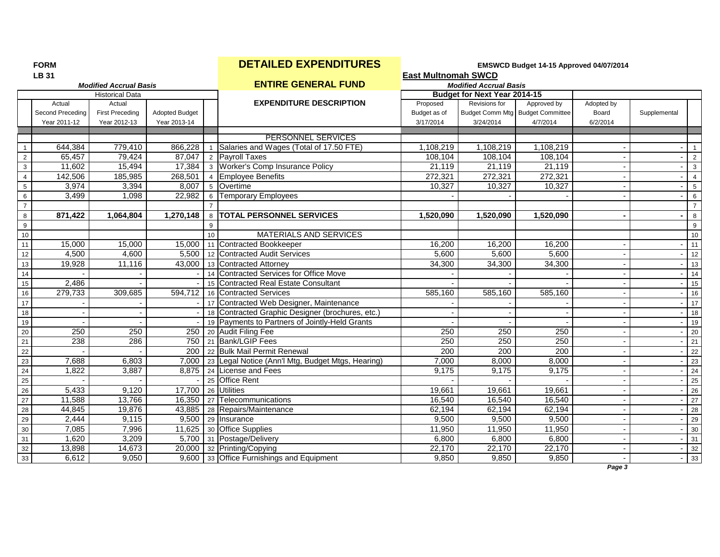| н<br>ı<br>۰, |  |
|--------------|--|
|--------------|--|

# **FORM EMSWCD Budget 14-15 Approved 04/07/2014**<br> **Reset Multipomab SWCD**

|                  | <b>LB 31</b>     | <b>Modified Accrual Basis</b> |                       |              |                                                             | <b>East Multnomah SWCD</b> |                                     |                                  |            |              |                 |
|------------------|------------------|-------------------------------|-----------------------|--------------|-------------------------------------------------------------|----------------------------|-------------------------------------|----------------------------------|------------|--------------|-----------------|
|                  |                  |                               |                       |              | <b>ENTIRE GENERAL FUND</b>                                  |                            | <b>Modified Accrual Basis</b>       |                                  |            |              |                 |
|                  |                  | <b>Historical Data</b>        |                       |              |                                                             |                            | <b>Budget for Next Year 2014-15</b> |                                  |            |              |                 |
|                  | Actual           | Actual                        |                       |              | <b>EXPENDITURE DESCRIPTION</b>                              | Proposed                   | Revisions for                       | Approved by                      | Adopted by |              |                 |
|                  | Second Preceding | <b>First Preceding</b>        | <b>Adopted Budget</b> |              |                                                             | Budget as of               |                                     | Budget Comm Mtg Budget Committee | Board      | Supplemental |                 |
|                  | Year 2011-12     | Year 2012-13                  | Year 2013-14          |              |                                                             | 3/17/2014                  | 3/24/2014                           | 4/7/2014                         | 6/2/2014   |              |                 |
|                  |                  |                               |                       |              | <b>PERSONNEL SERVICES</b>                                   |                            |                                     |                                  |            |              |                 |
|                  | 644,384          | 779,410                       | 866,228               | $\mathbf{1}$ | Salaries and Wages (Total of 17.50 FTE)                     | 1,108,219                  | 1,108,219                           | 1,108,219                        |            |              | $\overline{1}$  |
| $\overline{2}$   | 65,457           | 79,424                        | 87,047                |              | 2 Payroll Taxes                                             | 108,104                    | 108,104                             | 108,104                          |            |              | $\overline{2}$  |
| $\mathbf{3}$     | 11,602           | 15,494                        | 17,384                |              | 3 Worker's Comp Insurance Policy                            | 21,119                     | 21,119                              | 21,119                           |            |              | $\mathbf{3}$    |
| $\overline{4}$   | 142,506          | 185,985                       | 268,501               |              | 4 Employee Benefits                                         | 272,321                    | 272,321                             | 272,321                          |            |              | $\overline{4}$  |
| $\sqrt{5}$       | 3,974            | 3,394                         | 8,007                 |              | 5 Overtime                                                  | 10,327                     | 10,327                              | 10,327                           |            |              | 5               |
| 6                | 3,499            | 1,098                         | 22,982                |              | 6 Temporary Employees                                       |                            |                                     |                                  |            |              | 6               |
| $\overline{7}$   |                  |                               |                       |              |                                                             |                            |                                     |                                  |            |              | $\overline{7}$  |
| 8                | 871,422          | 1,064,804                     | 1,270,148             |              | 8   TOTAL PERSONNEL SERVICES                                | 1,520,090                  | 1,520,090                           | 1,520,090                        |            |              | 8               |
| $\boldsymbol{9}$ |                  |                               |                       | 9            |                                                             |                            |                                     |                                  |            |              | 9               |
| 10               |                  |                               |                       | 10           | MATERIALS AND SERVICES                                      |                            |                                     |                                  |            |              | 10              |
| 11               | 15,000           | 15,000                        | 15,000                |              | 11 Contracted Bookkeeper                                    | 16,200                     | 16,200                              | 16,200                           |            |              | 11              |
| 12               | 4,500            | 4,600                         |                       |              | 5,500   12 Contracted Audit Services                        | 5,600                      | 5,600                               | 5,600                            |            |              | 12              |
| 13               | 19,928           | 11,116                        |                       |              | 43,000 13 Contracted Attorney                               | 34,300                     | 34,300                              | 34,300                           |            |              | 13              |
| 14               |                  |                               |                       |              | 14 Contracted Services for Office Move                      |                            |                                     |                                  |            |              | 14              |
| 15               | 2,486            |                               |                       | 15           | Contracted Real Estate Consultant                           |                            |                                     |                                  |            |              | 15              |
| 16               | 279,733          | 309,685                       | 594,712               |              | 16 Contracted Services                                      | 585,160                    | 585,160                             | 585,160                          |            |              | 16              |
| 17               |                  |                               |                       |              | 17 Contracted Web Designer, Maintenance                     |                            |                                     |                                  |            |              | 17              |
| 18               |                  |                               |                       |              | 18 Contracted Graphic Designer (brochures, etc.)            |                            |                                     |                                  |            |              | 18              |
| 19               |                  |                               |                       |              | 19 Payments to Partners of Jointly-Held Grants              |                            |                                     |                                  |            |              | 19              |
| $\overline{20}$  | 250              | 250                           |                       |              | 250 20 Audit Filing Fee                                     | 250                        | 250                                 | 250                              |            |              | 20              |
| 21               | 238              | 286                           |                       |              | 750 21 Bank/LGIP Fees                                       | 250                        | 250                                 | 250                              |            |              | 21              |
| $\overline{22}$  |                  |                               |                       |              | 200 22 Bulk Mail Permit Renewal                             | 200                        | 200                                 | 200                              |            |              | 22              |
| 23               | 7,688            | 6,803                         |                       |              | 7,000   23   Legal Notice (Ann'l Mtg, Budget Mtgs, Hearing) | 7,000                      | 8,000                               | 8,000                            |            |              | 23              |
| 24               | 1,822            | 3,887                         |                       |              | 8,875 24 License and Fees                                   | 9,175                      | 9,175                               | 9,175                            |            |              | 24              |
| 25               |                  |                               |                       |              | 25 Office Rent                                              |                            |                                     |                                  |            |              | 25              |
| 26               | 5,433            | 9,120                         |                       |              | 17,700 26 Utilities                                         | 19,661                     | 19,661                              | 19,661                           |            |              | $\overline{26}$ |
| 27               | 11,588           | 13,766                        |                       |              | 16,350 27 Telecommunications                                | 16,540                     | 16,540                              | 16,540                           |            |              | 27              |
| 28               | 44,845           | 19,876                        |                       |              | 43,885 28 Repairs/Maintenance                               | 62,194                     | 62,194                              | 62,194                           |            |              | 28              |
| 29               | 2,444            | 9,115                         |                       |              | 9,500 29 Insurance                                          | 9,500                      | 9,500                               | 9,500                            |            |              | 29              |
| 30               | 7,085            | 7,996                         | 11,625                |              | 30 Office Supplies                                          | 11,950                     | 11,950                              | 11,950                           |            |              | 30              |
| 31               | 1,620            | 3,209                         |                       |              | 5,700 31 Postage/Delivery                                   | 6,800                      | 6,800                               | 6,800                            |            |              | 31              |
| 32               | 13,898           | 14,673                        |                       |              | 20,000 32 Printing/Copying                                  | 22,170                     | 22,170                              | 22,170                           |            |              | 32              |
| 33               | 6,612            | 9,050                         |                       |              | 9,600 33 Office Furnishings and Equipment                   | 9,850                      | 9,850                               | 9,850                            |            |              | 33              |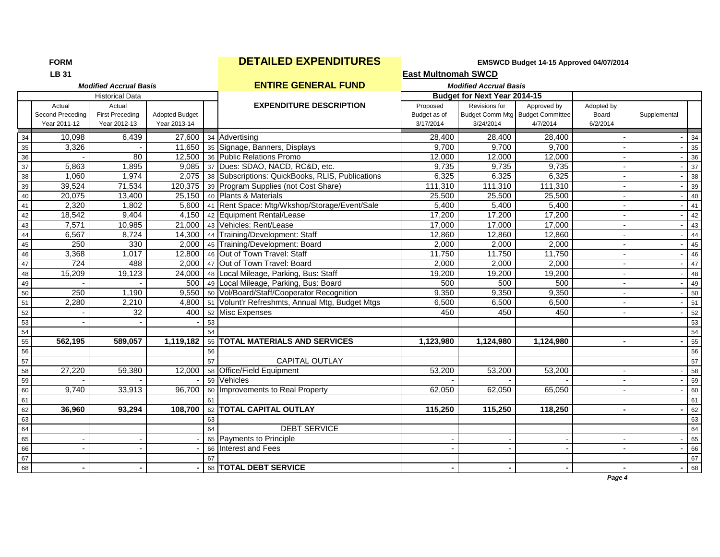# **FORM EXPENDITURES EMSWCD Budget 14-15 Approved 04/07/2014**<br> **Example 24**

|--|--|

|                 | <b>LB 31</b>                               |                                                  |                                       |    |                                                            | <b>East Multnomah SWCD</b>            |                               |                                                             |                                 |              |             |
|-----------------|--------------------------------------------|--------------------------------------------------|---------------------------------------|----|------------------------------------------------------------|---------------------------------------|-------------------------------|-------------------------------------------------------------|---------------------------------|--------------|-------------|
|                 |                                            | <b>Modified Accrual Basis</b>                    |                                       |    | <b>ENTIRE GENERAL FUND</b>                                 |                                       | <b>Modified Accrual Basis</b> |                                                             |                                 |              |             |
|                 |                                            | <b>Historical Data</b>                           |                                       |    |                                                            |                                       | Budget for Next Year 2014-15  |                                                             |                                 |              |             |
|                 | Actual<br>Second Preceding<br>Year 2011-12 | Actual<br><b>First Preceding</b><br>Year 2012-13 | <b>Adopted Budget</b><br>Year 2013-14 |    | <b>EXPENDITURE DESCRIPTION</b>                             | Proposed<br>Budget as of<br>3/17/2014 | Revisions for<br>3/24/2014    | Approved by<br>Budget Comm Mtg Budget Committee<br>4/7/2014 | Adopted by<br>Board<br>6/2/2014 | Supplemental |             |
| 34              | 10,098                                     | 6,439                                            | 27,600                                |    | 34 Advertising                                             | 28,400                                | 28,400                        | 28,400                                                      |                                 |              | 34          |
| 35              | 3,326                                      |                                                  | 11,650                                |    | 35 Signage, Banners, Displays                              | 9,700                                 | 9,700                         | 9,700                                                       |                                 |              | 35          |
| 36              |                                            | 80                                               | 12,500                                |    | 36 Public Relations Promo                                  | 12,000                                | 12,000                        | 12,000                                                      |                                 |              | 36          |
| $\overline{37}$ | 5,863                                      | 1,895                                            | 9,085                                 |    | 37 Dues: SDAO, NACD, RC&D, etc.                            | 9,735                                 | 9,735                         | 9,735                                                       |                                 |              | 37          |
| 38              | 1,060                                      | 1,974                                            |                                       |    | 2,075   38   Subscriptions: QuickBooks, RLIS, Publications | 6,325                                 | 6,325                         | 6,325                                                       | $\sim$                          |              | $rac{8}{5}$ |
| 39              | 39,524                                     | 71,534                                           | 120,375                               |    | 39 Program Supplies (not Cost Share)                       | 111,310                               | 111,310                       | 111,310                                                     |                                 |              | 39          |
| 40              | 20,075                                     | 13,400                                           | 25,150                                |    | 40 Plants & Materials                                      | 25,500                                | 25,500                        | 25,500                                                      |                                 |              | 40          |
| 41              | 2,320                                      | 1,802                                            | 5,600                                 |    | 41 Rent Space: Mtg/Wkshop/Storage/Event/Sale               | 5,400                                 | 5,400                         | 5,400                                                       |                                 |              | 41          |
| 42              | 18,542                                     | 9,404                                            | 4,150                                 |    | 42 Equipment Rental/Lease                                  | 17,200                                | 17,200                        | 17,200                                                      |                                 |              | 42          |
| 43              | 7,571                                      | 10,985                                           | 21,000                                |    | 43 Vehicles: Rent/Lease                                    | 17,000                                | 17,000                        | 17,000                                                      | $\blacksquare$                  |              | 43          |
| 44              | 6,567                                      | 8,724                                            | 14,300                                |    | 44 Training/Development: Staff                             | 12,860                                | 12,860                        | 12,860                                                      |                                 |              | 44          |
| 45              | 250                                        | 330                                              | 2,000                                 |    | 45 Training/Development: Board                             | 2,000                                 | 2,000                         | 2,000                                                       |                                 |              | 45          |
| 46              | 3,368                                      | 1,017                                            | 12,800                                |    | 46 Out of Town Travel: Staff                               | 11,750                                | 11,750                        | 11,750                                                      |                                 |              | 46          |
| 47              | 724                                        | 488                                              | 2,000                                 |    | 47 Out of Town Travel: Board                               | 2,000                                 | 2,000                         | 2,000                                                       |                                 |              | 47          |
| 48              | 15,209                                     | 19,123                                           | 24,000                                |    | 48 Local Mileage, Parking, Bus: Staff                      | 19,200                                | 19,200                        | 19,200                                                      |                                 |              | 48          |
| 49              |                                            |                                                  | 500                                   |    | 49 Local Mileage, Parking, Bus: Board                      | 500                                   | 500                           | 500                                                         | $\blacksquare$                  |              | 49          |
| 50              | 250                                        | 1,190                                            | 9,550                                 |    | 50 Vol/Board/Staff/Cooperator Recognition                  | 9,350                                 | 9,350                         | 9,350                                                       |                                 |              | 50          |
| $\overline{51}$ | 2,280                                      | 2,210                                            | 4,800                                 |    | 51 Volunt'r Refreshmts, Annual Mtg, Budget Mtgs            | 6,500                                 | 6,500                         | 6,500                                                       |                                 |              | 51          |
| 52              |                                            | 32                                               | 400                                   |    | 52 Misc Expenses                                           | 450                                   | 450                           | 450                                                         |                                 |              | 52          |
| 53              |                                            |                                                  |                                       | 53 |                                                            |                                       |                               |                                                             |                                 |              | 53          |
| 54              |                                            |                                                  |                                       | 54 |                                                            |                                       |                               |                                                             |                                 |              | 54          |
| 55              | 562,195                                    | 589,057                                          | 1,119,182                             |    | 55 TOTAL MATERIALS AND SERVICES                            | 1,123,980                             | 1,124,980                     | 1,124,980                                                   |                                 |              | 55          |
| 56              |                                            |                                                  |                                       | 56 |                                                            |                                       |                               |                                                             |                                 |              | 56          |
| 57              |                                            |                                                  |                                       | 57 | <b>CAPITAL OUTLAY</b>                                      |                                       |                               |                                                             |                                 |              | 57          |
| 58              | 27,220                                     | 59,380                                           | 12,000                                |    | 58 Office/Field Equipment                                  | 53,200                                | 53,200                        | 53,200                                                      |                                 |              | 58          |
| 59              |                                            |                                                  |                                       |    | 59 Vehicles                                                |                                       |                               |                                                             |                                 |              | 59          |
| 60              | 9,740                                      | 33,913                                           | 96,700                                |    | 60 Improvements to Real Property                           | 62,050                                | 62,050                        | 65,050                                                      |                                 |              | 60          |
| 61              |                                            |                                                  |                                       | 61 |                                                            |                                       |                               |                                                             |                                 |              | 61          |
| 62              | 36,960                                     | 93,294                                           | 108,700                               |    | 62 TOTAL CAPITAL OUTLAY                                    | 115,250                               | 115,250                       | 118,250                                                     |                                 |              | 62          |
| 63              |                                            |                                                  |                                       | 63 |                                                            |                                       |                               |                                                             |                                 |              | 63          |
| 64              |                                            |                                                  |                                       | 64 | <b>DEBT SERVICE</b>                                        |                                       |                               |                                                             |                                 |              | 64          |
| 65              |                                            |                                                  |                                       |    | 65 Payments to Principle                                   |                                       |                               |                                                             |                                 |              | 65          |
| 66              |                                            |                                                  |                                       |    | 66 Interest and Fees                                       |                                       |                               |                                                             |                                 |              | 66          |
| 67              |                                            |                                                  |                                       | 67 |                                                            |                                       |                               |                                                             |                                 |              | 67          |
| 68              |                                            |                                                  |                                       |    | 68 TOTAL DEBT SERVICE                                      |                                       |                               |                                                             |                                 |              | 68          |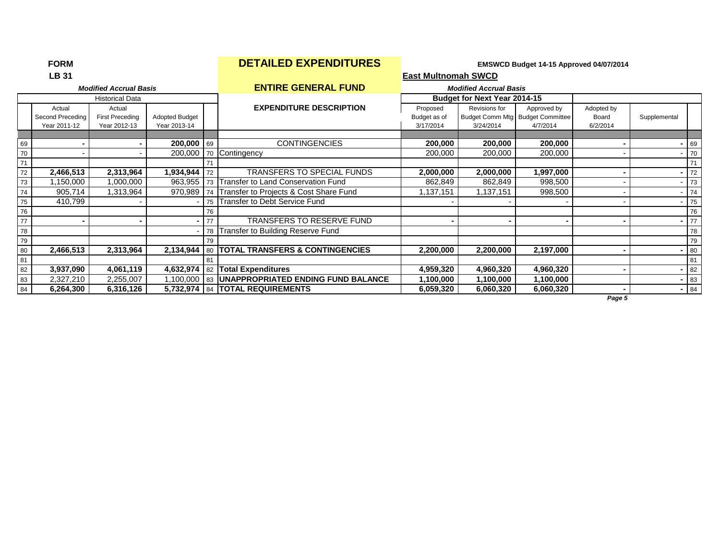|    | LB 31                                      |                                                  |                                       |    | <b>East Multnomah SWCD</b>                      |                                       |                                     |                                                             |                                 |              |        |  |  |  |
|----|--------------------------------------------|--------------------------------------------------|---------------------------------------|----|-------------------------------------------------|---------------------------------------|-------------------------------------|-------------------------------------------------------------|---------------------------------|--------------|--------|--|--|--|
|    |                                            | <b>Modified Accrual Basis</b>                    |                                       |    | <b>ENTIRE GENERAL FUND</b>                      |                                       | <b>Modified Accrual Basis</b>       |                                                             |                                 |              |        |  |  |  |
|    |                                            | <b>Historical Data</b>                           |                                       |    |                                                 |                                       | <b>Budget for Next Year 2014-15</b> |                                                             |                                 |              |        |  |  |  |
|    | Actual<br>Second Preceding<br>Year 2011-12 | Actual<br><b>First Preceding</b><br>Year 2012-13 | <b>Adopted Budget</b><br>Year 2013-14 |    | <b>EXPENDITURE DESCRIPTION</b>                  | Proposed<br>Budget as of<br>3/17/2014 | Revisions for<br>3/24/2014          | Approved by<br>Budget Comm Mtg Budget Committee<br>4/7/2014 | Adopted by<br>Board<br>6/2/2014 | Supplemental |        |  |  |  |
|    |                                            |                                                  |                                       |    |                                                 |                                       |                                     |                                                             |                                 |              |        |  |  |  |
| 69 |                                            |                                                  | $200,000$ 69                          |    | <b>CONTINGENCIES</b>                            | 200,000                               | 200,000                             | 200,000                                                     |                                 |              | 69     |  |  |  |
| 70 |                                            |                                                  | 200,000                               |    | 70 Contingency                                  | 200,000                               | 200,000                             | 200,000                                                     |                                 |              | 70     |  |  |  |
| 71 |                                            |                                                  |                                       |    |                                                 |                                       |                                     |                                                             |                                 |              | 71     |  |  |  |
| 72 | 2,466,513                                  | 2,313,964                                        | 1,934,944                             | 72 | TRANSFERS TO SPECIAL FUNDS                      | 2,000,000                             | 2,000,000                           | 1,997,000                                                   |                                 |              | 72     |  |  |  |
| 73 | ,150,000                                   | 1,000,000                                        | 963,955                               |    | 73 Transfer to Land Conservation Fund           | 862,849                               | 862,849                             | 998,500                                                     |                                 |              | 73     |  |  |  |
| 74 | 905,714                                    | 1,313,964                                        | 970,989                               |    | 74 Transfer to Projects & Cost Share Fund       | 1,137,151                             | 1,137,151                           | 998,500                                                     |                                 |              | 74     |  |  |  |
| 75 | 410,799                                    |                                                  |                                       |    | 75 Transfer to Debt Service Fund                |                                       |                                     |                                                             |                                 |              | 75     |  |  |  |
| 76 |                                            |                                                  |                                       | 76 |                                                 |                                       |                                     |                                                             |                                 |              | 76     |  |  |  |
| 77 |                                            |                                                  |                                       | 77 | <b>TRANSFERS TO RESERVE FUND</b>                |                                       |                                     |                                                             |                                 |              | 77     |  |  |  |
| 78 |                                            |                                                  |                                       |    | 78 Transfer to Building Reserve Fund            |                                       |                                     |                                                             |                                 |              | 78     |  |  |  |
| 79 |                                            |                                                  |                                       | 79 |                                                 |                                       |                                     |                                                             |                                 |              | 79     |  |  |  |
| 80 | 2,466,513                                  | 2,313,964                                        | 2,134,944                             | 80 | <b>ITOTAL TRANSFERS &amp; CONTINGENCIES</b>     | 2,200,000                             | 2,200,000                           | 2,197,000                                                   |                                 |              | 80     |  |  |  |
| 81 |                                            |                                                  |                                       | 81 |                                                 |                                       |                                     |                                                             |                                 |              | 81     |  |  |  |
| 82 | 3,937,090                                  | 4,061,119                                        | 4,632,974                             |    | 82 Total Expenditures                           | 4,959,320                             | 4,960,320                           | 4,960,320                                                   |                                 |              | 82     |  |  |  |
| 83 | 2,327,210                                  | 2,255,007                                        |                                       |    | 1,100,000 83 UNAPPROPRIATED ENDING FUND BALANCE | 1,100,000                             | 1,100,000                           | 1,100,000                                                   |                                 |              | 83     |  |  |  |
| 84 | 6,264,300                                  | 6,316,126                                        |                                       |    | 5,732,974   84   TOTAL REQUIREMENTS             | 6,059,320                             | 6,060,320                           | 6,060,320                                                   |                                 |              | $- 84$ |  |  |  |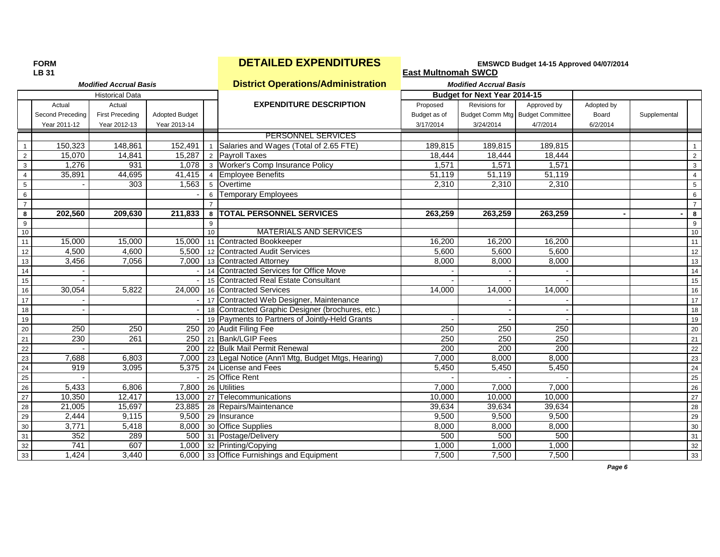## **FORM EMSWCD Budget 14-15 Approved 04/07/2014**<br> **Reserved 04/07/2014**<br> **Exact Multhomab SWCD**

|                 | LB 31            |                               |                       |                 |                                                   | <b>East Multnomah SWCD</b> |                               |                                  |            |              |                 |
|-----------------|------------------|-------------------------------|-----------------------|-----------------|---------------------------------------------------|----------------------------|-------------------------------|----------------------------------|------------|--------------|-----------------|
|                 |                  | <b>Modified Accrual Basis</b> |                       |                 | <b>District Operations/Administration</b>         |                            | <b>Modified Accrual Basis</b> |                                  |            |              |                 |
|                 |                  | <b>Historical Data</b>        |                       |                 |                                                   |                            | Budget for Next Year 2014-15  |                                  |            |              |                 |
|                 | Actual           | Actual                        |                       |                 | <b>EXPENDITURE DESCRIPTION</b>                    | Proposed                   | Revisions for                 | Approved by                      | Adopted by |              |                 |
|                 | Second Preceding | <b>First Preceding</b>        | <b>Adopted Budget</b> |                 |                                                   | Budget as of               |                               | Budget Comm Mtg Budget Committee | Board      | Supplemental |                 |
|                 | Year 2011-12     | Year 2012-13                  | Year 2013-14          |                 |                                                   | 3/17/2014                  | 3/24/2014                     | 4/7/2014                         | 6/2/2014   |              |                 |
|                 |                  |                               |                       |                 | PERSONNEL SERVICES                                |                            |                               |                                  |            |              |                 |
| $\mathbf{1}$    | 150,323          | 148,861                       | 152,491               |                 | 1 Salaries and Wages (Total of 2.65 FTE)          | 189,815                    | 189,815                       | 189,815                          |            |              | $\mathbf{1}$    |
| $\overline{2}$  | 15,070           | 14,841                        | 15.287                |                 | 2 Payroll Taxes                                   | 18,444                     | 18,444                        | 18,444                           |            |              | 2               |
| 3               | 1,276            | 931                           |                       |                 | 1,078 3 Worker's Comp Insurance Policy            | 1,571                      | 1,571                         | 1,571                            |            |              | $\mathbf{3}$    |
| $\overline{4}$  | 35,891           | 44,695                        | 41,415                | $\overline{4}$  | <b>Employee Benefits</b>                          | 51,119                     | 51,119                        | 51,119                           |            |              | $\overline{4}$  |
| 5               |                  | 303                           | 1,563                 | $5\overline{5}$ | Overtime                                          | 2,310                      | 2,310                         | 2,310                            |            |              | 5               |
| 6               |                  |                               |                       | 6               | <b>Temporary Employees</b>                        |                            |                               |                                  |            |              | 6               |
| $\overline{7}$  |                  |                               |                       |                 |                                                   |                            |                               |                                  |            |              | $\overline{7}$  |
| 8               | 202,560          | 209,630                       | 211,833               | 8               | <b>TOTAL PERSONNEL SERVICES</b>                   | 263,259                    | 263,259                       | 263,259                          |            |              | 8               |
| 9               |                  |                               |                       | 9               |                                                   |                            |                               |                                  |            |              | 9               |
| 10              |                  |                               |                       | 10              | <b>MATERIALS AND SERVICES</b>                     |                            |                               |                                  |            |              | 10              |
| 11              | 15,000           | 15,000                        | 15,000                |                 | 11 Contracted Bookkeeper                          | 16,200                     | 16,200                        | 16,200                           |            |              | 11              |
| 12              | 4,500            | 4,600                         | 5,500                 |                 | 12 Contracted Audit Services                      | 5,600                      | 5,600                         | 5,600                            |            |              | 12              |
| $13$            | 3,456            | 7,056                         | 7,000                 |                 | 13 Contracted Attorney                            | 8,000                      | 8,000                         | 8,000                            |            |              | 13              |
| 14              |                  |                               |                       | 14              | Contracted Services for Office Move               |                            |                               |                                  |            |              | 14              |
| 15              |                  |                               |                       | 15              | Contracted Real Estate Consultant                 |                            |                               |                                  |            |              | 15              |
| 16              | 30,054           | 5,822                         | 24,000                |                 | 16 Contracted Services                            | 14,000                     | 14,000                        | 14,000                           |            |              | 16              |
| $17$            |                  |                               |                       |                 | 17 Contracted Web Designer, Maintenance           |                            |                               |                                  |            |              | 17              |
| 18              |                  |                               |                       |                 | 18 Contracted Graphic Designer (brochures, etc.)  |                            |                               |                                  |            |              | 18              |
| 19              |                  |                               |                       |                 | 19 Payments to Partners of Jointly-Held Grants    |                            |                               |                                  |            |              | 19              |
| 20              | 250              | 250                           | 250                   |                 | 20 Audit Filing Fee                               | 250                        | 250                           | 250                              |            |              | 20              |
| $\overline{21}$ | 230              | 261                           | 250                   |                 | 21 Bank/LGIP Fees                                 | 250                        | 250                           | 250                              |            |              | 21              |
| 22              |                  |                               | 200                   |                 | 22 Bulk Mail Permit Renewal                       | 200                        | 200                           | 200                              |            |              | 22              |
| 23              | 7,688            | 6,803                         | 7,000                 |                 | 23 Legal Notice (Ann'l Mtg, Budget Mtgs, Hearing) | 7,000                      | 8,000                         | 8,000                            |            |              | 23              |
| $24\,$          | 919              | 3,095                         | 5,375                 |                 | 24 License and Fees                               | 5,450                      | 5,450                         | 5,450                            |            |              | $\overline{24}$ |
| 25              |                  |                               |                       |                 | 25 Office Rent                                    |                            |                               |                                  |            |              | 25              |
| 26              | 5,433            | 6,806                         | 7,800                 |                 | 26 Utilities                                      | 7,000                      | 7,000                         | 7,000                            |            |              | 26              |
| $27\,$          | 10,350           | 12,417                        | 13,000                |                 | 27 Telecommunications                             | 10,000                     | 10,000                        | 10,000                           |            |              | $\overline{27}$ |
| 28              | 21,005           | 15,697                        | 23,885                |                 | 28 Repairs/Maintenance                            | 39,634                     | 39,634                        | 39,634                           |            |              | 28              |
| 29              | 2,444            | 9,115                         | 9,500                 |                 | 29 Insurance                                      | 9,500                      | 9,500                         | 9,500                            |            |              | 29              |
| 30              | 3,771            | 5,418                         | 8,000                 |                 | 30 Office Supplies                                | 8,000                      | 8,000                         | 8,000                            |            |              | 30              |
| 31              | 352              | 289                           | 500                   |                 | 31 Postage/Delivery                               | 500                        | 500                           | 500                              |            |              | 31              |
| 32              | 741              | 607                           | 1,000                 |                 | 32 Printing/Copying                               | 1,000                      | 1,000                         | 1,000                            |            |              | 32              |
| 33              | 1,424            | 3,440                         |                       |                 | 6,000 33 Office Furnishings and Equipment         | 7,500                      | 7,500                         | 7,500                            |            |              | 33              |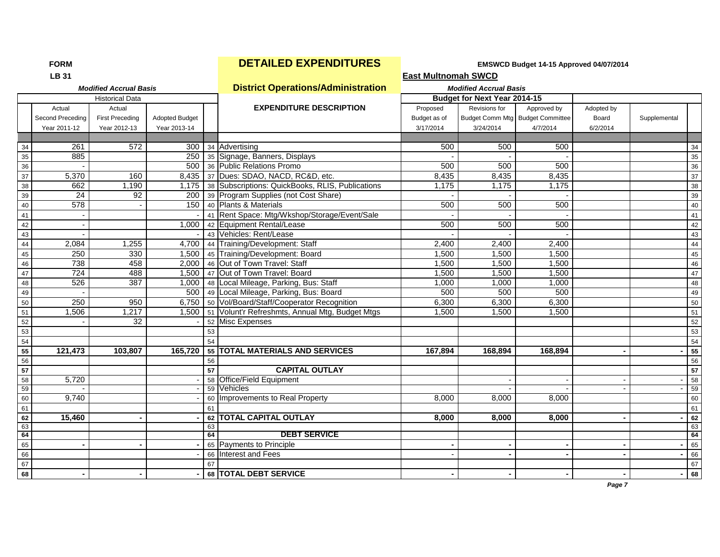| <b>LB 31</b>                  |                                           | <b>East Multnomah SWCD</b>    |
|-------------------------------|-------------------------------------------|-------------------------------|
| <b>Modified Accrual Basis</b> | <b>District Operations/Administration</b> | <b>Modified Accrual Basis</b> |

| <b>Budget for Next Year 2014-15</b><br><b>Historical Data</b><br><b>EXPENDITURE DESCRIPTION</b><br>Revisions for<br>Actual<br>Proposed<br>Approved by<br>Adopted by<br>Actual<br><b>First Preceding</b><br>Budget Comm Mtg Budget Committee<br>Second Preceding<br><b>Adopted Budget</b><br>Budget as of<br>Board<br>Supplemental<br>Year 2011-12<br>Year 2012-13<br>Year 2013-14<br>3/17/2014<br>3/24/2014<br>4/7/2014<br>6/2/2014<br>261<br>572<br>300 34 Advertising<br>500<br>500<br>500<br>34<br>885<br>35<br>250 35 Signage, Banners, Displays<br>500 36 Public Relations Promo<br>500<br>500<br>500<br>$36\,$<br>5,370<br>160<br>8,435 37 Dues: SDAO, NACD, RC&D, etc.<br>8,435<br>8,435<br>37<br>8,435<br>662<br>1,175 38 Subscriptions: QuickBooks, RLIS, Publications<br>1,190<br>1,175<br>1,175<br>1,175<br>38<br>24<br>200 39 Program Supplies (not Cost Share)<br>39<br>92<br>578<br>500<br>500<br>150<br>40 Plants & Materials<br>500<br>40<br>41 Rent Space: Mtg/Wkshop/Storage/Event/Sale<br>41<br>500<br>500<br>500<br>42<br>1,000<br>42 Equipment Rental/Lease<br>43 Vehicles: Rent/Lease<br>43<br>2,084<br>1,255<br>4,700 44 Training/Development: Staff<br>2,400<br>2,400<br>2,400<br>44<br>250<br>330<br>1,500 45 Training/Development: Board<br>1,500<br>1,500<br>1,500<br>45<br>738<br>458<br>2,000 46 Out of Town Travel: Staff<br>1,500<br>1,500<br>1,500<br>46<br>$\overline{724}$<br>488<br>47 Out of Town Travel: Board<br>1,500<br>1,500<br>1,500<br>47<br>1,500<br>526<br>387<br>1,000<br>1,000<br>1,000 48 Local Mileage, Parking, Bus: Staff<br>1,000<br>48<br>500 49 Local Mileage, Parking, Bus: Board<br>500<br>500<br>500<br>49<br>250<br>950<br>6,750   50   Vol/Board/Staff/Cooperator Recognition<br>6,300<br>6,300<br>6,300<br>50<br>1,500   51   Volunt'r Refreshmts, Annual Mtg, Budget Mtgs<br>1,506<br>1,217<br>51<br>1.500<br>1.500<br>1.500<br>52<br>32<br>52 Misc Expenses<br>53<br>53<br>54<br>54<br>121,473<br>55 TOTAL MATERIALS AND SERVICES<br>55<br>103,807<br>165,720<br>167,894<br>168,894<br>168,894<br>56<br>56<br><b>CAPITAL OUTLAY</b><br>57<br>57<br>5,720<br><b>Office/Field Equipment</b><br>58<br>58<br>59<br>Vehicles<br>59<br>9,740<br>60 Improvements to Real Property<br>60<br>8,000<br>8,000<br>8,000<br>61<br>61<br><b>TOTAL CAPITAL OUTLAY</b><br>15,460<br>8,000<br>8.000<br>8,000<br>62<br>62<br>63<br>63<br><b>DEBT SERVICE</b><br>64<br>64<br>65 Payments to Principle<br>65<br>66 Interest and Fees<br>66<br>67<br>67<br>68 TOTAL DEBT SERVICE<br>68 | MUUILICU ACCIUAI DASIS |  |  |  | <u>District Operations/Administration</u> | <b><i>INCONTED ACCIUS DASIS</i></b> |  |  |  |    |
|---------------------------------------------------------------------------------------------------------------------------------------------------------------------------------------------------------------------------------------------------------------------------------------------------------------------------------------------------------------------------------------------------------------------------------------------------------------------------------------------------------------------------------------------------------------------------------------------------------------------------------------------------------------------------------------------------------------------------------------------------------------------------------------------------------------------------------------------------------------------------------------------------------------------------------------------------------------------------------------------------------------------------------------------------------------------------------------------------------------------------------------------------------------------------------------------------------------------------------------------------------------------------------------------------------------------------------------------------------------------------------------------------------------------------------------------------------------------------------------------------------------------------------------------------------------------------------------------------------------------------------------------------------------------------------------------------------------------------------------------------------------------------------------------------------------------------------------------------------------------------------------------------------------------------------------------------------------------------------------------------------------------------------------------------------------------------------------------------------------------------------------------------------------------------------------------------------------------------------------------------------------------------------------------------------------------------------------------------------------------------------------------------------------------------------------------------------------------------------------------------------------------------------|------------------------|--|--|--|-------------------------------------------|-------------------------------------|--|--|--|----|
|                                                                                                                                                                                                                                                                                                                                                                                                                                                                                                                                                                                                                                                                                                                                                                                                                                                                                                                                                                                                                                                                                                                                                                                                                                                                                                                                                                                                                                                                                                                                                                                                                                                                                                                                                                                                                                                                                                                                                                                                                                                                                                                                                                                                                                                                                                                                                                                                                                                                                                                                 |                        |  |  |  |                                           |                                     |  |  |  |    |
|                                                                                                                                                                                                                                                                                                                                                                                                                                                                                                                                                                                                                                                                                                                                                                                                                                                                                                                                                                                                                                                                                                                                                                                                                                                                                                                                                                                                                                                                                                                                                                                                                                                                                                                                                                                                                                                                                                                                                                                                                                                                                                                                                                                                                                                                                                                                                                                                                                                                                                                                 |                        |  |  |  |                                           |                                     |  |  |  |    |
|                                                                                                                                                                                                                                                                                                                                                                                                                                                                                                                                                                                                                                                                                                                                                                                                                                                                                                                                                                                                                                                                                                                                                                                                                                                                                                                                                                                                                                                                                                                                                                                                                                                                                                                                                                                                                                                                                                                                                                                                                                                                                                                                                                                                                                                                                                                                                                                                                                                                                                                                 |                        |  |  |  |                                           |                                     |  |  |  |    |
|                                                                                                                                                                                                                                                                                                                                                                                                                                                                                                                                                                                                                                                                                                                                                                                                                                                                                                                                                                                                                                                                                                                                                                                                                                                                                                                                                                                                                                                                                                                                                                                                                                                                                                                                                                                                                                                                                                                                                                                                                                                                                                                                                                                                                                                                                                                                                                                                                                                                                                                                 |                        |  |  |  |                                           |                                     |  |  |  |    |
|                                                                                                                                                                                                                                                                                                                                                                                                                                                                                                                                                                                                                                                                                                                                                                                                                                                                                                                                                                                                                                                                                                                                                                                                                                                                                                                                                                                                                                                                                                                                                                                                                                                                                                                                                                                                                                                                                                                                                                                                                                                                                                                                                                                                                                                                                                                                                                                                                                                                                                                                 |                        |  |  |  |                                           |                                     |  |  |  |    |
|                                                                                                                                                                                                                                                                                                                                                                                                                                                                                                                                                                                                                                                                                                                                                                                                                                                                                                                                                                                                                                                                                                                                                                                                                                                                                                                                                                                                                                                                                                                                                                                                                                                                                                                                                                                                                                                                                                                                                                                                                                                                                                                                                                                                                                                                                                                                                                                                                                                                                                                                 |                        |  |  |  |                                           |                                     |  |  |  | 34 |
|                                                                                                                                                                                                                                                                                                                                                                                                                                                                                                                                                                                                                                                                                                                                                                                                                                                                                                                                                                                                                                                                                                                                                                                                                                                                                                                                                                                                                                                                                                                                                                                                                                                                                                                                                                                                                                                                                                                                                                                                                                                                                                                                                                                                                                                                                                                                                                                                                                                                                                                                 |                        |  |  |  |                                           |                                     |  |  |  | 35 |
|                                                                                                                                                                                                                                                                                                                                                                                                                                                                                                                                                                                                                                                                                                                                                                                                                                                                                                                                                                                                                                                                                                                                                                                                                                                                                                                                                                                                                                                                                                                                                                                                                                                                                                                                                                                                                                                                                                                                                                                                                                                                                                                                                                                                                                                                                                                                                                                                                                                                                                                                 |                        |  |  |  |                                           |                                     |  |  |  | 36 |
|                                                                                                                                                                                                                                                                                                                                                                                                                                                                                                                                                                                                                                                                                                                                                                                                                                                                                                                                                                                                                                                                                                                                                                                                                                                                                                                                                                                                                                                                                                                                                                                                                                                                                                                                                                                                                                                                                                                                                                                                                                                                                                                                                                                                                                                                                                                                                                                                                                                                                                                                 |                        |  |  |  |                                           |                                     |  |  |  | 37 |
|                                                                                                                                                                                                                                                                                                                                                                                                                                                                                                                                                                                                                                                                                                                                                                                                                                                                                                                                                                                                                                                                                                                                                                                                                                                                                                                                                                                                                                                                                                                                                                                                                                                                                                                                                                                                                                                                                                                                                                                                                                                                                                                                                                                                                                                                                                                                                                                                                                                                                                                                 |                        |  |  |  |                                           |                                     |  |  |  | 38 |
|                                                                                                                                                                                                                                                                                                                                                                                                                                                                                                                                                                                                                                                                                                                                                                                                                                                                                                                                                                                                                                                                                                                                                                                                                                                                                                                                                                                                                                                                                                                                                                                                                                                                                                                                                                                                                                                                                                                                                                                                                                                                                                                                                                                                                                                                                                                                                                                                                                                                                                                                 |                        |  |  |  |                                           |                                     |  |  |  | 39 |
|                                                                                                                                                                                                                                                                                                                                                                                                                                                                                                                                                                                                                                                                                                                                                                                                                                                                                                                                                                                                                                                                                                                                                                                                                                                                                                                                                                                                                                                                                                                                                                                                                                                                                                                                                                                                                                                                                                                                                                                                                                                                                                                                                                                                                                                                                                                                                                                                                                                                                                                                 |                        |  |  |  |                                           |                                     |  |  |  | 40 |
|                                                                                                                                                                                                                                                                                                                                                                                                                                                                                                                                                                                                                                                                                                                                                                                                                                                                                                                                                                                                                                                                                                                                                                                                                                                                                                                                                                                                                                                                                                                                                                                                                                                                                                                                                                                                                                                                                                                                                                                                                                                                                                                                                                                                                                                                                                                                                                                                                                                                                                                                 |                        |  |  |  |                                           |                                     |  |  |  | 41 |
|                                                                                                                                                                                                                                                                                                                                                                                                                                                                                                                                                                                                                                                                                                                                                                                                                                                                                                                                                                                                                                                                                                                                                                                                                                                                                                                                                                                                                                                                                                                                                                                                                                                                                                                                                                                                                                                                                                                                                                                                                                                                                                                                                                                                                                                                                                                                                                                                                                                                                                                                 |                        |  |  |  |                                           |                                     |  |  |  | 42 |
|                                                                                                                                                                                                                                                                                                                                                                                                                                                                                                                                                                                                                                                                                                                                                                                                                                                                                                                                                                                                                                                                                                                                                                                                                                                                                                                                                                                                                                                                                                                                                                                                                                                                                                                                                                                                                                                                                                                                                                                                                                                                                                                                                                                                                                                                                                                                                                                                                                                                                                                                 |                        |  |  |  |                                           |                                     |  |  |  | 43 |
|                                                                                                                                                                                                                                                                                                                                                                                                                                                                                                                                                                                                                                                                                                                                                                                                                                                                                                                                                                                                                                                                                                                                                                                                                                                                                                                                                                                                                                                                                                                                                                                                                                                                                                                                                                                                                                                                                                                                                                                                                                                                                                                                                                                                                                                                                                                                                                                                                                                                                                                                 |                        |  |  |  |                                           |                                     |  |  |  | 44 |
|                                                                                                                                                                                                                                                                                                                                                                                                                                                                                                                                                                                                                                                                                                                                                                                                                                                                                                                                                                                                                                                                                                                                                                                                                                                                                                                                                                                                                                                                                                                                                                                                                                                                                                                                                                                                                                                                                                                                                                                                                                                                                                                                                                                                                                                                                                                                                                                                                                                                                                                                 |                        |  |  |  |                                           |                                     |  |  |  | 45 |
|                                                                                                                                                                                                                                                                                                                                                                                                                                                                                                                                                                                                                                                                                                                                                                                                                                                                                                                                                                                                                                                                                                                                                                                                                                                                                                                                                                                                                                                                                                                                                                                                                                                                                                                                                                                                                                                                                                                                                                                                                                                                                                                                                                                                                                                                                                                                                                                                                                                                                                                                 |                        |  |  |  |                                           |                                     |  |  |  | 46 |
|                                                                                                                                                                                                                                                                                                                                                                                                                                                                                                                                                                                                                                                                                                                                                                                                                                                                                                                                                                                                                                                                                                                                                                                                                                                                                                                                                                                                                                                                                                                                                                                                                                                                                                                                                                                                                                                                                                                                                                                                                                                                                                                                                                                                                                                                                                                                                                                                                                                                                                                                 |                        |  |  |  |                                           |                                     |  |  |  | 47 |
|                                                                                                                                                                                                                                                                                                                                                                                                                                                                                                                                                                                                                                                                                                                                                                                                                                                                                                                                                                                                                                                                                                                                                                                                                                                                                                                                                                                                                                                                                                                                                                                                                                                                                                                                                                                                                                                                                                                                                                                                                                                                                                                                                                                                                                                                                                                                                                                                                                                                                                                                 |                        |  |  |  |                                           |                                     |  |  |  | 48 |
|                                                                                                                                                                                                                                                                                                                                                                                                                                                                                                                                                                                                                                                                                                                                                                                                                                                                                                                                                                                                                                                                                                                                                                                                                                                                                                                                                                                                                                                                                                                                                                                                                                                                                                                                                                                                                                                                                                                                                                                                                                                                                                                                                                                                                                                                                                                                                                                                                                                                                                                                 |                        |  |  |  |                                           |                                     |  |  |  | 49 |
|                                                                                                                                                                                                                                                                                                                                                                                                                                                                                                                                                                                                                                                                                                                                                                                                                                                                                                                                                                                                                                                                                                                                                                                                                                                                                                                                                                                                                                                                                                                                                                                                                                                                                                                                                                                                                                                                                                                                                                                                                                                                                                                                                                                                                                                                                                                                                                                                                                                                                                                                 |                        |  |  |  |                                           |                                     |  |  |  | 50 |
|                                                                                                                                                                                                                                                                                                                                                                                                                                                                                                                                                                                                                                                                                                                                                                                                                                                                                                                                                                                                                                                                                                                                                                                                                                                                                                                                                                                                                                                                                                                                                                                                                                                                                                                                                                                                                                                                                                                                                                                                                                                                                                                                                                                                                                                                                                                                                                                                                                                                                                                                 |                        |  |  |  |                                           |                                     |  |  |  | 51 |
|                                                                                                                                                                                                                                                                                                                                                                                                                                                                                                                                                                                                                                                                                                                                                                                                                                                                                                                                                                                                                                                                                                                                                                                                                                                                                                                                                                                                                                                                                                                                                                                                                                                                                                                                                                                                                                                                                                                                                                                                                                                                                                                                                                                                                                                                                                                                                                                                                                                                                                                                 |                        |  |  |  |                                           |                                     |  |  |  | 52 |
|                                                                                                                                                                                                                                                                                                                                                                                                                                                                                                                                                                                                                                                                                                                                                                                                                                                                                                                                                                                                                                                                                                                                                                                                                                                                                                                                                                                                                                                                                                                                                                                                                                                                                                                                                                                                                                                                                                                                                                                                                                                                                                                                                                                                                                                                                                                                                                                                                                                                                                                                 |                        |  |  |  |                                           |                                     |  |  |  | 53 |
|                                                                                                                                                                                                                                                                                                                                                                                                                                                                                                                                                                                                                                                                                                                                                                                                                                                                                                                                                                                                                                                                                                                                                                                                                                                                                                                                                                                                                                                                                                                                                                                                                                                                                                                                                                                                                                                                                                                                                                                                                                                                                                                                                                                                                                                                                                                                                                                                                                                                                                                                 |                        |  |  |  |                                           |                                     |  |  |  | 54 |
|                                                                                                                                                                                                                                                                                                                                                                                                                                                                                                                                                                                                                                                                                                                                                                                                                                                                                                                                                                                                                                                                                                                                                                                                                                                                                                                                                                                                                                                                                                                                                                                                                                                                                                                                                                                                                                                                                                                                                                                                                                                                                                                                                                                                                                                                                                                                                                                                                                                                                                                                 |                        |  |  |  |                                           |                                     |  |  |  | 55 |
|                                                                                                                                                                                                                                                                                                                                                                                                                                                                                                                                                                                                                                                                                                                                                                                                                                                                                                                                                                                                                                                                                                                                                                                                                                                                                                                                                                                                                                                                                                                                                                                                                                                                                                                                                                                                                                                                                                                                                                                                                                                                                                                                                                                                                                                                                                                                                                                                                                                                                                                                 |                        |  |  |  |                                           |                                     |  |  |  | 56 |
|                                                                                                                                                                                                                                                                                                                                                                                                                                                                                                                                                                                                                                                                                                                                                                                                                                                                                                                                                                                                                                                                                                                                                                                                                                                                                                                                                                                                                                                                                                                                                                                                                                                                                                                                                                                                                                                                                                                                                                                                                                                                                                                                                                                                                                                                                                                                                                                                                                                                                                                                 |                        |  |  |  |                                           |                                     |  |  |  | 57 |
|                                                                                                                                                                                                                                                                                                                                                                                                                                                                                                                                                                                                                                                                                                                                                                                                                                                                                                                                                                                                                                                                                                                                                                                                                                                                                                                                                                                                                                                                                                                                                                                                                                                                                                                                                                                                                                                                                                                                                                                                                                                                                                                                                                                                                                                                                                                                                                                                                                                                                                                                 |                        |  |  |  |                                           |                                     |  |  |  | 58 |
|                                                                                                                                                                                                                                                                                                                                                                                                                                                                                                                                                                                                                                                                                                                                                                                                                                                                                                                                                                                                                                                                                                                                                                                                                                                                                                                                                                                                                                                                                                                                                                                                                                                                                                                                                                                                                                                                                                                                                                                                                                                                                                                                                                                                                                                                                                                                                                                                                                                                                                                                 |                        |  |  |  |                                           |                                     |  |  |  | 59 |
|                                                                                                                                                                                                                                                                                                                                                                                                                                                                                                                                                                                                                                                                                                                                                                                                                                                                                                                                                                                                                                                                                                                                                                                                                                                                                                                                                                                                                                                                                                                                                                                                                                                                                                                                                                                                                                                                                                                                                                                                                                                                                                                                                                                                                                                                                                                                                                                                                                                                                                                                 |                        |  |  |  |                                           |                                     |  |  |  | 60 |
|                                                                                                                                                                                                                                                                                                                                                                                                                                                                                                                                                                                                                                                                                                                                                                                                                                                                                                                                                                                                                                                                                                                                                                                                                                                                                                                                                                                                                                                                                                                                                                                                                                                                                                                                                                                                                                                                                                                                                                                                                                                                                                                                                                                                                                                                                                                                                                                                                                                                                                                                 |                        |  |  |  |                                           |                                     |  |  |  | 61 |
|                                                                                                                                                                                                                                                                                                                                                                                                                                                                                                                                                                                                                                                                                                                                                                                                                                                                                                                                                                                                                                                                                                                                                                                                                                                                                                                                                                                                                                                                                                                                                                                                                                                                                                                                                                                                                                                                                                                                                                                                                                                                                                                                                                                                                                                                                                                                                                                                                                                                                                                                 |                        |  |  |  |                                           |                                     |  |  |  | 62 |
|                                                                                                                                                                                                                                                                                                                                                                                                                                                                                                                                                                                                                                                                                                                                                                                                                                                                                                                                                                                                                                                                                                                                                                                                                                                                                                                                                                                                                                                                                                                                                                                                                                                                                                                                                                                                                                                                                                                                                                                                                                                                                                                                                                                                                                                                                                                                                                                                                                                                                                                                 |                        |  |  |  |                                           |                                     |  |  |  | 63 |
|                                                                                                                                                                                                                                                                                                                                                                                                                                                                                                                                                                                                                                                                                                                                                                                                                                                                                                                                                                                                                                                                                                                                                                                                                                                                                                                                                                                                                                                                                                                                                                                                                                                                                                                                                                                                                                                                                                                                                                                                                                                                                                                                                                                                                                                                                                                                                                                                                                                                                                                                 |                        |  |  |  |                                           |                                     |  |  |  | 64 |
|                                                                                                                                                                                                                                                                                                                                                                                                                                                                                                                                                                                                                                                                                                                                                                                                                                                                                                                                                                                                                                                                                                                                                                                                                                                                                                                                                                                                                                                                                                                                                                                                                                                                                                                                                                                                                                                                                                                                                                                                                                                                                                                                                                                                                                                                                                                                                                                                                                                                                                                                 |                        |  |  |  |                                           |                                     |  |  |  | 65 |
|                                                                                                                                                                                                                                                                                                                                                                                                                                                                                                                                                                                                                                                                                                                                                                                                                                                                                                                                                                                                                                                                                                                                                                                                                                                                                                                                                                                                                                                                                                                                                                                                                                                                                                                                                                                                                                                                                                                                                                                                                                                                                                                                                                                                                                                                                                                                                                                                                                                                                                                                 |                        |  |  |  |                                           |                                     |  |  |  | 66 |
|                                                                                                                                                                                                                                                                                                                                                                                                                                                                                                                                                                                                                                                                                                                                                                                                                                                                                                                                                                                                                                                                                                                                                                                                                                                                                                                                                                                                                                                                                                                                                                                                                                                                                                                                                                                                                                                                                                                                                                                                                                                                                                                                                                                                                                                                                                                                                                                                                                                                                                                                 |                        |  |  |  |                                           |                                     |  |  |  | 67 |
|                                                                                                                                                                                                                                                                                                                                                                                                                                                                                                                                                                                                                                                                                                                                                                                                                                                                                                                                                                                                                                                                                                                                                                                                                                                                                                                                                                                                                                                                                                                                                                                                                                                                                                                                                                                                                                                                                                                                                                                                                                                                                                                                                                                                                                                                                                                                                                                                                                                                                                                                 |                        |  |  |  |                                           |                                     |  |  |  | 68 |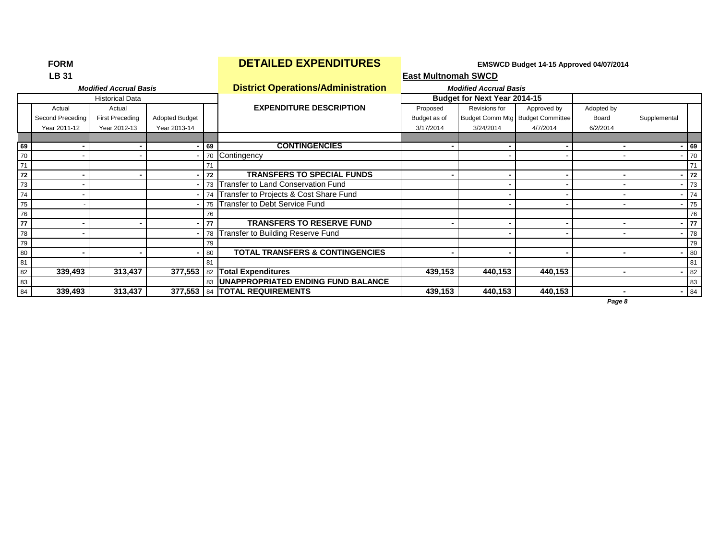**LB 31 East Multnomah SWCD** *Modified Accrual Basis* **District Operations/Administration** *Modified Accrual Basis* Historical Data **Budget for Next Year 2014-15** Actual **Actual Actual Contact RexpENDITURE DESCRIPTION** Proposed Revisions for Approved by Adopted by Second Preceding First Preceding Adopted Budget Budget as of Budget Comm Mtg Budget Committee Board Supplemental Year 2011-12 Year 2012-13 Year 2013-14 3/17/2014 3/24/2014 4/7/2014 6/2/2014 **69 - - - 69 CONTINGENCIES - - - - - 69** 70 - - - 70 Contingency - - - - 70 71 71 71 **72 - - - 72 TRANSFERS TO SPECIAL FUNDS - - - - - 72** Transfer to Land Conservation Fund Conservation Fund Conservation Fund Conservation Fund Conservation Fund Conservation Fund Conservation Fund Conservation Fund Conservation Fund Conservation Fund Conservation Fund Conserv Transfer to Projects & Cost Share Fund<br>
The Cost Share Fund<br>
The Cost Service Fund<br>
The Cost Service Fund<br>
The Cost Service Fund<br>
The Cost Service Fund<br>
The Cost Service Fund<br>
The Cost Service Fund<br>
The Cost Service Fund<br> 75 Transfer to Debt Service Fund 76 76 76 **77 - - - 77 TRANSFERS TO RESERVE FUND - - - - - 77** 78 - - 78 Transfer to Building Reserve Fund - - - - 78 79 79 79 80 **- - -** 80 **TOTAL TRANSFERS & CONTINGENCIES - - - - -** 80 81 81 81 82 **339,493 313,437 377,553** 82 **Total Expenditures 439,153 440,153 440,153 - -** 82 83 83 **UNAPPROPRIATED ENDING FUND BALANCE** 83 84 339,493 313,437 377,553 84 **TOTAL REQUIREMENTS**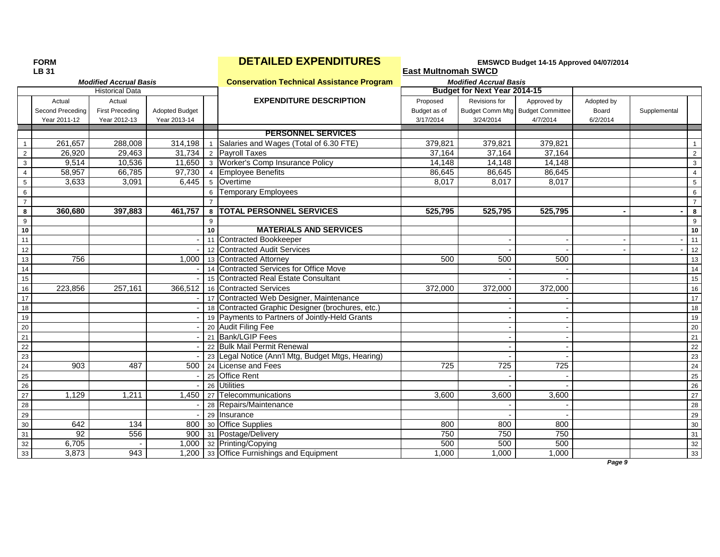|                 | LB 31            |                               |                |                |                                                   | <b>East Multnomah SWCD</b> |                                  |             |            |              |                 |
|-----------------|------------------|-------------------------------|----------------|----------------|---------------------------------------------------|----------------------------|----------------------------------|-------------|------------|--------------|-----------------|
|                 |                  | <b>Modified Accrual Basis</b> |                |                | <b>Conservation Technical Assistance Program</b>  |                            | <b>Modified Accrual Basis</b>    |             |            |              |                 |
|                 |                  | <b>Historical Data</b>        |                |                |                                                   |                            | Budget for Next Year 2014-15     |             |            |              |                 |
|                 | Actual           | Actual                        |                |                | <b>EXPENDITURE DESCRIPTION</b>                    | Proposed                   | Revisions for                    | Approved by | Adopted by |              |                 |
|                 | Second Preceding | <b>First Preceding</b>        | Adopted Budget |                |                                                   | Budget as of               | Budget Comm Mtg Budget Committee |             | Board      | Supplemental |                 |
|                 | Year 2011-12     | Year 2012-13                  | Year 2013-14   |                |                                                   | 3/17/2014                  | 3/24/2014                        | 4/7/2014    | 6/2/2014   |              |                 |
|                 |                  |                               |                |                | <b>PERSONNEL SERVICES</b>                         |                            |                                  |             |            |              |                 |
| $\overline{1}$  | 261,657          | 288,008                       | 314,198        | $\overline{1}$ | Salaries and Wages (Total of 6.30 FTE)            | 379,821                    | 379,821                          | 379,821     |            |              | $\mathbf{1}$    |
| $\overline{2}$  | 26,920           | 29,463                        | 31,734         |                | 2 Payroll Taxes                                   | 37,164                     | 37,164                           | 37,164      |            |              | $\overline{2}$  |
| 3               | 9,514            | 10,536                        | 11,650         |                | 3 Worker's Comp Insurance Policy                  | 14,148                     | 14,148                           | 14,148      |            |              | 3               |
| $\overline{4}$  | 58,957           | 66,785                        | 97,730         |                | 4 Employee Benefits                               | 86,645                     | 86,645                           | 86,645      |            |              | $\overline{4}$  |
| $\sqrt{5}$      | 3,633            | 3,091                         | 6,445          |                | 5 Overtime                                        | 8,017                      | 8,017                            | 8,017       |            |              | $\overline{5}$  |
| $6\phantom{1}6$ |                  |                               |                | 6              | <b>Temporary Employees</b>                        |                            |                                  |             |            |              | 6               |
| $\overline{7}$  |                  |                               |                |                |                                                   |                            |                                  |             |            |              | $\overline{7}$  |
| 8               | 360.680          | 397,883                       | 461,757        | 8              | <b>TOTAL PERSONNEL SERVICES</b>                   | 525,795                    | 525,795                          | 525.795     |            |              | 8               |
| 9               |                  |                               |                | 9              |                                                   |                            |                                  |             |            |              | 9               |
| 10              |                  |                               |                | 10             | <b>MATERIALS AND SERVICES</b>                     |                            |                                  |             |            |              | 10              |
| 11              |                  |                               |                |                | 11 Contracted Bookkeeper                          |                            |                                  |             |            |              | 11              |
| 12              |                  |                               |                |                | 12 Contracted Audit Services                      |                            |                                  |             |            |              | 12              |
| 13              | 756              |                               | 1,000          |                | 13 Contracted Attorney                            | 500                        | 500                              | 500         |            |              | 13              |
| 14              |                  |                               |                |                | 14 Contracted Services for Office Move            |                            |                                  |             |            |              | 14              |
| 15              |                  |                               |                |                | 15 Contracted Real Estate Consultant              |                            |                                  |             |            |              | 15              |
| 16              | 223,856          | 257,161                       | 366,512        |                | 16 Contracted Services                            | 372,000                    | 372,000                          | 372,000     |            |              | 16              |
| 17              |                  |                               |                |                | 17 Contracted Web Designer, Maintenance           |                            |                                  |             |            |              | 17              |
| 18              |                  |                               |                |                | 18 Contracted Graphic Designer (brochures, etc.)  |                            |                                  |             |            |              | 18              |
| 19              |                  |                               |                |                | 19 Payments to Partners of Jointly-Held Grants    |                            |                                  |             |            |              | 19              |
| 20              |                  |                               |                |                | 20 Audit Filing Fee                               |                            |                                  |             |            |              | 20              |
| 21              |                  |                               |                |                | 21 Bank/LGIP Fees                                 |                            |                                  |             |            |              | 21              |
| 22              |                  |                               |                |                | 22 Bulk Mail Permit Renewal                       |                            |                                  |             |            |              | 22              |
| 23              |                  |                               |                |                | 23 Legal Notice (Ann'l Mtg, Budget Mtgs, Hearing) |                            |                                  |             |            |              | 23              |
| $\overline{24}$ | 903              | 487                           | 500            |                | 24 License and Fees                               | 725                        | 725                              | 725         |            |              | 24              |
| 25              |                  |                               |                |                | 25 Office Rent                                    |                            |                                  |             |            |              | 25              |
| 26              |                  |                               |                |                | 26 Utilities                                      |                            |                                  |             |            |              | $\overline{26}$ |
| 27              | 1,129            | 1,211                         | 1,450          |                | 27 Telecommunications                             | 3,600                      | 3,600                            | 3,600       |            |              | 27              |
| 28              |                  |                               |                |                | 28 Repairs/Maintenance                            |                            |                                  |             |            |              | 28              |
| 29              |                  |                               |                |                | 29 Insurance                                      |                            |                                  |             |            |              | 29              |
| 30              | 642              | 134                           | 800            |                | 30 Office Supplies                                | 800                        | 800                              | 800         |            |              | 30              |
| 31              | 92               | 556                           | 900            |                | 31 Postage/Delivery                               | 750                        | 750                              | 750         |            |              | 31              |
| 32              | 6,705            |                               | 1.000          |                | 32 Printing/Copying                               | 500                        | 500                              | 500         |            |              | 32              |
| 33              | 3,873            | 943                           | 1.200          |                | 33 Office Furnishings and Equipment               | 1,000                      | 1,000                            | 1,000       |            |              | 33              |
|                 |                  |                               |                |                |                                                   |                            |                                  |             | Page 9     |              |                 |

## **FORM EXPENDITURES EXPENDITURES EMSWCD Budget 14-15 Approved 04/07/2014**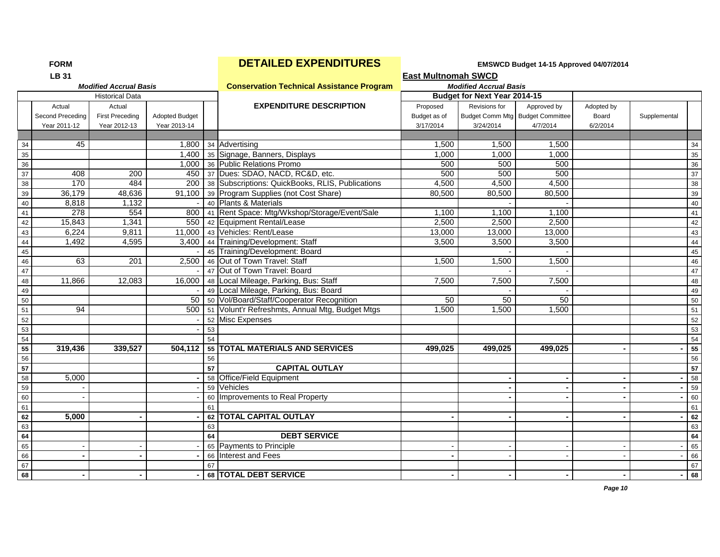|    | <b>LB 31</b>     |                               |                       |    |                                                  | East Multnomah SWCD |                               |                                  |            |              |    |
|----|------------------|-------------------------------|-----------------------|----|--------------------------------------------------|---------------------|-------------------------------|----------------------------------|------------|--------------|----|
|    |                  | <b>Modified Accrual Basis</b> |                       |    | <b>Conservation Technical Assistance Program</b> |                     | <b>Modified Accrual Basis</b> |                                  |            |              |    |
|    |                  | <b>Historical Data</b>        |                       |    |                                                  |                     | Budget for Next Year 2014-15  |                                  |            |              |    |
|    | Actual           | Actual                        |                       |    | <b>EXPENDITURE DESCRIPTION</b>                   | Proposed            | Revisions for                 | Approved by                      | Adopted by |              |    |
|    | Second Preceding | <b>First Preceding</b>        | <b>Adopted Budget</b> |    |                                                  | Budget as of        |                               | Budget Comm Mtg Budget Committee | Board      | Supplemental |    |
|    | Year 2011-12     | Year 2012-13                  | Year 2013-14          |    |                                                  | 3/17/2014           | 3/24/2014                     | 4/7/2014                         | 6/2/2014   |              |    |
|    |                  |                               |                       |    |                                                  |                     |                               |                                  |            |              |    |
| 34 | 45               |                               |                       |    | 1,800 34 Advertising                             | 1,500               | 1,500                         | 1,500                            |            |              | 34 |
| 35 |                  |                               |                       |    | 1,400 35 Signage, Banners, Displays              | 1.000               | 1,000                         | 1,000                            |            |              | 35 |
| 36 |                  |                               |                       |    | 1,000 36 Public Relations Promo                  | 500                 | 500                           | 500                              |            |              | 36 |
| 37 | 408              | $\overline{200}$              | 450                   |    | 37 Dues: SDAO, NACD, RC&D, etc.                  | 500                 | 500                           | 500                              |            |              | 37 |
| 38 | 170              | 484                           | 200                   |    | 38 Subscriptions: QuickBooks, RLIS, Publications | 4,500               | 4,500                         | 4,500                            |            |              | 38 |
| 39 | 36,179           | 48,636                        | $\overline{91,100}$   |    | 39 Program Supplies (not Cost Share)             | 80,500              | 80,500                        | 80,500                           |            |              | 39 |
| 40 | 8,818            | 1,132                         |                       |    | 40 Plants & Materials                            |                     |                               |                                  |            |              | 40 |
| 41 | 278              | 554                           | 800                   |    | 41 Rent Space: Mtg/Wkshop/Storage/Event/Sale     | 1,100               | 1,100                         | 1,100                            |            |              | 41 |
| 42 | 15,843           | 1,341                         | 550                   |    | 42 Equipment Rental/Lease                        | 2,500               | 2,500                         | 2,500                            |            |              | 42 |
| 43 | 6,224            | 9,811                         | 11.000                |    | 43 Vehicles: Rent/Lease                          | 13,000              | 13,000                        | 13,000                           |            |              | 43 |
| 44 | 1,492            | 4,595                         | 3,400                 |    | 44 Training/Development: Staff                   | 3,500               | 3,500                         | 3,500                            |            |              | 44 |
| 45 |                  |                               |                       |    | 45 Training/Development: Board                   |                     |                               |                                  |            |              | 45 |
| 46 | 63               | 201                           | 2,500                 |    | 46 Out of Town Travel: Staff                     | 1,500               | 1,500                         | 1,500                            |            |              | 46 |
| 47 |                  |                               |                       |    | 47 Out of Town Travel: Board                     |                     |                               |                                  |            |              | 47 |
| 48 | 11,866           | 12,083                        |                       |    | 16,000   48   Local Mileage, Parking, Bus: Staff | 7,500               | 7,500                         | 7,500                            |            |              | 48 |
| 49 |                  |                               |                       |    | 49 Local Mileage, Parking, Bus: Board            |                     |                               |                                  |            |              | 49 |
| 50 |                  |                               |                       |    | 50   50   Vol/Board/Staff/Cooperator Recognition | 50                  | 50                            | 50                               |            |              | 50 |
| 51 | 94               |                               | 500                   |    | 51 Volunt'r Refreshmts, Annual Mtg, Budget Mtgs  | 1,500               | 1,500                         | 1,500                            |            |              | 51 |
| 52 |                  |                               |                       |    | 52 Misc Expenses                                 |                     |                               |                                  |            |              | 52 |
| 53 |                  |                               |                       | 53 |                                                  |                     |                               |                                  |            |              | 53 |
| 54 |                  |                               |                       | 54 |                                                  |                     |                               |                                  |            |              | 54 |
| 55 | 319,436          | 339,527                       | 504.112               |    | 55 TOTAL MATERIALS AND SERVICES                  | 499,025             | 499.025                       | 499,025                          |            |              | 55 |
| 56 |                  |                               |                       | 56 |                                                  |                     |                               |                                  |            |              | 56 |
| 57 |                  |                               |                       | 57 | <b>CAPITAL OUTLAY</b>                            |                     |                               |                                  |            |              | 57 |
| 58 | 5,000            |                               |                       |    | 58 Office/Field Equipment                        |                     |                               |                                  |            |              | 58 |
| 59 |                  |                               |                       |    | 59 Vehicles                                      |                     |                               |                                  |            |              | 59 |
| 60 |                  |                               |                       |    | 60 Improvements to Real Property                 |                     |                               |                                  |            |              | 60 |
| 61 |                  |                               |                       | 61 |                                                  |                     |                               |                                  |            |              | 61 |
| 62 | 5.000            |                               |                       |    | 62 TOTAL CAPITAL OUTLAY                          |                     |                               |                                  |            |              | 62 |
| 63 |                  |                               |                       | 63 |                                                  |                     |                               |                                  |            |              | 63 |
| 64 |                  |                               |                       | 64 | <b>DEBT SERVICE</b>                              |                     |                               |                                  |            |              | 64 |
| 65 |                  |                               |                       |    | 65 Payments to Principle                         |                     |                               |                                  |            |              | 65 |
| 66 |                  |                               |                       |    | 66 Interest and Fees                             |                     |                               |                                  |            |              | 66 |
| 67 |                  |                               |                       | 67 |                                                  |                     |                               |                                  |            |              | 67 |
| 68 |                  |                               |                       |    | 68 TOTAL DEBT SERVICE                            |                     |                               |                                  |            |              | 68 |
|    |                  |                               |                       |    |                                                  |                     |                               |                                  |            |              |    |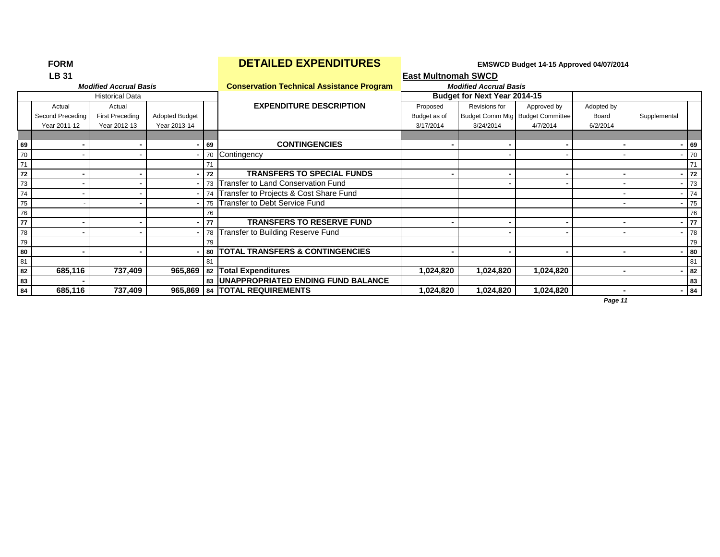|    | <b>LB 31</b>     |                               |                       |    |                                                  | <b>East Multnomah SWCD</b> |                               |                                  |            |                |                 |
|----|------------------|-------------------------------|-----------------------|----|--------------------------------------------------|----------------------------|-------------------------------|----------------------------------|------------|----------------|-----------------|
|    |                  | <b>Modified Accrual Basis</b> |                       |    | <b>Conservation Technical Assistance Program</b> |                            | <b>Modified Accrual Basis</b> |                                  |            |                |                 |
|    |                  | <b>Historical Data</b>        |                       |    |                                                  |                            | Budget for Next Year 2014-15  |                                  |            |                |                 |
|    | Actual           | Actual                        |                       |    | <b>EXPENDITURE DESCRIPTION</b>                   | Proposed                   | Revisions for                 | Approved by                      | Adopted by |                |                 |
|    | Second Preceding | <b>First Preceding</b>        | <b>Adopted Budget</b> |    |                                                  | Budget as of               |                               | Budget Comm Mtg Budget Committee | Board      | Supplemental   |                 |
|    | Year 2011-12     | Year 2012-13                  | Year 2013-14          |    |                                                  | 3/17/2014                  | 3/24/2014                     | 4/7/2014                         | 6/2/2014   |                |                 |
|    |                  |                               |                       |    |                                                  |                            |                               |                                  |            |                |                 |
| 69 |                  |                               | . .                   | 69 | <b>CONTINGENCIES</b>                             |                            |                               |                                  |            |                | 69              |
| 70 |                  |                               |                       | 70 | Contingency                                      |                            |                               |                                  |            |                | 70              |
| 71 |                  |                               |                       | 71 |                                                  |                            |                               |                                  |            |                | 71              |
| 72 |                  |                               |                       | 72 | <b>TRANSFERS TO SPECIAL FUNDS</b>                |                            |                               |                                  |            |                | $-72$           |
| 73 |                  |                               |                       | 73 | <b>Transfer to Land Conservation Fund</b>        |                            |                               |                                  |            |                | 73              |
| 74 |                  |                               |                       |    | 74 Transfer to Projects & Cost Share Fund        |                            |                               |                                  |            |                | $- 74$          |
| 75 |                  |                               |                       |    | 75 Transfer to Debt Service Fund                 |                            |                               |                                  |            |                | 75              |
| 76 |                  |                               |                       | 76 |                                                  |                            |                               |                                  |            |                | 76              |
| 77 |                  |                               |                       | 77 | <b>TRANSFERS TO RESERVE FUND</b>                 |                            |                               |                                  |            | $\sim$         | $\overline{77}$ |
| 78 |                  |                               |                       | 78 | Transfer to Building Reserve Fund                |                            |                               |                                  |            |                | 78              |
| 79 |                  |                               |                       | 79 |                                                  |                            |                               |                                  |            |                | 79              |
| 80 |                  |                               |                       |    | 80   TOTAL TRANSFERS & CONTINGENCIES             |                            |                               |                                  |            |                | 80              |
| 81 |                  |                               |                       | 81 |                                                  |                            |                               |                                  |            |                | 81              |
| 82 | 685,116          | 737,409                       |                       |    | 965,869 82 Total Expenditures                    | 1,024,820                  | 1,024,820                     | 1,024,820                        |            | $\blacksquare$ | 82              |
| 83 |                  |                               |                       |    | 83   UNAPPROPRIATED ENDING FUND BALANCE          |                            |                               |                                  |            |                | 83              |
| 84 | 685,116          | 737,409                       |                       |    | 965,869   84   TOTAL REQUIREMENTS                | 1,024,820                  | 1,024,820                     | 1,024,820                        |            | $-84$          |                 |
|    |                  |                               |                       |    |                                                  |                            |                               |                                  | Page 11    |                |                 |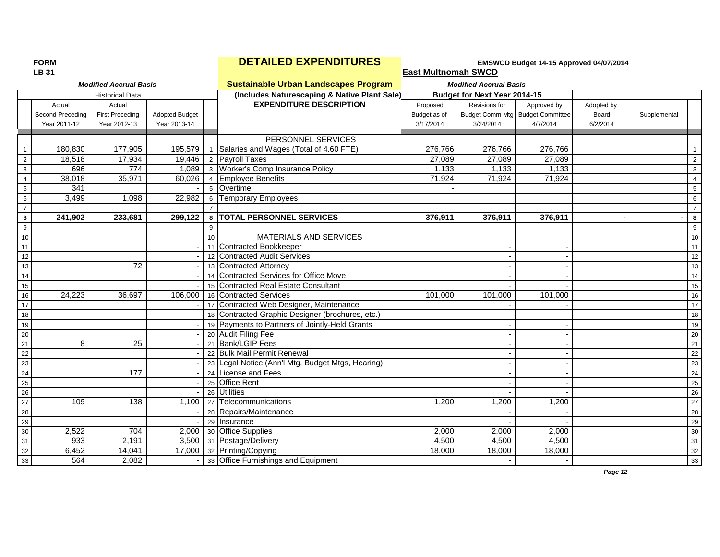|                 | <b>LB 31</b>     |                               |                       |                  |                                                                       | <b>East Multnomah SWCD</b> |                                  |             |            |              |                 |
|-----------------|------------------|-------------------------------|-----------------------|------------------|-----------------------------------------------------------------------|----------------------------|----------------------------------|-------------|------------|--------------|-----------------|
|                 |                  | <b>Modified Accrual Basis</b> |                       |                  | <b>Sustainable Urban Landscapes Program</b>                           |                            | <b>Modified Accrual Basis</b>    |             |            |              |                 |
|                 |                  | <b>Historical Data</b>        |                       |                  | (Includes Naturescaping & Native Plant Sale)                          |                            | Budget for Next Year 2014-15     |             |            |              |                 |
|                 | Actual           | Actual                        |                       |                  | <b>EXPENDITURE DESCRIPTION</b>                                        | Proposed                   | Revisions for                    | Approved by | Adopted by |              |                 |
|                 | Second Preceding | <b>First Preceding</b>        | <b>Adopted Budget</b> |                  |                                                                       | Budget as of               | Budget Comm Mtg Budget Committee |             | Board      | Supplemental |                 |
|                 | Year 2011-12     | Year 2012-13                  | Year 2013-14          |                  |                                                                       | 3/17/2014                  | 3/24/2014                        | 4/7/2014    | 6/2/2014   |              |                 |
|                 |                  |                               |                       |                  |                                                                       |                            |                                  |             |            |              |                 |
|                 |                  |                               |                       |                  | PERSONNEL SERVICES                                                    |                            |                                  |             |            |              |                 |
| $\overline{1}$  | 180,830          | 177,905                       | 195,579               | $\mathbf{1}$     | Salaries and Wages (Total of 4.60 FTE)                                | 276,766                    | 276,766                          | 276,766     |            |              | $\mathbf{1}$    |
| $\overline{2}$  | 18.518           | 17,934<br>774                 | 19.446<br>1.089       |                  | 2 Pavroll Taxes<br>3 Worker's Comp Insurance Policy                   | 27.089                     | 27.089                           | 27.089      |            |              | $\overline{2}$  |
| $\mathbf{3}$    | 696              |                               |                       |                  |                                                                       | 1,133                      | 1,133                            | 1,133       |            |              | 3               |
| $\overline{4}$  | 38,018           | 35,971                        | 60,026                |                  | 4 Employee Benefits                                                   | 71,924                     | 71,924                           | 71,924      |            |              | $\overline{4}$  |
| $\overline{5}$  | 341              |                               |                       |                  | 5 Overtime                                                            |                            |                                  |             |            |              | 5               |
| 6               | 3,499            | 1,098                         | 22,982                |                  | 6 Temporary Employees                                                 |                            |                                  |             |            |              | 6               |
| $\overline{7}$  |                  |                               |                       |                  |                                                                       |                            |                                  |             |            |              | $\overline{7}$  |
| $\bf{8}$        | 241,902          | 233,681                       | 299,122               |                  | 8   TOTAL PERSONNEL SERVICES                                          | 376,911                    | 376,911                          | 376,911     |            |              | 8               |
| 9               |                  |                               |                       | 9                |                                                                       |                            |                                  |             |            |              | 9               |
| 10              |                  |                               |                       | 10 <sup>10</sup> | MATERIALS AND SERVICES                                                |                            |                                  |             |            |              | 10              |
| 11              |                  |                               |                       |                  | 11 Contracted Bookkeeper                                              |                            |                                  |             |            |              | 11              |
| 12              |                  |                               |                       |                  | 12 Contracted Audit Services                                          |                            |                                  |             |            |              | 12              |
| 13              |                  | 72                            |                       |                  | 13 Contracted Attorney                                                |                            |                                  |             |            |              | 13              |
| 14              |                  |                               |                       |                  | 14 Contracted Services for Office Move                                |                            |                                  |             |            |              | 14              |
| 15              |                  |                               |                       |                  | 15 Contracted Real Estate Consultant                                  |                            |                                  |             |            |              | 15              |
| 16              | 24,223           | 36,697                        | 106.000               |                  | 16 Contracted Services                                                | 101,000                    | 101,000                          | 101,000     |            |              | 16              |
| 17              |                  |                               |                       |                  | 17 Contracted Web Designer, Maintenance                               |                            |                                  |             |            |              | 17              |
| 18              |                  |                               |                       |                  | 18 Contracted Graphic Designer (brochures, etc.)                      |                            |                                  |             |            |              | 18              |
| 19              |                  |                               |                       |                  | 19 Payments to Partners of Jointly-Held Grants<br>20 Audit Filing Fee |                            |                                  |             |            |              | 19              |
| $\overline{20}$ |                  |                               |                       |                  |                                                                       |                            |                                  |             |            |              | 20              |
| 21<br>22        | 8                | 25                            |                       |                  | 21 Bank/LGIP Fees                                                     |                            |                                  |             |            |              | 21<br>22        |
|                 |                  |                               |                       |                  | 22 Bulk Mail Permit Renewal                                           |                            |                                  |             |            |              |                 |
| 23<br>24        |                  | $\overline{177}$              |                       |                  | 23 Legal Notice (Ann'l Mtg, Budget Mtgs, Hearing)                     |                            |                                  |             |            |              | 23              |
|                 |                  |                               |                       |                  | 24 License and Fees                                                   |                            |                                  |             |            |              | 24              |
| 25              |                  |                               |                       |                  | 25 Office Rent<br>26 Utilities                                        |                            |                                  |             |            |              | 25              |
| 26<br>27        |                  |                               |                       |                  |                                                                       |                            |                                  |             |            |              | 26              |
| 28              | 109              | 138                           | 1,100                 |                  | 27 Telecommunications                                                 | 1,200                      | 1,200                            | 1,200       |            |              | $\overline{27}$ |
| 29              |                  |                               |                       |                  | 28 Repairs/Maintenance                                                |                            |                                  |             |            |              | 28              |
|                 |                  |                               |                       |                  | 29 Insurance                                                          |                            |                                  |             |            |              | 29              |
| 30              | 2,522            | 704                           | 2,000                 |                  | 30 Office Supplies                                                    | 2,000                      | 2,000                            | 2,000       |            |              | 30              |
| 31              | 933              | $\overline{2,191}$            | 3,500                 |                  | 31 Postage/Delivery                                                   | 4,500                      | 4,500                            | 4,500       |            |              | 31              |
| 32              | 6,452            | 14,041                        |                       |                  | 17,000 32 Printing/Copying                                            | 18,000                     | 18,000                           | 18,000      |            |              | 32              |
| 33              | 564              | 2,082                         |                       |                  | 33 Office Furnishings and Equipment                                   |                            |                                  |             |            |              | 33              |
|                 |                  |                               |                       |                  |                                                                       |                            |                                  |             | Page 12    |              |                 |

## **FORM EXPENDITURES EXPENDITURES EMSWCD Budget 14-15 Approved 04/07/2014**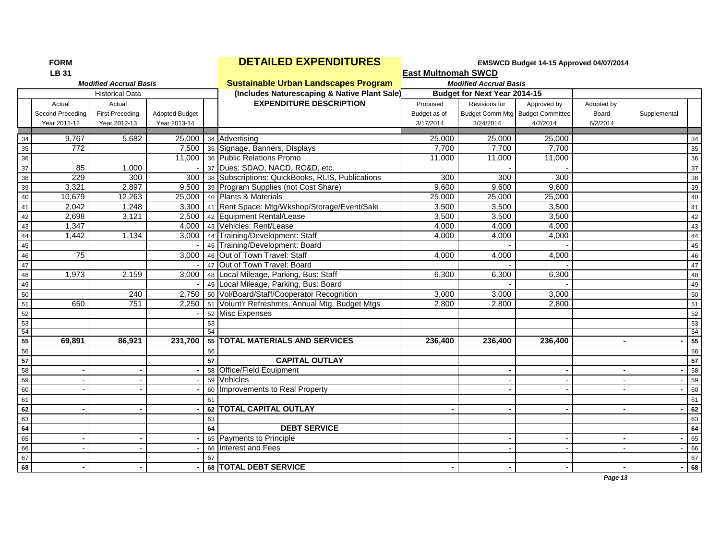| <b>FORM</b> |                  |                               |                       |    | <b>DETAILED EXPENDITURES</b>                     | EMSWCD Budget 14-15 Approved 04/07/2014 |                                     |             |            |              |    |
|-------------|------------------|-------------------------------|-----------------------|----|--------------------------------------------------|-----------------------------------------|-------------------------------------|-------------|------------|--------------|----|
|             | <b>LB 31</b>     |                               |                       |    |                                                  | <b>East Multnomah SWCD</b>              |                                     |             |            |              |    |
|             |                  | <b>Modified Accrual Basis</b> |                       |    | <b>Sustainable Urban Landscapes Program</b>      |                                         | <b>Modified Accrual Basis</b>       |             |            |              |    |
|             |                  | <b>Historical Data</b>        |                       |    | (Includes Naturescaping & Native Plant Sale)     |                                         | <b>Budget for Next Year 2014-15</b> |             |            |              |    |
|             | Actual           | Actual                        |                       |    | <b>EXPENDITURE DESCRIPTION</b>                   | Proposed                                | Revisions for                       | Approved by | Adopted by |              |    |
|             | Second Preceding | <b>First Preceding</b>        | <b>Adopted Budget</b> |    |                                                  | Budget as of                            | Budget Comm Mtg Budget Committee    |             | Board      | Supplemental |    |
|             | Year 2011-12     | Year 2012-13                  | Year 2013-14          |    |                                                  | 3/17/2014                               | 3/24/2014                           | 4/7/2014    | 6/2/2014   |              |    |
| 34          | 9,767            | 5,682                         | 25,000                |    | 34 Advertising                                   | 25,000                                  | 25,000                              | 25,000      |            |              | 34 |
| 35          | 772              |                               |                       |    | 7,500 35 Signage, Banners, Displays              | 7,700                                   | 7,700                               | 7,700       |            |              | 35 |
| 36          |                  |                               |                       |    | 11,000 36 Public Relations Promo                 | 11,000                                  | 11,000                              | 11,000      |            |              | 36 |
| 37          | 85               | 1,000                         |                       |    | 37 Dues: SDAO, NACD, RC&D, etc.                  |                                         |                                     |             |            |              | 37 |
| 38          | 229              | 300                           | 300                   |    | 38 Subscriptions: QuickBooks, RLIS, Publications | 300                                     | 300                                 | 300         |            |              | 38 |
| 39          | 3,321            | 2,897                         |                       |    | 9,500 39 Program Supplies (not Cost Share)       | 9,600                                   | 9,600                               | 9,600       |            |              | 39 |
| 40          | 10,679           | 12,263                        | 25,000                |    | 40 Plants & Materials                            | 25,000                                  | 25,000                              | 25,000      |            |              | 40 |
| 41          | 2,042            | 1,248                         | 3,300                 |    | 41 Rent Space: Mtg/Wkshop/Storage/Event/Sale     | 3,500                                   | 3,500                               | 3,500       |            |              | 41 |
| 42          | 2,698            | 3,121                         | 2,500                 |    | 42 Equipment Rental/Lease                        | 3,500                                   | 3,500                               | 3,500       |            |              | 42 |
| 43          | 1,347            |                               | 4,000                 |    | 43 Vehicles: Rent/Lease                          | 4,000                                   | 4,000                               | 4,000       |            |              | 43 |
| 44          | 1,442            | 1,134                         | 3,000                 |    | 44 Training/Development: Staff                   | 4,000                                   | 4,000                               | 4,000       |            |              | 44 |
| 45          |                  |                               |                       |    | 45 Training/Development: Board                   |                                         |                                     |             |            |              | 45 |
| 46          | $\overline{75}$  |                               | 3,000                 |    | 46 Out of Town Travel: Staff                     | 4,000                                   | 4,000                               | 4,000       |            |              | 46 |
| 47          |                  |                               |                       |    | 47 Out of Town Travel: Board                     |                                         |                                     |             |            |              | 47 |
| 48          | 1,973            | 2,159                         | 3,000                 |    | 48 Local Mileage, Parking, Bus: Staff            | 6,300                                   | 6,300                               | 6,300       |            |              | 48 |
| 49          |                  |                               |                       |    | 49 Local Mileage, Parking, Bus: Board            |                                         |                                     |             |            |              | 49 |
| 50          |                  | 240                           |                       |    | 2,750 50 Vol/Board/Staff/Cooperator Recognition  | 3,000                                   | 3,000                               | 3,000       |            |              | 50 |
| 51          | 650              | 751                           | 2.250                 |    | 51 Volunt'r Refreshmts, Annual Mtg, Budget Mtgs  | 2,800                                   | 2.800                               | 2.800       |            |              | 51 |
| 52          |                  |                               |                       |    | 52 Misc Expenses                                 |                                         |                                     |             |            |              | 52 |
| 53          |                  |                               |                       | 53 |                                                  |                                         |                                     |             |            |              | 53 |
| 54          |                  |                               |                       | 54 |                                                  |                                         |                                     |             |            |              | 54 |
| 55          | 69,891           | 86,921                        | 231,700               |    | 55 TOTAL MATERIALS AND SERVICES                  | 236,400                                 | 236,400                             | 236,400     |            |              | 55 |
| 56          |                  |                               |                       | 56 |                                                  |                                         |                                     |             |            |              | 56 |
| 57          |                  |                               |                       | 57 | <b>CAPITAL OUTLAY</b>                            |                                         |                                     |             |            |              | 57 |
| 58          |                  |                               |                       |    | 58 Office/Field Equipment                        |                                         |                                     |             |            |              | 58 |
| 59          |                  |                               |                       |    | 59 Vehicles                                      |                                         |                                     |             |            |              | 59 |
| 60          |                  |                               |                       | 60 | Improvements to Real Property                    |                                         |                                     |             |            |              | 60 |
| 61          |                  |                               |                       | 61 |                                                  |                                         |                                     |             |            |              | 61 |
| 62          |                  |                               |                       |    | 62 TOTAL CAPITAL OUTLAY                          |                                         |                                     |             |            |              | 62 |
| 63          |                  |                               |                       | 63 |                                                  |                                         |                                     |             |            |              | 63 |
| 64          |                  |                               |                       | 64 | <b>DEBT SERVICE</b>                              |                                         |                                     |             |            |              | 64 |
| 65          |                  |                               |                       |    | 65 Payments to Principle                         |                                         |                                     |             |            |              | 65 |
| 66          |                  |                               |                       |    | 66 Interest and Fees                             |                                         |                                     |             |            |              | 66 |
| 67          |                  |                               |                       | 67 |                                                  |                                         |                                     |             |            |              | 67 |
| 68          |                  |                               |                       |    | 68   TOTAL DEBT SERVICE                          |                                         |                                     |             |            |              | 68 |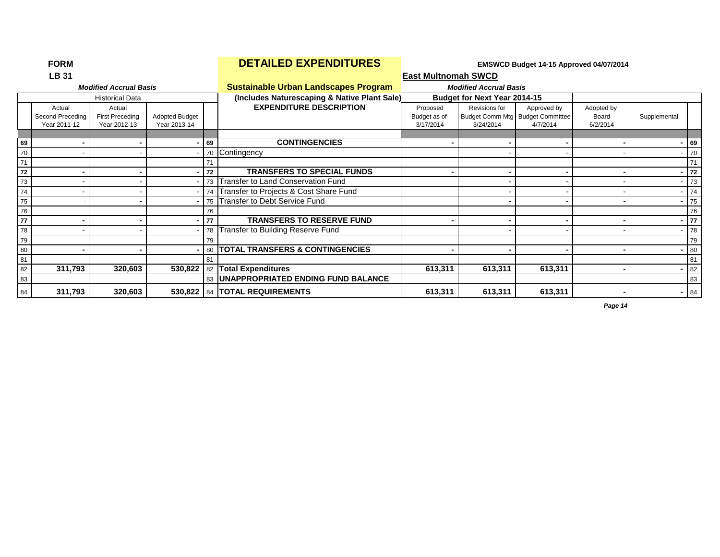|    | <b>LB 31</b>                               |                                                  |                                |    |                                              | <b>East Multnomah SWCD</b>            |                                     |                                                             |                                 |              |        |
|----|--------------------------------------------|--------------------------------------------------|--------------------------------|----|----------------------------------------------|---------------------------------------|-------------------------------------|-------------------------------------------------------------|---------------------------------|--------------|--------|
|    |                                            | <b>Modified Accrual Basis</b>                    |                                |    | <b>Sustainable Urban Landscapes Program</b>  |                                       | <b>Modified Accrual Basis</b>       |                                                             |                                 |              |        |
|    |                                            | <b>Historical Data</b>                           |                                |    | (Includes Naturescaping & Native Plant Sale) |                                       | <b>Budget for Next Year 2014-15</b> |                                                             |                                 |              |        |
|    | Actual<br>Second Preceding<br>Year 2011-12 | Actual<br><b>First Preceding</b><br>Year 2012-13 | Adopted Budget<br>Year 2013-14 |    | <b>EXPENDITURE DESCRIPTION</b>               | Proposed<br>Budget as of<br>3/17/2014 | Revisions for<br>3/24/2014          | Approved by<br>Budget Comm Mtg Budget Committee<br>4/7/2014 | Adopted by<br>Board<br>6/2/2014 | Supplemental |        |
| 69 |                                            |                                                  |                                | 69 | <b>CONTINGENCIES</b>                         |                                       |                                     |                                                             |                                 |              | $- 69$ |
| 70 |                                            |                                                  |                                |    | 70 Contingency                               |                                       |                                     |                                                             |                                 |              | $-70$  |
| 71 |                                            |                                                  |                                | 71 |                                              |                                       |                                     |                                                             |                                 |              | 71     |
| 72 |                                            |                                                  |                                | 72 | <b>TRANSFERS TO SPECIAL FUNDS</b>            |                                       |                                     |                                                             |                                 |              | $-172$ |
| 73 |                                            |                                                  |                                |    | 73 Transfer to Land Conservation Fund        |                                       |                                     |                                                             |                                 |              | 73     |
| 74 |                                            |                                                  |                                |    | 74 Transfer to Projects & Cost Share Fund    |                                       |                                     |                                                             |                                 |              | $- 74$ |
| 75 |                                            |                                                  |                                |    | 75 Transfer to Debt Service Fund             |                                       |                                     |                                                             |                                 |              | $- 75$ |
| 76 |                                            |                                                  |                                | 76 |                                              |                                       |                                     |                                                             |                                 |              | 76     |
| 77 |                                            |                                                  |                                | 77 | <b>TRANSFERS TO RESERVE FUND</b>             |                                       |                                     |                                                             |                                 |              | $-177$ |
| 78 |                                            |                                                  |                                |    | 78 Transfer to Building Reserve Fund         |                                       |                                     |                                                             |                                 |              | $- 78$ |
| 79 |                                            |                                                  |                                | 79 |                                              |                                       |                                     |                                                             |                                 |              | 79     |
| 80 |                                            |                                                  |                                |    | 80   TOTAL TRANSFERS & CONTINGENCIES         |                                       |                                     |                                                             |                                 |              | $- 80$ |
| 81 |                                            |                                                  |                                | 81 |                                              |                                       |                                     |                                                             |                                 |              | 81     |
| 82 | 311,793                                    | 320,603                                          | 530,822                        |    | 82 Total Expenditures                        | 613,311                               | 613,311                             | 613,311                                                     |                                 |              | $- 82$ |
| 83 |                                            |                                                  |                                |    | 83   UNAPPROPRIATED ENDING FUND BALANCE      |                                       |                                     |                                                             |                                 |              | 83     |
| 84 | 311,793                                    | 320,603                                          |                                |    | 530,822   84   TOTAL REQUIREMENTS            | 613,311                               | 613,311                             | 613,311                                                     |                                 |              | $-84$  |

## **FORM EXPENDITURES EMBINIFY AND EMSWCD Budget 14-15 Approved 04/07/2014**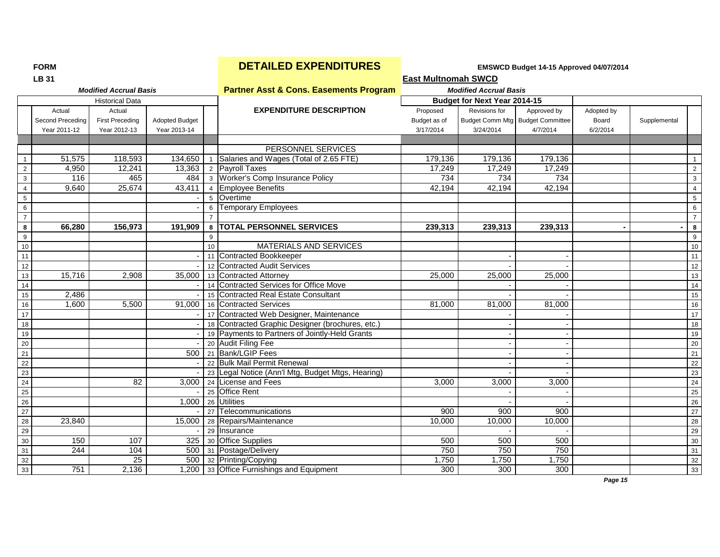|                 | <b>LB 31</b>     |                               |                       |    |                                                      | <b>East Multnomah SWCD</b> |                               |                                  |            |              |                         |
|-----------------|------------------|-------------------------------|-----------------------|----|------------------------------------------------------|----------------------------|-------------------------------|----------------------------------|------------|--------------|-------------------------|
|                 |                  | <b>Modified Accrual Basis</b> |                       |    | <b>Partner Asst &amp; Cons. Easements Program</b>    |                            | <b>Modified Accrual Basis</b> |                                  |            |              |                         |
|                 |                  | <b>Historical Data</b>        |                       |    |                                                      |                            | Budget for Next Year 2014-15  |                                  |            |              |                         |
|                 | Actual           | Actual                        |                       |    | <b>EXPENDITURE DESCRIPTION</b>                       | Proposed                   | Revisions for                 | Approved by                      | Adopted by |              |                         |
|                 | Second Preceding | <b>First Preceding</b>        | <b>Adopted Budget</b> |    |                                                      | Budget as of               |                               | Budget Comm Mtg Budget Committee | Board      | Supplemental |                         |
|                 | Year 2011-12     | Year 2012-13                  | Year 2013-14          |    |                                                      | 3/17/2014                  | 3/24/2014                     | 4/7/2014                         | 6/2/2014   |              |                         |
|                 |                  |                               |                       |    |                                                      |                            |                               |                                  |            |              |                         |
|                 |                  |                               |                       |    | PERSONNEL SERVICES                                   |                            |                               |                                  |            |              |                         |
| $\overline{1}$  | 51,575           | 118,593                       |                       |    | 134,650   1   Salaries and Wages (Total of 2.65 FTE) | 179,136                    | 179,136                       | 179,136                          |            |              | $\mathbf{1}$            |
| $\overline{2}$  | 4,950            | 12,241                        |                       |    | 13,363 $\vert$ 2 Payroll Taxes                       | 17,249                     | 17,249                        | 17,249                           |            |              | $\overline{2}$          |
| $\mathbf{3}$    | 116              | 465                           | 484                   |    | 3 Worker's Comp Insurance Policy                     | 734                        | 734                           | 734                              |            |              | $\mathbf{3}$            |
| $\overline{4}$  | 9,640            | 25,674                        | $\overline{43,411}$   |    | 4 Employee Benefits                                  | 42,194                     | 42,194                        | 42,194                           |            |              | $\overline{4}$          |
| $\sqrt{5}$      |                  |                               |                       |    | 5 Overtime                                           |                            |                               |                                  |            |              | $\overline{5}$          |
| 6               |                  |                               |                       |    | 6 Temporary Employees                                |                            |                               |                                  |            |              | 6                       |
| $\overline{7}$  |                  |                               |                       |    |                                                      |                            |                               |                                  |            |              | $\overline{7}$          |
| 8               | 66,280           | 156,973                       | 191,909               |    | 8 TOTAL PERSONNEL SERVICES                           | 239,313                    | 239,313                       | 239,313                          |            |              | $\overline{\mathbf{8}}$ |
| 9               |                  |                               |                       | 9  |                                                      |                            |                               |                                  |            |              | 9                       |
| 10              |                  |                               |                       | 10 | <b>MATERIALS AND SERVICES</b>                        |                            |                               |                                  |            |              | 10                      |
| $\overline{11}$ |                  |                               |                       |    | 11 Contracted Bookkeeper                             |                            |                               |                                  |            |              | 11                      |
| 12              |                  |                               |                       |    | 12 Contracted Audit Services                         |                            |                               |                                  |            |              | 12                      |
| $13$            | 15,716           | 2,908                         | 35,000                |    | 13 Contracted Attorney                               | 25,000                     | 25,000                        | 25,000                           |            |              | 13                      |
| 14              |                  |                               |                       |    | 14 Contracted Services for Office Move               |                            |                               |                                  |            |              | 14                      |
| 15              | 2,486            |                               |                       |    | 15 Contracted Real Estate Consultant                 |                            |                               |                                  |            |              | 15                      |
| 16              | 1,600            | 5,500                         | 91,000                |    | 16 Contracted Services                               | 81.000                     | 81,000                        | 81,000                           |            |              | 16                      |
| $\overline{17}$ |                  |                               |                       |    | 17 Contracted Web Designer, Maintenance              |                            |                               |                                  |            |              | 17                      |
| 18              |                  |                               |                       |    | 18 Contracted Graphic Designer (brochures, etc.)     |                            |                               |                                  |            |              | 18                      |
| 19              |                  |                               |                       |    | 19 Payments to Partners of Jointly-Held Grants       |                            |                               |                                  |            |              | 19                      |
| 20              |                  |                               |                       |    | 20 Audit Filing Fee                                  |                            |                               |                                  |            |              | 20                      |
| 21              |                  |                               |                       |    | 500 21 Bank/LGIP Fees                                |                            |                               |                                  |            |              | 21                      |
| 22              |                  |                               |                       |    | 22 Bulk Mail Permit Renewal                          |                            |                               |                                  |            |              | $\overline{22}$         |
| 23              |                  |                               |                       |    | 23 Legal Notice (Ann'l Mtg, Budget Mtgs, Hearing)    |                            |                               |                                  |            |              | 23                      |
| 24              |                  | 82                            |                       |    | 3.000 24 License and Fees                            | 3,000                      | 3,000                         | 3,000                            |            |              | $\overline{24}$         |
| 25              |                  |                               |                       |    | 25 Office Rent                                       |                            |                               |                                  |            |              | 25                      |
| $26\,$          |                  |                               | 1,000                 |    | 26 Utilities                                         |                            |                               |                                  |            |              | 26                      |
| 27              |                  |                               |                       |    | 27 Telecommunications                                | 900                        | 900                           | 900                              |            |              | $\overline{27}$         |
| 28              | 23,840           |                               | 15,000                |    | 28 Repairs/Maintenance                               | 10,000                     | 10,000                        | 10,000                           |            |              | 28                      |
| 29              |                  |                               |                       |    | 29 Insurance                                         |                            |                               |                                  |            |              | 29                      |
| 30              | 150              | 107                           |                       |    | 325 30 Office Supplies                               | 500                        | 500                           | 500                              |            |              | 30                      |
| 31              | 244              | 104                           |                       |    | 500 31 Postage/Delivery                              | 750                        | 750                           | 750                              |            |              | 31                      |
| 32              |                  | 25                            | 500                   |    | 32 Printing/Copying                                  | 1,750                      | 1,750                         | 1,750                            |            |              | 32                      |
| 33              | 751              | 2,136                         |                       |    | 1,200 33 Office Furnishings and Equipment            | 300                        | 300                           | 300                              |            |              | 33                      |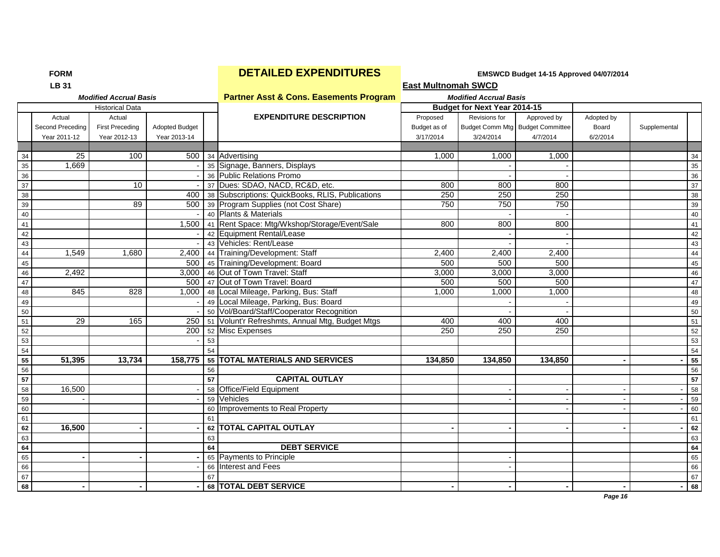| <b>Partner Asst &amp; Cons. Easements Program</b><br><b>Modified Accrual Basis</b><br><b>Modified Accrual Basis</b><br><b>Budget for Next Year 2014-15</b><br><b>Historical Data</b><br><b>EXPENDITURE DESCRIPTION</b><br>Actual<br>Revisions for<br>Actual<br>Proposed<br>Approved by<br>Adopted by<br><b>First Preceding</b><br>Budget Comm Mtg Budget Committee<br>Second Preceding<br><b>Adopted Budget</b><br>Budget as of<br>Board<br>Supplemental<br>Year 2011-12<br>Year 2012-13<br>Year 2013-14<br>3/17/2014<br>3/24/2014<br>4/7/2014<br>6/2/2014<br>$\overline{25}$<br>100<br>500 34 Advertising<br>1.000<br>1,000<br>1,000<br>34<br>35<br>1,669<br>35 Signage, Banners, Displays<br>36<br>36 Public Relations Promo<br>37<br>37 Dues: SDAO, NACD, RC&D, etc.<br>10<br>800<br>800<br>800<br>250<br>38<br>38 Subscriptions: QuickBooks, RLIS, Publications<br>250<br>250<br>400<br>750<br>750<br>39<br>89<br>500 39 Program Supplies (not Cost Share)<br>750<br>40<br>40 Plants & Materials<br>1,500 41 Rent Space: Mtg/Wkshop/Storage/Event/Sale<br>41<br>800<br>800<br>800<br>42<br>42 Equipment Rental/Lease<br>43 Vehicles: Rent/Lease<br>43<br>$\bf 44$<br>1,549<br>44 Training/Development: Staff<br>2,400<br>1,680<br>2.400<br>2,400<br>2,400<br>45<br>500 45 Training/Development: Board<br>500<br>500<br>500<br>3,000<br>46<br>3,000 46 Out of Town Travel: Staff<br>3,000<br>3,000<br>2.492<br>47<br>47 Out of Town Travel: Board<br>500<br>500<br>500<br>500<br>845<br>828<br>1,000 48 Local Mileage, Parking, Bus: Staff<br>1,000<br>1,000<br>48<br>1,000<br>49<br>49 Local Mileage, Parking, Bus: Board<br>50<br>50 Vol/Board/Staff/Cooperator Recognition<br>51<br>29<br>165<br>250   51   Volunt'r Refreshmts, Annual Mtg, Budget Mtgs<br>400<br>400<br>400<br>250<br>52<br>200 52 Misc Expenses<br>250<br>250<br>53<br>53<br>54<br>54<br>55<br>51,395<br>13,734<br>158,775<br>55 TOTAL MATERIALS AND SERVICES<br>134.850<br>134.850<br>134.850<br>56<br>56<br>$\overline{57}$<br><b>CAPITAL OUTLAY</b><br>57<br>58<br>16,500<br>58 Office/Field Equipment<br>59<br>59 Vehicles<br>60 Improvements to Real Property<br>60<br>61<br>61 |    | <b>LB 31</b> |  |                         | <b>East Multnomah SWCD</b> |  |  |    |
|---------------------------------------------------------------------------------------------------------------------------------------------------------------------------------------------------------------------------------------------------------------------------------------------------------------------------------------------------------------------------------------------------------------------------------------------------------------------------------------------------------------------------------------------------------------------------------------------------------------------------------------------------------------------------------------------------------------------------------------------------------------------------------------------------------------------------------------------------------------------------------------------------------------------------------------------------------------------------------------------------------------------------------------------------------------------------------------------------------------------------------------------------------------------------------------------------------------------------------------------------------------------------------------------------------------------------------------------------------------------------------------------------------------------------------------------------------------------------------------------------------------------------------------------------------------------------------------------------------------------------------------------------------------------------------------------------------------------------------------------------------------------------------------------------------------------------------------------------------------------------------------------------------------------------------------------------------------------------------------------------------------------------------------------------------------------------------------------------------------------------------------------------------------|----|--------------|--|-------------------------|----------------------------|--|--|----|
|                                                                                                                                                                                                                                                                                                                                                                                                                                                                                                                                                                                                                                                                                                                                                                                                                                                                                                                                                                                                                                                                                                                                                                                                                                                                                                                                                                                                                                                                                                                                                                                                                                                                                                                                                                                                                                                                                                                                                                                                                                                                                                                                                               |    |              |  |                         |                            |  |  |    |
|                                                                                                                                                                                                                                                                                                                                                                                                                                                                                                                                                                                                                                                                                                                                                                                                                                                                                                                                                                                                                                                                                                                                                                                                                                                                                                                                                                                                                                                                                                                                                                                                                                                                                                                                                                                                                                                                                                                                                                                                                                                                                                                                                               |    |              |  |                         |                            |  |  |    |
|                                                                                                                                                                                                                                                                                                                                                                                                                                                                                                                                                                                                                                                                                                                                                                                                                                                                                                                                                                                                                                                                                                                                                                                                                                                                                                                                                                                                                                                                                                                                                                                                                                                                                                                                                                                                                                                                                                                                                                                                                                                                                                                                                               |    |              |  |                         |                            |  |  |    |
|                                                                                                                                                                                                                                                                                                                                                                                                                                                                                                                                                                                                                                                                                                                                                                                                                                                                                                                                                                                                                                                                                                                                                                                                                                                                                                                                                                                                                                                                                                                                                                                                                                                                                                                                                                                                                                                                                                                                                                                                                                                                                                                                                               |    |              |  |                         |                            |  |  |    |
|                                                                                                                                                                                                                                                                                                                                                                                                                                                                                                                                                                                                                                                                                                                                                                                                                                                                                                                                                                                                                                                                                                                                                                                                                                                                                                                                                                                                                                                                                                                                                                                                                                                                                                                                                                                                                                                                                                                                                                                                                                                                                                                                                               |    |              |  |                         |                            |  |  |    |
|                                                                                                                                                                                                                                                                                                                                                                                                                                                                                                                                                                                                                                                                                                                                                                                                                                                                                                                                                                                                                                                                                                                                                                                                                                                                                                                                                                                                                                                                                                                                                                                                                                                                                                                                                                                                                                                                                                                                                                                                                                                                                                                                                               |    |              |  |                         |                            |  |  |    |
|                                                                                                                                                                                                                                                                                                                                                                                                                                                                                                                                                                                                                                                                                                                                                                                                                                                                                                                                                                                                                                                                                                                                                                                                                                                                                                                                                                                                                                                                                                                                                                                                                                                                                                                                                                                                                                                                                                                                                                                                                                                                                                                                                               |    |              |  |                         |                            |  |  | 34 |
|                                                                                                                                                                                                                                                                                                                                                                                                                                                                                                                                                                                                                                                                                                                                                                                                                                                                                                                                                                                                                                                                                                                                                                                                                                                                                                                                                                                                                                                                                                                                                                                                                                                                                                                                                                                                                                                                                                                                                                                                                                                                                                                                                               |    |              |  |                         |                            |  |  | 35 |
|                                                                                                                                                                                                                                                                                                                                                                                                                                                                                                                                                                                                                                                                                                                                                                                                                                                                                                                                                                                                                                                                                                                                                                                                                                                                                                                                                                                                                                                                                                                                                                                                                                                                                                                                                                                                                                                                                                                                                                                                                                                                                                                                                               |    |              |  |                         |                            |  |  | 36 |
|                                                                                                                                                                                                                                                                                                                                                                                                                                                                                                                                                                                                                                                                                                                                                                                                                                                                                                                                                                                                                                                                                                                                                                                                                                                                                                                                                                                                                                                                                                                                                                                                                                                                                                                                                                                                                                                                                                                                                                                                                                                                                                                                                               |    |              |  |                         |                            |  |  | 37 |
|                                                                                                                                                                                                                                                                                                                                                                                                                                                                                                                                                                                                                                                                                                                                                                                                                                                                                                                                                                                                                                                                                                                                                                                                                                                                                                                                                                                                                                                                                                                                                                                                                                                                                                                                                                                                                                                                                                                                                                                                                                                                                                                                                               |    |              |  |                         |                            |  |  | 38 |
|                                                                                                                                                                                                                                                                                                                                                                                                                                                                                                                                                                                                                                                                                                                                                                                                                                                                                                                                                                                                                                                                                                                                                                                                                                                                                                                                                                                                                                                                                                                                                                                                                                                                                                                                                                                                                                                                                                                                                                                                                                                                                                                                                               |    |              |  |                         |                            |  |  | 39 |
|                                                                                                                                                                                                                                                                                                                                                                                                                                                                                                                                                                                                                                                                                                                                                                                                                                                                                                                                                                                                                                                                                                                                                                                                                                                                                                                                                                                                                                                                                                                                                                                                                                                                                                                                                                                                                                                                                                                                                                                                                                                                                                                                                               |    |              |  |                         |                            |  |  | 40 |
|                                                                                                                                                                                                                                                                                                                                                                                                                                                                                                                                                                                                                                                                                                                                                                                                                                                                                                                                                                                                                                                                                                                                                                                                                                                                                                                                                                                                                                                                                                                                                                                                                                                                                                                                                                                                                                                                                                                                                                                                                                                                                                                                                               |    |              |  |                         |                            |  |  | 41 |
|                                                                                                                                                                                                                                                                                                                                                                                                                                                                                                                                                                                                                                                                                                                                                                                                                                                                                                                                                                                                                                                                                                                                                                                                                                                                                                                                                                                                                                                                                                                                                                                                                                                                                                                                                                                                                                                                                                                                                                                                                                                                                                                                                               |    |              |  |                         |                            |  |  | 42 |
|                                                                                                                                                                                                                                                                                                                                                                                                                                                                                                                                                                                                                                                                                                                                                                                                                                                                                                                                                                                                                                                                                                                                                                                                                                                                                                                                                                                                                                                                                                                                                                                                                                                                                                                                                                                                                                                                                                                                                                                                                                                                                                                                                               |    |              |  |                         |                            |  |  | 43 |
|                                                                                                                                                                                                                                                                                                                                                                                                                                                                                                                                                                                                                                                                                                                                                                                                                                                                                                                                                                                                                                                                                                                                                                                                                                                                                                                                                                                                                                                                                                                                                                                                                                                                                                                                                                                                                                                                                                                                                                                                                                                                                                                                                               |    |              |  |                         |                            |  |  | 44 |
|                                                                                                                                                                                                                                                                                                                                                                                                                                                                                                                                                                                                                                                                                                                                                                                                                                                                                                                                                                                                                                                                                                                                                                                                                                                                                                                                                                                                                                                                                                                                                                                                                                                                                                                                                                                                                                                                                                                                                                                                                                                                                                                                                               |    |              |  |                         |                            |  |  | 45 |
|                                                                                                                                                                                                                                                                                                                                                                                                                                                                                                                                                                                                                                                                                                                                                                                                                                                                                                                                                                                                                                                                                                                                                                                                                                                                                                                                                                                                                                                                                                                                                                                                                                                                                                                                                                                                                                                                                                                                                                                                                                                                                                                                                               |    |              |  |                         |                            |  |  | 46 |
|                                                                                                                                                                                                                                                                                                                                                                                                                                                                                                                                                                                                                                                                                                                                                                                                                                                                                                                                                                                                                                                                                                                                                                                                                                                                                                                                                                                                                                                                                                                                                                                                                                                                                                                                                                                                                                                                                                                                                                                                                                                                                                                                                               |    |              |  |                         |                            |  |  | 47 |
|                                                                                                                                                                                                                                                                                                                                                                                                                                                                                                                                                                                                                                                                                                                                                                                                                                                                                                                                                                                                                                                                                                                                                                                                                                                                                                                                                                                                                                                                                                                                                                                                                                                                                                                                                                                                                                                                                                                                                                                                                                                                                                                                                               |    |              |  |                         |                            |  |  | 48 |
|                                                                                                                                                                                                                                                                                                                                                                                                                                                                                                                                                                                                                                                                                                                                                                                                                                                                                                                                                                                                                                                                                                                                                                                                                                                                                                                                                                                                                                                                                                                                                                                                                                                                                                                                                                                                                                                                                                                                                                                                                                                                                                                                                               |    |              |  |                         |                            |  |  | 49 |
|                                                                                                                                                                                                                                                                                                                                                                                                                                                                                                                                                                                                                                                                                                                                                                                                                                                                                                                                                                                                                                                                                                                                                                                                                                                                                                                                                                                                                                                                                                                                                                                                                                                                                                                                                                                                                                                                                                                                                                                                                                                                                                                                                               |    |              |  |                         |                            |  |  | 50 |
|                                                                                                                                                                                                                                                                                                                                                                                                                                                                                                                                                                                                                                                                                                                                                                                                                                                                                                                                                                                                                                                                                                                                                                                                                                                                                                                                                                                                                                                                                                                                                                                                                                                                                                                                                                                                                                                                                                                                                                                                                                                                                                                                                               |    |              |  |                         |                            |  |  | 51 |
|                                                                                                                                                                                                                                                                                                                                                                                                                                                                                                                                                                                                                                                                                                                                                                                                                                                                                                                                                                                                                                                                                                                                                                                                                                                                                                                                                                                                                                                                                                                                                                                                                                                                                                                                                                                                                                                                                                                                                                                                                                                                                                                                                               |    |              |  |                         |                            |  |  | 52 |
|                                                                                                                                                                                                                                                                                                                                                                                                                                                                                                                                                                                                                                                                                                                                                                                                                                                                                                                                                                                                                                                                                                                                                                                                                                                                                                                                                                                                                                                                                                                                                                                                                                                                                                                                                                                                                                                                                                                                                                                                                                                                                                                                                               |    |              |  |                         |                            |  |  | 53 |
|                                                                                                                                                                                                                                                                                                                                                                                                                                                                                                                                                                                                                                                                                                                                                                                                                                                                                                                                                                                                                                                                                                                                                                                                                                                                                                                                                                                                                                                                                                                                                                                                                                                                                                                                                                                                                                                                                                                                                                                                                                                                                                                                                               |    |              |  |                         |                            |  |  | 54 |
|                                                                                                                                                                                                                                                                                                                                                                                                                                                                                                                                                                                                                                                                                                                                                                                                                                                                                                                                                                                                                                                                                                                                                                                                                                                                                                                                                                                                                                                                                                                                                                                                                                                                                                                                                                                                                                                                                                                                                                                                                                                                                                                                                               |    |              |  |                         |                            |  |  | 55 |
|                                                                                                                                                                                                                                                                                                                                                                                                                                                                                                                                                                                                                                                                                                                                                                                                                                                                                                                                                                                                                                                                                                                                                                                                                                                                                                                                                                                                                                                                                                                                                                                                                                                                                                                                                                                                                                                                                                                                                                                                                                                                                                                                                               |    |              |  |                         |                            |  |  | 56 |
|                                                                                                                                                                                                                                                                                                                                                                                                                                                                                                                                                                                                                                                                                                                                                                                                                                                                                                                                                                                                                                                                                                                                                                                                                                                                                                                                                                                                                                                                                                                                                                                                                                                                                                                                                                                                                                                                                                                                                                                                                                                                                                                                                               |    |              |  |                         |                            |  |  | 57 |
|                                                                                                                                                                                                                                                                                                                                                                                                                                                                                                                                                                                                                                                                                                                                                                                                                                                                                                                                                                                                                                                                                                                                                                                                                                                                                                                                                                                                                                                                                                                                                                                                                                                                                                                                                                                                                                                                                                                                                                                                                                                                                                                                                               |    |              |  |                         |                            |  |  | 58 |
|                                                                                                                                                                                                                                                                                                                                                                                                                                                                                                                                                                                                                                                                                                                                                                                                                                                                                                                                                                                                                                                                                                                                                                                                                                                                                                                                                                                                                                                                                                                                                                                                                                                                                                                                                                                                                                                                                                                                                                                                                                                                                                                                                               |    |              |  |                         |                            |  |  | 59 |
|                                                                                                                                                                                                                                                                                                                                                                                                                                                                                                                                                                                                                                                                                                                                                                                                                                                                                                                                                                                                                                                                                                                                                                                                                                                                                                                                                                                                                                                                                                                                                                                                                                                                                                                                                                                                                                                                                                                                                                                                                                                                                                                                                               |    |              |  |                         |                            |  |  | 60 |
|                                                                                                                                                                                                                                                                                                                                                                                                                                                                                                                                                                                                                                                                                                                                                                                                                                                                                                                                                                                                                                                                                                                                                                                                                                                                                                                                                                                                                                                                                                                                                                                                                                                                                                                                                                                                                                                                                                                                                                                                                                                                                                                                                               |    |              |  |                         |                            |  |  | 61 |
|                                                                                                                                                                                                                                                                                                                                                                                                                                                                                                                                                                                                                                                                                                                                                                                                                                                                                                                                                                                                                                                                                                                                                                                                                                                                                                                                                                                                                                                                                                                                                                                                                                                                                                                                                                                                                                                                                                                                                                                                                                                                                                                                                               | 62 | 16,500       |  | 62 TOTAL CAPITAL OUTLAY |                            |  |  | 62 |
| 63<br>63                                                                                                                                                                                                                                                                                                                                                                                                                                                                                                                                                                                                                                                                                                                                                                                                                                                                                                                                                                                                                                                                                                                                                                                                                                                                                                                                                                                                                                                                                                                                                                                                                                                                                                                                                                                                                                                                                                                                                                                                                                                                                                                                                      |    |              |  |                         |                            |  |  | 63 |
| 64<br><b>DEBT SERVICE</b><br>64                                                                                                                                                                                                                                                                                                                                                                                                                                                                                                                                                                                                                                                                                                                                                                                                                                                                                                                                                                                                                                                                                                                                                                                                                                                                                                                                                                                                                                                                                                                                                                                                                                                                                                                                                                                                                                                                                                                                                                                                                                                                                                                               |    |              |  |                         |                            |  |  | 64 |
| 65<br>65 Payments to Principle                                                                                                                                                                                                                                                                                                                                                                                                                                                                                                                                                                                                                                                                                                                                                                                                                                                                                                                                                                                                                                                                                                                                                                                                                                                                                                                                                                                                                                                                                                                                                                                                                                                                                                                                                                                                                                                                                                                                                                                                                                                                                                                                |    |              |  |                         |                            |  |  | 65 |
| 66<br>66 Interest and Fees                                                                                                                                                                                                                                                                                                                                                                                                                                                                                                                                                                                                                                                                                                                                                                                                                                                                                                                                                                                                                                                                                                                                                                                                                                                                                                                                                                                                                                                                                                                                                                                                                                                                                                                                                                                                                                                                                                                                                                                                                                                                                                                                    |    |              |  |                         |                            |  |  | 66 |
| 67<br>67                                                                                                                                                                                                                                                                                                                                                                                                                                                                                                                                                                                                                                                                                                                                                                                                                                                                                                                                                                                                                                                                                                                                                                                                                                                                                                                                                                                                                                                                                                                                                                                                                                                                                                                                                                                                                                                                                                                                                                                                                                                                                                                                                      |    |              |  |                         |                            |  |  | 67 |
| 68 TOTAL DEBT SERVICE<br>68                                                                                                                                                                                                                                                                                                                                                                                                                                                                                                                                                                                                                                                                                                                                                                                                                                                                                                                                                                                                                                                                                                                                                                                                                                                                                                                                                                                                                                                                                                                                                                                                                                                                                                                                                                                                                                                                                                                                                                                                                                                                                                                                   |    |              |  |                         |                            |  |  | 68 |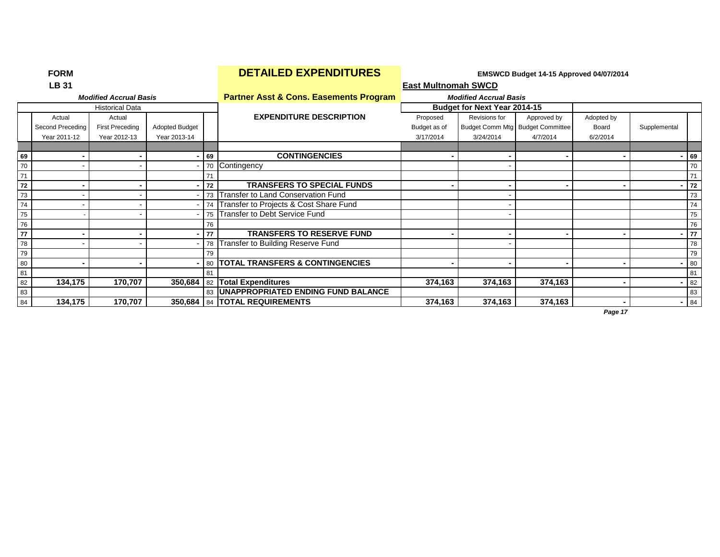|    | <b>LB 31</b>     |                               |                       |      |                                                   | <b>East Multnomah SWCD</b> |                               |                                  |            |              |    |
|----|------------------|-------------------------------|-----------------------|------|---------------------------------------------------|----------------------------|-------------------------------|----------------------------------|------------|--------------|----|
|    |                  | <b>Modified Accrual Basis</b> |                       |      | <b>Partner Asst &amp; Cons. Easements Program</b> |                            | <b>Modified Accrual Basis</b> |                                  |            |              |    |
|    |                  | <b>Historical Data</b>        |                       |      |                                                   |                            | Budget for Next Year 2014-15  |                                  |            |              |    |
|    | Actual           | Actual                        |                       |      | <b>EXPENDITURE DESCRIPTION</b>                    | Proposed                   | Revisions for                 | Approved by                      | Adopted by |              |    |
|    | Second Preceding | <b>First Preceding</b>        | <b>Adopted Budget</b> |      |                                                   | Budget as of               |                               | Budget Comm Mtg Budget Committee | Board      | Supplemental |    |
|    | Year 2011-12     | Year 2012-13                  | Year 2013-14          |      |                                                   | 3/17/2014                  | 3/24/2014                     | 4/7/2014                         | 6/2/2014   |              |    |
|    |                  |                               |                       |      |                                                   |                            |                               |                                  |            |              |    |
| 69 |                  |                               |                       | 69   | <b>CONTINGENCIES</b>                              |                            |                               |                                  |            |              | 69 |
| 70 |                  |                               |                       |      | 70 Contingency                                    |                            |                               |                                  |            |              | 70 |
| 71 |                  |                               |                       |      |                                                   |                            |                               |                                  |            |              | 71 |
| 72 |                  |                               |                       | 72   | <b>TRANSFERS TO SPECIAL FUNDS</b>                 |                            |                               |                                  | ۰          |              | 72 |
| 73 |                  |                               |                       |      | 73 Transfer to Land Conservation Fund             |                            |                               |                                  |            |              | 73 |
| 74 |                  |                               |                       |      | 74 Transfer to Projects & Cost Share Fund         |                            |                               |                                  |            |              | 74 |
| 75 |                  |                               |                       |      | 75 Transfer to Debt Service Fund                  |                            |                               |                                  |            |              | 75 |
| 76 |                  |                               |                       | 76   |                                                   |                            |                               |                                  |            |              | 76 |
| 77 |                  |                               |                       | l 77 | <b>TRANSFERS TO RESERVE FUND</b>                  |                            |                               |                                  | ۰          |              | 77 |
| 78 |                  |                               |                       |      | 78 Transfer to Building Reserve Fund              |                            |                               |                                  |            |              | 78 |
| 79 |                  |                               |                       | 79   |                                                   |                            |                               |                                  |            |              | 79 |
| 80 |                  |                               |                       |      | 80   TOTAL TRANSFERS & CONTINGENCIES              |                            |                               |                                  |            |              | 80 |
| 81 |                  |                               |                       | 81   |                                                   |                            |                               |                                  |            |              | 81 |
| 82 | 134,175          | 170,707                       | 350,684               |      | 82 Total Expenditures                             | 374,163                    | 374,163                       | 374,163                          | ۰          |              | 82 |
| 83 |                  |                               |                       |      | 83 UNAPPROPRIATED ENDING FUND BALANCE             |                            |                               |                                  |            |              | 83 |
| 84 | 134,175          | 170,707                       |                       |      | 350,684   84   TOTAL REQUIREMENTS                 | 374,163                    | 374,163                       | 374,163                          | ۰.         | ۰            | 84 |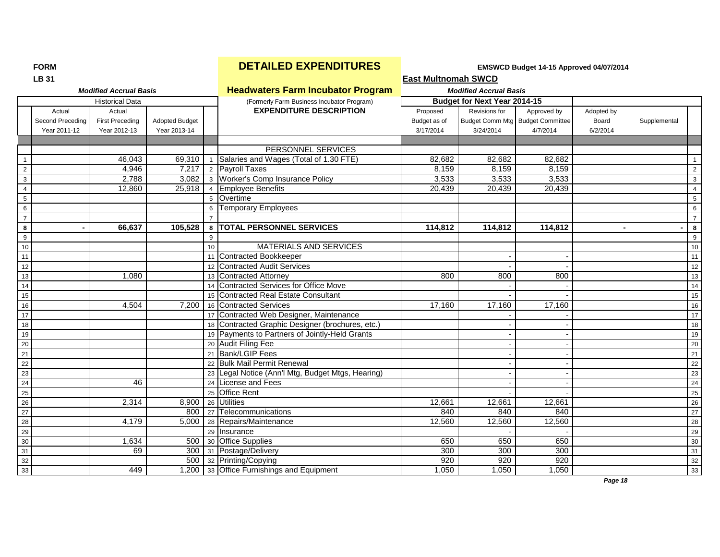|                  | <b>LB 31</b>                               |                                                  |                                       |                 |                                                     | <b>East Multnomah SWCD</b>            |                               |                                                             |                                 |              |                 |
|------------------|--------------------------------------------|--------------------------------------------------|---------------------------------------|-----------------|-----------------------------------------------------|---------------------------------------|-------------------------------|-------------------------------------------------------------|---------------------------------|--------------|-----------------|
|                  |                                            | <b>Modified Accrual Basis</b>                    |                                       |                 | <b>Headwaters Farm Incubator Program</b>            |                                       | <b>Modified Accrual Basis</b> |                                                             |                                 |              |                 |
|                  |                                            | <b>Historical Data</b>                           |                                       |                 | (Formerly Farm Business Incubator Program)          |                                       | Budget for Next Year 2014-15  |                                                             |                                 |              |                 |
|                  | Actual<br>Second Preceding<br>Year 2011-12 | Actual<br><b>First Preceding</b><br>Year 2012-13 | <b>Adopted Budget</b><br>Year 2013-14 |                 | <b>EXPENDITURE DESCRIPTION</b>                      | Proposed<br>Budget as of<br>3/17/2014 | Revisions for<br>3/24/2014    | Approved by<br>Budget Comm Mtg Budget Committee<br>4/7/2014 | Adopted by<br>Board<br>6/2/2014 | Supplemental |                 |
|                  |                                            |                                                  |                                       |                 |                                                     |                                       |                               |                                                             |                                 |              |                 |
|                  |                                            |                                                  |                                       |                 | PERSONNEL SERVICES                                  |                                       |                               |                                                             |                                 |              |                 |
| $\overline{1}$   |                                            | 46,043                                           |                                       |                 | 69,310   1   Salaries and Wages (Total of 1.30 FTE) | 82,682                                | 82,682                        | 82,682                                                      |                                 |              | $\overline{1}$  |
| $\overline{2}$   |                                            | 4.946                                            | 7.217                                 |                 | 2 Payroll Taxes                                     | 8,159                                 | 8,159                         | 8.159                                                       |                                 |              | 2               |
| 3                |                                            | 2,788                                            | 3,082                                 |                 | 3 Worker's Comp Insurance Policy                    | 3,533                                 | 3,533                         | 3,533                                                       |                                 |              | $\mathbf{3}$    |
| $\overline{4}$   |                                            | 12,860                                           | 25,918                                |                 | 4 Employee Benefits                                 | 20,439                                | 20,439                        | 20,439                                                      |                                 |              | $\overline{4}$  |
| $5\phantom{.0}$  |                                            |                                                  |                                       |                 | 5 Overtime                                          |                                       |                               |                                                             |                                 |              | $5\phantom{.0}$ |
| $\,6\,$          |                                            |                                                  |                                       |                 | 6 Temporary Employees                               |                                       |                               |                                                             |                                 |              | $6\phantom{a}$  |
| $\overline{7}$   |                                            |                                                  |                                       |                 |                                                     |                                       |                               |                                                             |                                 |              | $\overline{7}$  |
| 8                |                                            | 66,637                                           | 105.528                               |                 | 8   TOTAL PERSONNEL SERVICES                        | 114,812                               | 114,812                       | 114,812                                                     |                                 |              | $\bf{8}$        |
| $\boldsymbol{9}$ |                                            |                                                  |                                       | 9               |                                                     |                                       |                               |                                                             |                                 |              | $9\,$           |
| $10$             |                                            |                                                  |                                       | 10 <sup>1</sup> | <b>MATERIALS AND SERVICES</b>                       |                                       |                               |                                                             |                                 |              | 10              |
| 11               |                                            |                                                  |                                       |                 | 11 Contracted Bookkeeper                            |                                       |                               |                                                             |                                 |              | $\overline{11}$ |
| 12               |                                            |                                                  |                                       |                 | 12 Contracted Audit Services                        |                                       |                               |                                                             |                                 |              | 12              |
| 13               |                                            | 1,080                                            |                                       |                 | 13 Contracted Attorney                              | 800                                   | 800                           | 800                                                         |                                 |              | 13              |
| $14\,$           |                                            |                                                  |                                       |                 | 14 Contracted Services for Office Move              |                                       |                               |                                                             |                                 |              | $\overline{14}$ |
| 15               |                                            |                                                  |                                       |                 | 15 Contracted Real Estate Consultant                |                                       |                               |                                                             |                                 |              | 15              |
| 16               |                                            | 4.504                                            | 7,200                                 |                 | 16 Contracted Services                              | 17,160                                | 17,160                        | 17,160                                                      |                                 |              | 16              |
| 17               |                                            |                                                  |                                       |                 | 17 Contracted Web Designer, Maintenance             |                                       |                               |                                                             |                                 |              | 17              |
| 18               |                                            |                                                  |                                       |                 | 18 Contracted Graphic Designer (brochures, etc.)    |                                       |                               |                                                             |                                 |              | 18              |
| 19               |                                            |                                                  |                                       |                 | 19 Payments to Partners of Jointly-Held Grants      |                                       |                               |                                                             |                                 |              | 19              |
| $20\,$           |                                            |                                                  |                                       |                 | 20 Audit Filing Fee                                 |                                       |                               |                                                             |                                 |              | 20              |
| 21               |                                            |                                                  |                                       |                 | 21 Bank/LGIP Fees                                   |                                       |                               |                                                             |                                 |              | $\overline{21}$ |
| $\overline{22}$  |                                            |                                                  |                                       |                 | 22 Bulk Mail Permit Renewal                         |                                       |                               |                                                             |                                 |              | 22              |
| 23               |                                            |                                                  |                                       |                 | 23 Legal Notice (Ann'l Mtg, Budget Mtgs, Hearing)   |                                       |                               |                                                             |                                 |              | 23              |
| 24               |                                            | 46                                               |                                       |                 | 24 License and Fees                                 |                                       |                               |                                                             |                                 |              | 24              |
| 25               |                                            |                                                  |                                       |                 | 25 Office Rent                                      |                                       |                               |                                                             |                                 |              | 25              |
| 26               |                                            | 2,314                                            |                                       |                 | 8,900 26 Utilities                                  | 12,661                                | 12,661                        | 12,661                                                      |                                 |              | 26              |
| $\overline{27}$  |                                            |                                                  |                                       |                 | 800   27   Telecommunications                       | 840                                   | 840                           | 840                                                         |                                 |              | 27              |
| $\overline{28}$  |                                            | 4,179                                            | 5,000                                 |                 | 28 Repairs/Maintenance                              | 12,560                                | 12,560                        | 12,560                                                      |                                 |              | 28              |
| 29               |                                            |                                                  |                                       |                 | 29 Insurance                                        |                                       |                               |                                                             |                                 |              | 29              |
| 30               |                                            | 1,634                                            | 500                                   |                 | 30 Office Supplies                                  | 650                                   | 650                           | 650                                                         |                                 |              | 30              |
| 31               |                                            | 69                                               | 300                                   |                 | 31 Postage/Delivery                                 | 300                                   | 300                           | 300                                                         |                                 |              | 31              |
| 32               |                                            |                                                  | 500                                   |                 | 32 Printing/Copying                                 | 920                                   | 920                           | 920                                                         |                                 |              | 32              |
| 33               |                                            | 449                                              |                                       |                 | 1,200 33 Office Furnishings and Equipment           | 1,050                                 | 1,050                         | 1,050                                                       |                                 |              | 33              |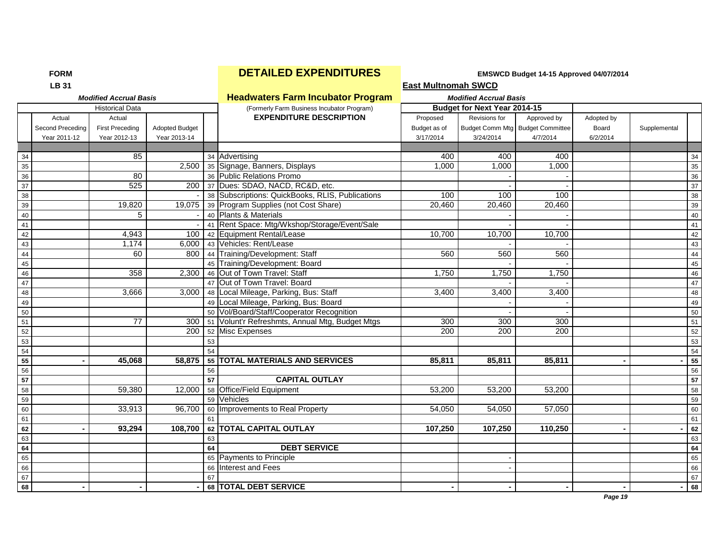# **FORM EXPENDITURES EMSWCD Budget 14-15 Approved 04/07/2014**<br> **Exact Multipomab SWCD**

|                 | <b>LB 31</b>     |                               |                       |    |                                                     | <b>East Multnomah SWCD</b> |                                     |                                  |            |              |    |
|-----------------|------------------|-------------------------------|-----------------------|----|-----------------------------------------------------|----------------------------|-------------------------------------|----------------------------------|------------|--------------|----|
|                 |                  | <b>Modified Accrual Basis</b> |                       |    | <b>Headwaters Farm Incubator Program</b>            |                            | <b>Modified Accrual Basis</b>       |                                  |            |              |    |
|                 |                  | <b>Historical Data</b>        |                       |    | (Formerly Farm Business Incubator Program)          |                            | <b>Budget for Next Year 2014-15</b> |                                  |            |              |    |
|                 | Actual           | Actual                        |                       |    | <b>EXPENDITURE DESCRIPTION</b>                      | Proposed                   | Revisions for                       | Approved by                      | Adopted by |              |    |
|                 | Second Preceding | <b>First Preceding</b>        | <b>Adopted Budget</b> |    |                                                     | Budget as of               |                                     | Budget Comm Mtg Budget Committee | Board      | Supplemental |    |
|                 | Year 2011-12     | Year 2012-13                  | Year 2013-14          |    |                                                     | 3/17/2014                  | 3/24/2014                           | 4/7/2014                         | 6/2/2014   |              |    |
|                 |                  |                               |                       |    |                                                     |                            |                                     |                                  |            |              |    |
| 34              |                  | 85                            |                       |    | 34 Advertising                                      | 400                        | 400                                 | 400                              |            |              | 34 |
| 35              |                  |                               |                       |    | 2,500 35 Signage, Banners, Displays                 | 1.000                      | 1,000                               | 1,000                            |            |              | 35 |
| 36              |                  | 80                            |                       |    | 36 Public Relations Promo                           |                            |                                     |                                  |            |              | 36 |
| 37              |                  | 525                           | 200                   |    | 37 Dues: SDAO, NACD, RC&D, etc.                     |                            |                                     |                                  |            |              | 37 |
| 38              |                  |                               |                       |    | 38 Subscriptions: QuickBooks, RLIS, Publications    | 100                        | 100                                 | 100                              |            |              | 38 |
| 39              |                  | 19,820                        |                       |    | 19,075 39 Program Supplies (not Cost Share)         | 20,460                     | 20,460                              | 20,460                           |            |              | 39 |
| 40              |                  | 5                             |                       |    | 40 Plants & Materials                               |                            |                                     |                                  |            |              | 40 |
| 41              |                  |                               |                       |    | 41 Rent Space: Mtg/Wkshop/Storage/Event/Sale        |                            |                                     |                                  |            |              | 41 |
| $\frac{1}{42}$  |                  | 4,943                         | 100                   |    | 42 Equipment Rental/Lease                           | 10,700                     | 10,700                              | 10,700                           |            |              | 42 |
| $\frac{12}{43}$ |                  | 1.174                         | 6,000                 |    | 43 Vehicles: Rent/Lease                             |                            |                                     |                                  |            |              | 43 |
| 44              |                  | 60                            | 800                   |    | 44 Training/Development: Staff                      | 560                        | 560                                 | 560                              |            |              | 44 |
| $\frac{1}{45}$  |                  |                               |                       |    | 45 Training/Development: Board                      |                            |                                     |                                  |            |              | 45 |
| 46              |                  | 358                           | 2,300                 |    | 46 Out of Town Travel: Staff                        | 1,750                      | 1,750                               | 1,750                            |            |              | 46 |
| $\frac{12}{47}$ |                  |                               |                       |    | 47 Out of Town Travel: Board                        |                            |                                     |                                  |            |              | 47 |
| 48              |                  | 3,666                         | 3,000                 |    | 48 Local Mileage, Parking, Bus: Staff               | 3,400                      | 3,400                               | 3,400                            |            |              | 48 |
| $rac{40}{49}$   |                  |                               |                       |    | 49 Local Mileage, Parking, Bus: Board               |                            |                                     |                                  |            |              | 49 |
| $\frac{1}{50}$  |                  |                               |                       |    | 50 Vol/Board/Staff/Cooperator Recognition           |                            |                                     |                                  |            |              | 50 |
|                 |                  | 77                            |                       |    | 300 51 Volunt'r Refreshmts, Annual Mtg, Budget Mtgs | 300                        | 300                                 | 300                              |            |              | 51 |
| 52              |                  |                               | 200                   |    | 52 Misc Expenses                                    | 200                        | 200                                 | 200                              |            |              | 52 |
| 53              |                  |                               |                       | 53 |                                                     |                            |                                     |                                  |            |              | 53 |
| 54              |                  |                               |                       | 54 |                                                     |                            |                                     |                                  |            |              | 54 |
| 55              |                  | 45.068                        | 58,875                |    | 55 TOTAL MATERIALS AND SERVICES                     | 85.811                     | 85,811                              | 85,811                           |            |              | 55 |
| 56              |                  |                               |                       | 56 |                                                     |                            |                                     |                                  |            |              | 56 |
| 57              |                  |                               |                       | 57 | <b>CAPITAL OUTLAY</b>                               |                            |                                     |                                  |            |              | 57 |
| 58              |                  | 59,380                        | 12,000                |    | 58 Office/Field Equipment                           | 53,200                     | 53,200                              | 53,200                           |            |              | 58 |
| 59              |                  |                               |                       |    | 59 Vehicles                                         |                            |                                     |                                  |            |              | 59 |
| 60              |                  | 33,913                        | 96,700                |    | 60 Improvements to Real Property                    | 54,050                     | 54,050                              | 57,050                           |            |              | 60 |
| 61              |                  |                               |                       | 61 |                                                     |                            |                                     |                                  |            |              | 61 |
| 62              |                  | 93,294                        | 108,700               |    | 62 TOTAL CAPITAL OUTLAY                             | 107,250                    | 107,250                             | 110,250                          |            |              | 62 |
| 63              |                  |                               |                       | 63 |                                                     |                            |                                     |                                  |            |              | 63 |
| 64              |                  |                               |                       | 64 | <b>DEBT SERVICE</b>                                 |                            |                                     |                                  |            |              | 64 |
| 65              |                  |                               |                       |    | 65 Payments to Principle                            |                            |                                     |                                  |            |              | 65 |
| 66              |                  |                               |                       |    | 66 Interest and Fees                                |                            |                                     |                                  |            |              | 66 |
| 67              |                  |                               |                       | 67 |                                                     |                            |                                     |                                  |            |              | 67 |
| 68              |                  |                               |                       |    | 68 TOTAL DEBT SERVICE                               |                            |                                     |                                  |            |              | 68 |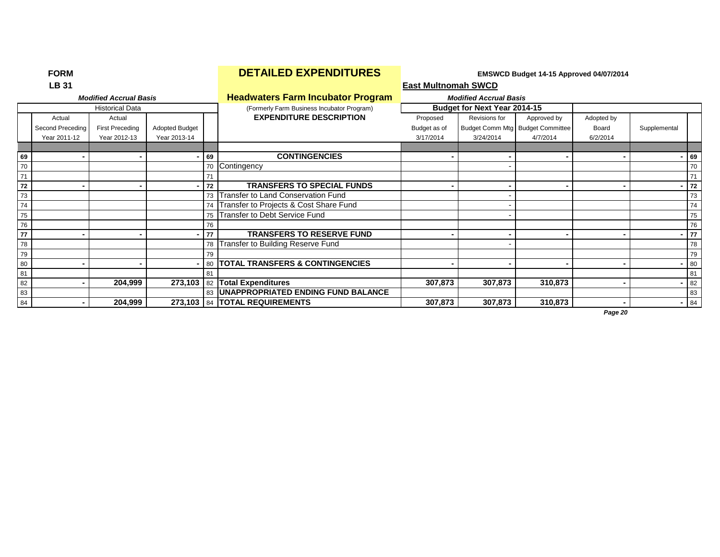|    | ויו יש ו         |                               |                       |    |                                            | $L$ monob buuget is apploted $\sigma$ will be is |                               |                                  |            |              |    |
|----|------------------|-------------------------------|-----------------------|----|--------------------------------------------|--------------------------------------------------|-------------------------------|----------------------------------|------------|--------------|----|
|    | LB 31            |                               |                       |    |                                            | <b>East Multnomah SWCD</b>                       |                               |                                  |            |              |    |
|    |                  | <b>Modified Accrual Basis</b> |                       |    | <b>Headwaters Farm Incubator Program</b>   |                                                  | <b>Modified Accrual Basis</b> |                                  |            |              |    |
|    |                  | <b>Historical Data</b>        |                       |    | (Formerly Farm Business Incubator Program) |                                                  | Budget for Next Year 2014-15  |                                  |            |              |    |
|    | Actual           | Actual                        |                       |    | <b>EXPENDITURE DESCRIPTION</b>             | Proposed                                         | Revisions for                 | Approved by                      | Adopted by |              |    |
|    | Second Preceding | <b>First Preceding</b>        | <b>Adopted Budget</b> |    |                                            | Budget as of                                     |                               | Budget Comm Mtg Budget Committee | Board      | Supplemental |    |
|    | Year 2011-12     | Year 2012-13                  | Year 2013-14          |    |                                            | 3/17/2014                                        | 3/24/2014                     | 4/7/2014                         | 6/2/2014   |              |    |
|    |                  |                               |                       |    |                                            |                                                  |                               |                                  |            |              |    |
| 69 |                  |                               |                       | 69 | <b>CONTINGENCIES</b>                       |                                                  |                               |                                  |            | 69           |    |
| 70 |                  |                               |                       |    | 70 Contingency                             |                                                  |                               |                                  |            |              | 70 |
| 71 |                  |                               |                       |    |                                            |                                                  |                               |                                  |            | 71           |    |
| 72 |                  |                               |                       | 72 | <b>TRANSFERS TO SPECIAL FUNDS</b>          |                                                  |                               |                                  |            |              | 72 |
| 73 |                  |                               |                       |    | 73 Transfer to Land Conservation Fund      |                                                  |                               |                                  |            |              | 73 |
| 74 |                  |                               |                       |    | 74 Transfer to Projects & Cost Share Fund  |                                                  |                               |                                  |            |              | 74 |
| 75 |                  |                               |                       |    | 75 Transfer to Debt Service Fund           |                                                  |                               |                                  |            |              | 75 |
| 76 |                  |                               |                       | 76 |                                            |                                                  |                               |                                  |            |              | 76 |
| 77 |                  |                               |                       | 77 | <b>TRANSFERS TO RESERVE FUND</b>           |                                                  |                               |                                  |            | 77           |    |
| 78 |                  |                               |                       |    | 78 Transfer to Building Reserve Fund       |                                                  |                               |                                  |            |              | 78 |
| 79 |                  |                               |                       | 79 |                                            |                                                  |                               |                                  |            |              | 79 |
| 80 |                  |                               |                       |    | 80   TOTAL TRANSFERS & CONTINGENCIES       |                                                  |                               |                                  |            | 80           |    |
| 81 |                  |                               |                       |    |                                            |                                                  |                               |                                  |            | 81           |    |
| 82 |                  | 204,999                       |                       |    | 273,103 82 Total Expenditures              | 307,873                                          | 307,873                       | 310,873                          |            |              | 82 |
| 83 |                  |                               |                       |    | 83   UNAPPROPRIATED ENDING FUND BALANCE    |                                                  |                               |                                  |            |              | 83 |
| 84 |                  | 204,999                       |                       |    | 273,103   84   TOTAL REQUIREMENTS          | 307,873                                          | 307,873                       | 310,873                          | ۰.         | 84           |    |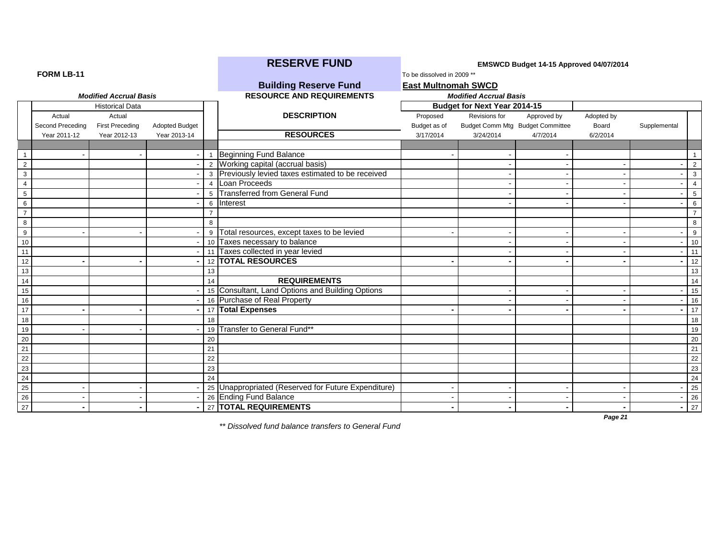|                  |                  |                               |                       |                 | <b>RESERVE FUND</b>                                 | EMSWCD Budget 14-15 Approved 04/07/2014 |                                     |                                  |            |                |                 |
|------------------|------------------|-------------------------------|-----------------------|-----------------|-----------------------------------------------------|-----------------------------------------|-------------------------------------|----------------------------------|------------|----------------|-----------------|
| FORM LB-11       |                  |                               |                       |                 |                                                     | To be dissolved in 2009 **              |                                     |                                  |            |                |                 |
|                  |                  |                               |                       |                 | <b>Building Reserve Fund</b>                        | <b>East Multnomah SWCD</b>              |                                     |                                  |            |                |                 |
|                  |                  | <b>Modified Accrual Basis</b> |                       |                 | <b>RESOURCE AND REQUIREMENTS</b>                    |                                         | <b>Modified Accrual Basis</b>       |                                  |            |                |                 |
|                  |                  | <b>Historical Data</b>        |                       |                 |                                                     |                                         | <b>Budget for Next Year 2014-15</b> |                                  |            |                |                 |
|                  | Actual           | Actual                        |                       |                 | <b>DESCRIPTION</b>                                  | Proposed                                | Revisions for                       | Approved by                      | Adopted by |                |                 |
|                  | Second Preceding | <b>First Preceding</b>        | <b>Adopted Budget</b> |                 |                                                     | Budget as of                            |                                     | Budget Comm Mtg Budget Committee | Board      | Supplemental   |                 |
|                  | Year 2011-12     | Year 2012-13                  | Year 2013-14          |                 | <b>RESOURCES</b>                                    | 3/17/2014                               | 3/24/2014                           | 4/7/2014                         | 6/2/2014   |                |                 |
|                  |                  |                               |                       |                 |                                                     |                                         |                                     |                                  |            |                |                 |
| $\overline{1}$   |                  |                               |                       |                 | 1 Beginning Fund Balance                            |                                         |                                     |                                  |            |                |                 |
| $\overline{2}$   |                  |                               |                       |                 | 2 Working capital (accrual basis)                   |                                         |                                     |                                  |            |                | $\overline{2}$  |
| $\mathbf{3}$     |                  |                               |                       |                 | 3 Previously levied taxes estimated to be received  |                                         |                                     |                                  |            |                | 3               |
| $\overline{4}$   |                  |                               |                       | $\overline{4}$  | Loan Proceeds                                       |                                         |                                     |                                  |            |                | $\overline{4}$  |
| $5\phantom{.0}$  |                  |                               |                       |                 | 5 Transferred from General Fund                     |                                         |                                     |                                  |            |                | $5\phantom{.0}$ |
| 6                |                  |                               |                       |                 | 6 Interest                                          |                                         |                                     |                                  |            |                | 6               |
| $\overline{7}$   |                  |                               |                       |                 |                                                     |                                         |                                     |                                  |            |                | $\overline{7}$  |
| $\overline{8}$   |                  |                               |                       | 8               |                                                     |                                         |                                     |                                  |            |                | 8               |
| $\boldsymbol{9}$ |                  |                               |                       | 9               | Total resources, except taxes to be levied          |                                         |                                     |                                  |            |                | 9               |
| 10               |                  |                               |                       | 10 <sup>1</sup> | Taxes necessary to balance                          |                                         |                                     |                                  |            |                | 10              |
| 11               |                  |                               |                       |                 | 11 Taxes collected in year levied                   |                                         |                                     |                                  |            |                | 11              |
| 12               |                  |                               |                       |                 | 12 <b>TOTAL RESOURCES</b>                           |                                         |                                     |                                  |            | $\blacksquare$ | 12              |
| 13               |                  |                               |                       | 13              |                                                     |                                         |                                     |                                  |            |                | 13              |
| 14               |                  |                               |                       | 14              | <b>REQUIREMENTS</b>                                 |                                         |                                     |                                  |            |                | 14              |
| 15               |                  |                               |                       |                 | 15 Consultant, Land Options and Building Options    |                                         |                                     |                                  |            |                | 15              |
| 16               |                  |                               |                       |                 | 16 Purchase of Real Property                        |                                         |                                     |                                  |            |                | 16              |
| 17               |                  |                               |                       |                 | 17 Total Expenses                                   |                                         |                                     |                                  |            |                | 17              |
| 18               |                  |                               |                       | 18              |                                                     |                                         |                                     |                                  |            |                | 18              |
| 19               |                  |                               |                       |                 | 19 Transfer to General Fund**                       |                                         |                                     |                                  |            |                | 19              |
| $\overline{20}$  |                  |                               |                       | 20              |                                                     |                                         |                                     |                                  |            |                | 20              |
| $\overline{21}$  |                  |                               |                       | 21              |                                                     |                                         |                                     |                                  |            |                | 21              |
| 22               |                  |                               |                       | 22              |                                                     |                                         |                                     |                                  |            |                | 22              |
| 23               |                  |                               |                       | 23              |                                                     |                                         |                                     |                                  |            |                | 23              |
| $\overline{24}$  |                  |                               |                       | 24              |                                                     |                                         |                                     |                                  |            |                | 24              |
| 25               |                  |                               |                       |                 | 25 Unappropriated (Reserved for Future Expenditure) |                                         |                                     |                                  |            |                | 25              |
| 26               |                  |                               |                       |                 | 26 Ending Fund Balance                              |                                         |                                     |                                  |            |                | 26              |
| $\overline{27}$  |                  |                               |                       |                 | 27 TOTAL REQUIREMENTS                               |                                         |                                     |                                  |            |                | 27              |

*\*\* Dissolved fund balance transfers to General Fund*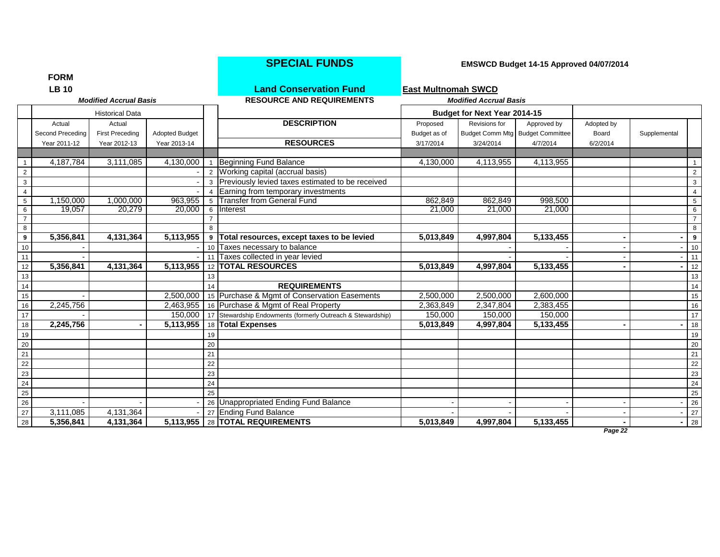|                               | <b>FORM</b>      |                        |                       |    |                                                             |              |                               |                                  |            |              |                     |
|-------------------------------|------------------|------------------------|-----------------------|----|-------------------------------------------------------------|--------------|-------------------------------|----------------------------------|------------|--------------|---------------------|
| <b>LB10</b>                   |                  |                        |                       |    | <b>Land Conservation Fund</b>                               |              |                               |                                  |            |              |                     |
| <b>Modified Accrual Basis</b> |                  |                        |                       |    | <b>RESOURCE AND REQUIREMENTS</b>                            |              | <b>Modified Accrual Basis</b> |                                  |            |              |                     |
|                               |                  | <b>Historical Data</b> |                       |    |                                                             |              | Budget for Next Year 2014-15  |                                  |            |              |                     |
|                               | Actual           | Actual                 |                       |    | <b>DESCRIPTION</b>                                          | Proposed     | Revisions for                 | Approved by                      | Adopted by |              |                     |
|                               | Second Preceding | <b>First Preceding</b> | <b>Adopted Budget</b> |    |                                                             | Budget as of |                               | Budget Comm Mtg Budget Committee | Board      | Supplemental |                     |
|                               | Year 2011-12     | Year 2012-13           | Year 2013-14          |    | <b>RESOURCES</b>                                            | 3/17/2014    | 3/24/2014                     | 4/7/2014                         | 6/2/2014   |              |                     |
|                               |                  |                        |                       |    |                                                             |              |                               |                                  |            |              |                     |
| $\overline{1}$                | 4,187,784        | 3,111,085              | 4,130,000             |    | Beginning Fund Balance                                      | 4,130,000    | 4,113,955                     | 4,113,955                        |            |              | $\mathbf{1}$        |
|                               |                  |                        |                       |    | 2 Working capital (accrual basis)                           |              |                               |                                  |            |              | $\overline{2}$      |
| $\ensuremath{\mathsf{3}}$     |                  |                        |                       |    | 3 Previously levied taxes estimated to be received          |              |                               |                                  |            |              | $\mathbf{3}$        |
| $\overline{4}$                |                  |                        |                       |    | 4 Earning from temporary investments                        |              |                               |                                  |            |              | $\overline{4}$      |
| $\,$ 5 $\,$                   | 1,150,000        | 1,000,000              | 963,955               |    | 5 Transfer from General Fund                                | 862,849      | 862,849                       | 998,500                          |            |              | 5 <sup>5</sup>      |
| $\frac{6}{7}$                 | 19,057           | 20.279                 | 20,000                |    | 6 Interest                                                  | 21,000       | 21,000                        | 21,000                           |            |              | 6                   |
| $\overline{8}$                |                  |                        |                       | 8  |                                                             |              |                               |                                  |            |              | $\overline{7}$<br>8 |
| $\overline{9}$                | 5,356,841        | 4,131,364              | 5,113,955             | 9  | Total resources, except taxes to be levied                  | 5,013,849    | 4,997,804                     | 5,133,455                        |            |              | $\overline{9}$      |
| 10                            |                  |                        |                       |    | 10 Taxes necessary to balance                               |              |                               |                                  |            |              | 10                  |
| 11                            |                  |                        |                       | 11 | Taxes collected in year levied                              |              |                               |                                  |            |              | 11                  |
| 12                            | 5,356,841        | 4,131,364              | 5,113,955             |    | 12 <b>TOTAL RESOURCES</b>                                   | 5,013,849    | 4,997,804                     | 5,133,455                        |            |              | 12                  |
| 13                            |                  |                        |                       | 13 |                                                             |              |                               |                                  |            |              | 13                  |
| 14                            |                  |                        |                       | 14 | <b>REQUIREMENTS</b>                                         |              |                               |                                  |            |              | 14                  |
| 15 <sub>15</sub>              |                  |                        | 2,500,000             |    | 15 Purchase & Mgmt of Conservation Easements                | 2,500,000    | 2,500,000                     | 2,600,000                        |            |              | 15                  |
| 16                            | 2,245,756        |                        | 2,463,955             |    | 16 Purchase & Mgmt of Real Property                         | 2,363,849    | 2,347,804                     | 2,383,455                        |            |              | 16                  |
| $\overline{17}$               |                  |                        | 150,000               |    | 17 Stewardship Endowments (formerly Outreach & Stewardship) | 150,000      | 150,000                       | 150,000                          |            |              | 17                  |
| 18                            | 2,245,756        |                        | 5,113,955             |    | 18 Total Expenses                                           | 5,013,849    | 4,997,804                     | 5,133,455                        |            |              | 18                  |
|                               |                  |                        |                       | 19 |                                                             |              |                               |                                  |            |              | 19                  |
| $\frac{19}{20}$<br>21         |                  |                        |                       | 20 |                                                             |              |                               |                                  |            |              | 20                  |
|                               |                  |                        |                       | 21 |                                                             |              |                               |                                  |            |              | 21                  |
|                               |                  |                        |                       | 22 |                                                             |              |                               |                                  |            |              | 22                  |
| $\frac{22}{23}$<br>24         |                  |                        |                       | 23 |                                                             |              |                               |                                  |            |              | 23                  |
|                               |                  |                        |                       | 24 |                                                             |              |                               |                                  |            |              | 24                  |
| 25<br>26                      |                  |                        |                       | 25 |                                                             |              |                               |                                  |            |              | 25                  |
|                               |                  |                        |                       |    | 26 Unappropriated Ending Fund Balance                       |              |                               |                                  |            |              | 26                  |
| 27                            | 3,111,085        | 4,131,364              |                       |    | 27 Ending Fund Balance                                      |              |                               |                                  |            |              | 27                  |
| 28                            | 5,356,841        | 4,131,364              | 5,113,955             |    | 28 TOTAL REQUIREMENTS                                       | 5,013,849    | 4,997,804                     | 5,133,455                        |            |              | 28                  |

## **SPECIAL FUNDS EMSWCD Budget 14-15 Approved 04/07/2014**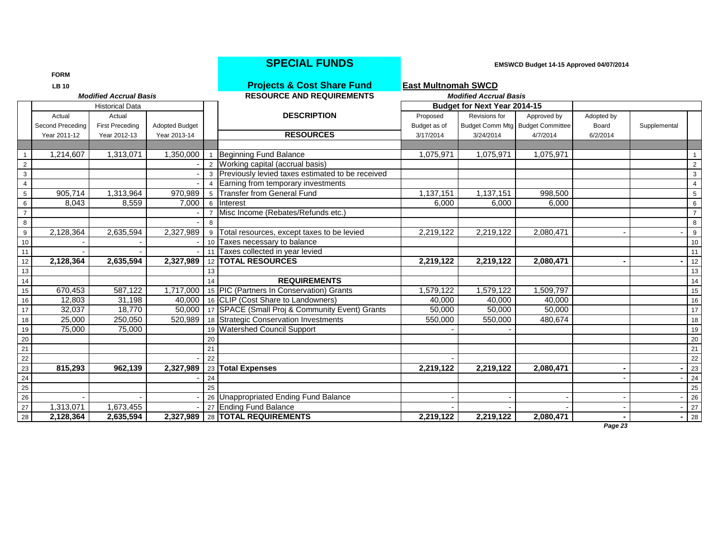|                 | <b>FORM</b>      |                               |                |                |                                                           |                               |                                     |                                  |            |              |                 |
|-----------------|------------------|-------------------------------|----------------|----------------|-----------------------------------------------------------|-------------------------------|-------------------------------------|----------------------------------|------------|--------------|-----------------|
|                 | <b>LB 10</b>     |                               |                |                | <b>Projects &amp; Cost Share Fund</b>                     | <b>East Multnomah SWCD</b>    |                                     |                                  |            |              |                 |
|                 |                  | <b>Modified Accrual Basis</b> |                |                | <b>RESOURCE AND REQUIREMENTS</b>                          | <b>Modified Accrual Basis</b> |                                     |                                  |            |              |                 |
|                 |                  | <b>Historical Data</b>        |                |                |                                                           |                               | <b>Budget for Next Year 2014-15</b> |                                  |            |              |                 |
|                 | Actual           | Actual                        |                |                | <b>DESCRIPTION</b>                                        | Proposed                      | Revisions for                       | Approved by                      | Adopted by |              |                 |
|                 | Second Preceding | <b>First Preceding</b>        | Adopted Budget |                |                                                           | Budget as of                  |                                     | Budget Comm Mtg Budget Committee | Board      | Supplemental |                 |
|                 | Year 2011-12     | Year 2012-13                  | Year 2013-14   |                | <b>RESOURCES</b>                                          | 3/17/2014                     | 3/24/2014                           | 4/7/2014                         | 6/2/2014   |              |                 |
|                 |                  |                               |                |                |                                                           |                               |                                     |                                  |            |              |                 |
| $\overline{1}$  | 1,214,607        | 1,313,071                     | 1,350,000      | $\overline{1}$ | Beginning Fund Balance                                    | 1,075,971                     | 1,075,971                           | 1,075,971                        |            |              |                 |
| $\overline{2}$  |                  |                               |                |                | 2 Working capital (accrual basis)                         |                               |                                     |                                  |            |              | 2               |
| $\mathbf{3}$    |                  |                               |                |                | 3 Previously levied taxes estimated to be received        |                               |                                     |                                  |            |              | 3               |
| 4               |                  |                               |                |                | 4 Earning from temporary investments                      |                               |                                     |                                  |            |              | $\overline{4}$  |
| $5\phantom{.0}$ | 905,714          | 1,313,964                     | 970,989        |                | 5 Transfer from General Fund                              | 1,137,151                     | 1,137,151                           | 998,500                          |            |              | $\sqrt{5}$      |
| 6               | 8.043            | 8.559                         | 7,000          |                | 6 Interest                                                | 6.000                         | 6.000                               | 6.000                            |            |              | 6               |
| $\overline{7}$  |                  |                               |                | $\overline{ }$ | Misc Income (Rebates/Refunds etc.)                        |                               |                                     |                                  |            |              | $\overline{7}$  |
| 8               |                  |                               |                | 8              |                                                           |                               |                                     |                                  |            |              | 8               |
| 9               | 2,128,364        | 2,635,594                     | 2,327,989      |                | 9 Total resources, except taxes to be levied              | 2,219,122                     | 2,219,122                           | 2,080,471                        |            |              | 9               |
| $10$            |                  |                               |                |                | 10 Taxes necessary to balance                             |                               |                                     |                                  |            |              | 10              |
| 11              |                  |                               |                |                | 11 Taxes collected in year levied                         |                               |                                     |                                  |            |              | 11              |
| 12              | 2,128,364        | 2.635.594                     | 2,327,989      |                | <b>12 TOTAL RESOURCES</b>                                 | 2,219,122                     | 2,219,122                           | 2,080,471                        |            |              | 12              |
| 13              |                  |                               |                | 13             |                                                           |                               |                                     |                                  |            |              | 13              |
| 14              |                  |                               |                | 14             | <b>REQUIREMENTS</b>                                       |                               |                                     |                                  |            |              | 14              |
| 15              | 670,453          | 587,122                       | 1,717,000      |                | 15 PIC (Partners In Conservation) Grants                  | 1,579,122                     | 1,579,122                           | 1,509,797                        |            |              | 15              |
| 16              | 12,803           | 31,198                        | 40.000         |                | 16 CLIP (Cost Share to Landowners)                        | 40,000                        | 40,000                              | 40,000                           |            |              | 16              |
| 17              | 32,037           | 18,770                        |                |                | 50,000   17   SPACE (Small Proj & Community Event) Grants | 50,000                        | 50,000                              | 50,000                           |            |              | 17              |
| 18              | 25,000           | 250,050                       | 520,989        |                | 18 Strategic Conservation Investments                     | 550,000                       | 550,000                             | 480,674                          |            |              | 18              |
| $19$            | 75,000           | 75,000                        |                |                | 19 Watershed Council Support                              |                               |                                     |                                  |            |              | 19              |
| 20              |                  |                               |                | 20             |                                                           |                               |                                     |                                  |            |              | $20\,$          |
| $21$            |                  |                               |                | 21             |                                                           |                               |                                     |                                  |            |              | $\overline{21}$ |
| 22              |                  |                               |                | 22             |                                                           |                               |                                     |                                  |            |              | 22              |
| 23              | 815,293          | 962,139                       | 2,327,989      |                | 23 Total Expenses                                         | 2,219,122                     | 2,219,122                           | 2.080.471                        |            |              | 23              |
| 24              |                  |                               |                | 24             |                                                           |                               |                                     |                                  |            |              | 24              |
| 25              |                  |                               |                | 25             |                                                           |                               |                                     |                                  |            |              | 25              |
| 26              |                  |                               |                |                | 26 Unappropriated Ending Fund Balance                     |                               |                                     |                                  |            |              | 26              |
| $\overline{27}$ | 1,313,071        | 1,673,455                     |                |                | 27 Ending Fund Balance                                    |                               |                                     |                                  |            |              | 27              |
| $\overline{28}$ | 2,128,364        | 2,635,594                     | 2,327,989      |                | 28 <b>TOTAL REQUIREMENTS</b>                              | 2,219,122                     | 2,219,122                           | 2,080,471                        |            |              | 28              |
|                 |                  |                               |                |                |                                                           |                               |                                     |                                  | Page 23    |              |                 |

**SPECIAL FUNDS EMSWCD Budget 14-15 Approved 04/07/2014**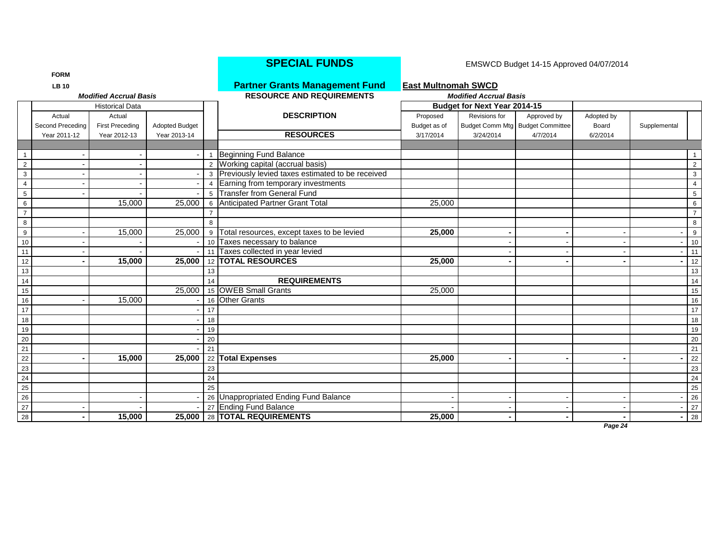|                 | <b>FORM</b>      |                               |                       |    |                                                    |                            |                                     |                                  |            |              |                 |
|-----------------|------------------|-------------------------------|-----------------------|----|----------------------------------------------------|----------------------------|-------------------------------------|----------------------------------|------------|--------------|-----------------|
|                 | <b>LB 10</b>     |                               |                       |    | <b>Partner Grants Management Fund</b>              | <b>East Multnomah SWCD</b> |                                     |                                  |            |              |                 |
|                 |                  | <b>Modified Accrual Basis</b> |                       |    | <b>RESOURCE AND REQUIREMENTS</b>                   |                            | <b>Modified Accrual Basis</b>       |                                  |            |              |                 |
|                 |                  | <b>Historical Data</b>        |                       |    |                                                    |                            | <b>Budget for Next Year 2014-15</b> |                                  |            |              |                 |
|                 | Actual           | Actual                        |                       |    | <b>DESCRIPTION</b>                                 | Proposed                   | Revisions for                       | Approved by                      | Adopted by |              |                 |
|                 | Second Preceding | <b>First Preceding</b>        | <b>Adopted Budget</b> |    |                                                    | Budget as of               |                                     | Budget Comm Mtg Budget Committee | Board      | Supplemental |                 |
|                 | Year 2011-12     | Year 2012-13                  | Year 2013-14          |    | <b>RESOURCES</b>                                   | 3/17/2014                  | 3/24/2014                           | 4/7/2014                         | 6/2/2014   |              |                 |
|                 |                  |                               |                       |    |                                                    |                            |                                     |                                  |            |              |                 |
|                 |                  |                               |                       |    | Beginning Fund Balance                             |                            |                                     |                                  |            |              |                 |
| $\overline{2}$  |                  |                               |                       |    | 2 Working capital (accrual basis)                  |                            |                                     |                                  |            |              | $\overline{2}$  |
| $\mathbf{3}$    |                  |                               |                       |    | 3 Previously levied taxes estimated to be received |                            |                                     |                                  |            |              | 3               |
| $\overline{4}$  |                  |                               |                       |    | 4 Earning from temporary investments               |                            |                                     |                                  |            |              | 4               |
| $\,$ 5 $\,$     |                  |                               |                       |    | 5 Transfer from General Fund                       |                            |                                     |                                  |            |              | $5\phantom{.0}$ |
| $6\phantom{.}6$ |                  | 15,000                        | 25,000                |    | 6 Anticipated Partner Grant Total                  | 25,000                     |                                     |                                  |            |              | 6               |
| $\overline{7}$  |                  |                               |                       |    |                                                    |                            |                                     |                                  |            |              | $\overline{7}$  |
| 8               |                  |                               |                       | 8  |                                                    |                            |                                     |                                  |            |              | 8               |
| 9               |                  | 15,000                        | 25,000                |    | 9 Total resources, except taxes to be levied       | 25,000                     |                                     |                                  |            |              | 9               |
| 10              |                  |                               |                       |    | 10 Taxes necessary to balance                      |                            |                                     |                                  |            |              | 10              |
| 11              |                  |                               |                       |    | 11 Taxes collected in year levied                  |                            |                                     |                                  |            |              | 11              |
| 12              |                  | 15,000                        | 25,000                |    | 12 TOTAL RESOURCES                                 | 25,000                     |                                     |                                  |            |              | 12              |
| 13              |                  |                               |                       | 13 |                                                    |                            |                                     |                                  |            |              | 13              |
| 14              |                  |                               |                       | 14 | <b>REQUIREMENTS</b>                                |                            |                                     |                                  |            |              | 14              |
| 15              |                  |                               | 25,000                |    | 15 OWEB Small Grants                               | 25,000                     |                                     |                                  |            |              | 15              |
| 16              |                  | 15,000                        |                       |    | 16 Other Grants                                    |                            |                                     |                                  |            |              | 16              |
| 17              |                  |                               |                       | 17 |                                                    |                            |                                     |                                  |            |              | $\overline{17}$ |
| 18              |                  |                               |                       | 18 |                                                    |                            |                                     |                                  |            |              | 18              |
| 19              |                  |                               |                       | 19 |                                                    |                            |                                     |                                  |            |              | 19              |
| 20              |                  |                               |                       | 20 |                                                    |                            |                                     |                                  |            |              | 20              |
| $\overline{21}$ |                  |                               |                       | 21 |                                                    |                            |                                     |                                  |            |              | 21              |
| 22              |                  | 15,000                        | 25,000                | 22 | <b>Total Expenses</b>                              | 25,000                     |                                     |                                  |            |              | 22              |
| 23              |                  |                               |                       | 23 |                                                    |                            |                                     |                                  |            |              | 23              |
| 24              |                  |                               |                       | 24 |                                                    |                            |                                     |                                  |            |              | 24              |
| 25              |                  |                               |                       | 25 |                                                    |                            |                                     |                                  |            |              | 25              |
| 26              |                  |                               |                       |    | 26 Unappropriated Ending Fund Balance              |                            |                                     |                                  |            |              | 26              |
| 27              |                  |                               |                       |    | 27 Ending Fund Balance                             |                            |                                     |                                  |            |              | 27              |
| 28              |                  | 15,000                        | 25.000                |    | 28 TOTAL REQUIREMENTS                              | 25,000                     |                                     |                                  |            |              | 28              |
|                 |                  |                               |                       |    |                                                    |                            |                                     |                                  | Page $24$  |              |                 |

## **SPECIAL FUNDS** EMSWCD Budget 14-15 Approved 04/07/2014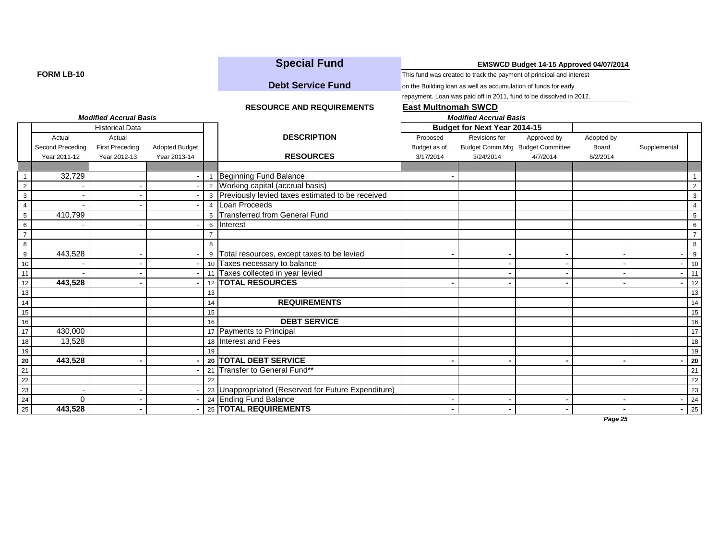|                                                                                                       |                  |                               |                       |                | <b>Special Fund</b>                                 |                                                                      |                               |                                                                     |            |              |                |
|-------------------------------------------------------------------------------------------------------|------------------|-------------------------------|-----------------------|----------------|-----------------------------------------------------|----------------------------------------------------------------------|-------------------------------|---------------------------------------------------------------------|------------|--------------|----------------|
| <b>FORM LB-10</b>                                                                                     |                  |                               |                       |                |                                                     | This fund was created to track the payment of principal and interest |                               |                                                                     |            |              |                |
|                                                                                                       |                  |                               |                       |                | <b>Debt Service Fund</b>                            | on the Building loan as well as accumulation of funds for early      |                               |                                                                     |            |              |                |
|                                                                                                       |                  |                               |                       |                |                                                     |                                                                      |                               | repayment. Loan was paid off in 2011, fund to be dissolved in 2012. |            |              |                |
|                                                                                                       |                  |                               |                       |                | <b>RESOURCE AND REQUIREMENTS</b>                    | <b>East Multnomah SWCD</b>                                           |                               |                                                                     |            |              |                |
|                                                                                                       |                  | <b>Modified Accrual Basis</b> |                       |                |                                                     |                                                                      | <b>Modified Accrual Basis</b> |                                                                     |            |              |                |
|                                                                                                       |                  | <b>Historical Data</b>        |                       |                |                                                     |                                                                      | Budget for Next Year 2014-15  |                                                                     |            |              |                |
|                                                                                                       | Actual           | Actual                        |                       |                | <b>DESCRIPTION</b>                                  | Proposed                                                             | Revisions for                 | Approved by                                                         | Adopted by |              |                |
|                                                                                                       | Second Preceding | <b>First Preceding</b>        | <b>Adopted Budget</b> |                |                                                     | Budget as of                                                         |                               | Budget Comm Mtg Budget Committee                                    | Board      | Supplemental |                |
|                                                                                                       | Year 2011-12     | Year 2012-13                  | Year 2013-14          |                | <b>RESOURCES</b>                                    | 3/17/2014                                                            | 3/24/2014                     | 4/7/2014                                                            | 6/2/2014   |              |                |
|                                                                                                       |                  |                               |                       |                |                                                     |                                                                      |                               |                                                                     |            |              |                |
| $\overline{1}$                                                                                        | 32,729           |                               |                       |                | <b>Beginning Fund Balance</b>                       |                                                                      |                               |                                                                     |            |              |                |
| $\overline{2}$                                                                                        |                  |                               |                       |                | 2 Working capital (accrual basis)                   |                                                                      |                               |                                                                     |            |              | $\overline{2}$ |
| $\mathbf{3}$                                                                                          |                  |                               |                       |                | 3 Previously levied taxes estimated to be received  |                                                                      |                               |                                                                     |            |              | 3              |
| $\overline{4}$                                                                                        |                  |                               |                       | 4              | Loan Proceeds                                       |                                                                      |                               |                                                                     |            |              | $\overline{4}$ |
| $5\phantom{.0}$                                                                                       | 410,799          |                               |                       |                | 5 Transferred from General Fund                     |                                                                      |                               |                                                                     |            |              | 5              |
| 6                                                                                                     |                  |                               |                       |                | 6 Interest                                          |                                                                      |                               |                                                                     |            |              | 6              |
| $\overline{7}$                                                                                        |                  |                               |                       | $\overline{7}$ |                                                     |                                                                      |                               |                                                                     |            |              | $\overline{7}$ |
| 8                                                                                                     |                  |                               |                       | 8              |                                                     |                                                                      |                               |                                                                     |            |              | 8              |
| $9\,$                                                                                                 | 443,528          |                               |                       | 9              | Total resources, except taxes to be levied          |                                                                      |                               |                                                                     |            |              | - 9            |
| 10                                                                                                    |                  |                               |                       |                | 10 Taxes necessary to balance                       |                                                                      |                               |                                                                     |            |              | 10             |
| 11                                                                                                    |                  |                               |                       |                | Taxes collected in year levied                      |                                                                      |                               |                                                                     |            |              | 11             |
| 12                                                                                                    | 443,528          |                               |                       |                | 12   TOTAL RESOURCES                                |                                                                      |                               |                                                                     |            |              | 12             |
| 13                                                                                                    |                  |                               |                       | 13             |                                                     |                                                                      |                               |                                                                     |            |              | 13             |
| 14                                                                                                    |                  |                               |                       | 14             | <b>REQUIREMENTS</b>                                 |                                                                      |                               |                                                                     |            |              | 14             |
| 15                                                                                                    |                  |                               |                       | 15             |                                                     |                                                                      |                               |                                                                     |            |              | 15             |
| 16                                                                                                    |                  |                               |                       | 16             | <b>DEBT SERVICE</b>                                 |                                                                      |                               |                                                                     |            |              | 16             |
| 17                                                                                                    | 430,000          |                               |                       |                | 17 Payments to Principal                            |                                                                      |                               |                                                                     |            |              | 17             |
| 18                                                                                                    | 13,528           |                               |                       |                | 18 Interest and Fees                                |                                                                      |                               |                                                                     |            |              | 18             |
| 19                                                                                                    |                  |                               |                       | 19             |                                                     |                                                                      |                               |                                                                     |            |              | 19             |
| $\begin{array}{r l}\n\hline\n21 \\ \hline\n22 \\ \hline\n23 \\ \hline\n24 \\ \hline\n25\n\end{array}$ | 443,528          |                               |                       |                | 20 TOTAL DEBT SERVICE                               |                                                                      |                               |                                                                     |            |              | 20             |
|                                                                                                       |                  |                               |                       |                | 21 Transfer to General Fund**                       |                                                                      |                               |                                                                     |            |              | 21             |
|                                                                                                       |                  |                               |                       | 22             |                                                     |                                                                      |                               |                                                                     |            |              | 22             |
|                                                                                                       |                  |                               |                       |                | 23 Unappropriated (Reserved for Future Expenditure) |                                                                      |                               |                                                                     |            |              | 23             |
|                                                                                                       | $\Omega$         |                               |                       |                | 24 Ending Fund Balance                              |                                                                      |                               |                                                                     |            |              | 24             |
|                                                                                                       | 443,528          |                               |                       |                | 25   TOTAL REQUIREMENTS                             |                                                                      |                               |                                                                     |            |              | 25             |